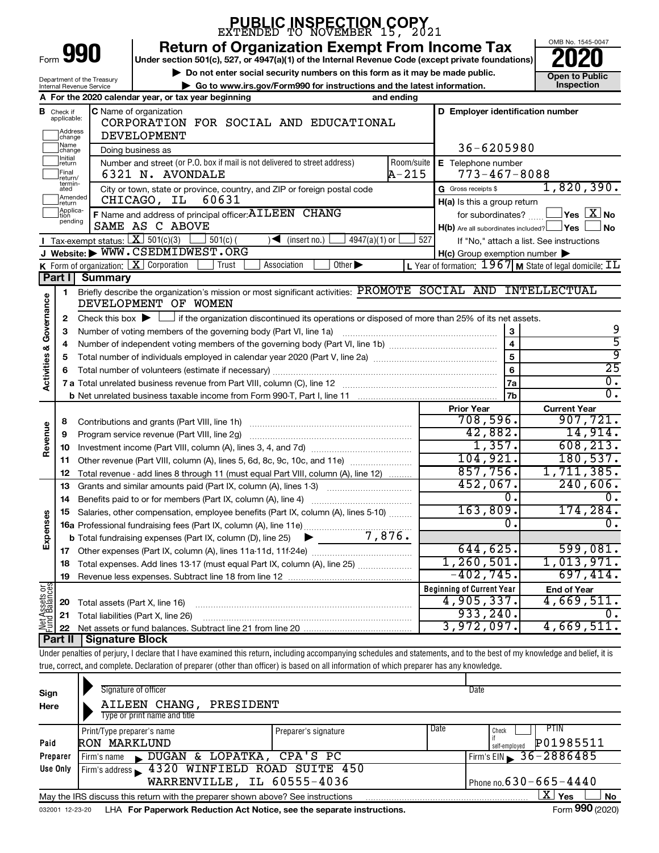|                                |                               |                                         |                                                     |                                                                   | <b>PUBLIC INSPECTION COPY21</b><br>EXTENDED TO NOVEMBER 15, 2021                                                                                                           |               |            |  |                                                     |                                                                                             |
|--------------------------------|-------------------------------|-----------------------------------------|-----------------------------------------------------|-------------------------------------------------------------------|----------------------------------------------------------------------------------------------------------------------------------------------------------------------------|---------------|------------|--|-----------------------------------------------------|---------------------------------------------------------------------------------------------|
|                                |                               | Form 990                                |                                                     |                                                                   | <b>Return of Organization Exempt From Income Tax</b><br>Under section 501(c), 527, or 4947(a)(1) of the Internal Revenue Code (except private foundations)                 |               |            |  |                                                     | OMB No. 1545-0047                                                                           |
|                                |                               | Department of the Treasury              |                                                     |                                                                   | Do not enter social security numbers on this form as it may be made public.                                                                                                |               |            |  |                                                     | <b>Open to Public</b>                                                                       |
|                                |                               | Internal Revenue Service                |                                                     |                                                                   | Go to www.irs.gov/Form990 for instructions and the latest information.                                                                                                     |               |            |  |                                                     | <b>Inspection</b>                                                                           |
|                                |                               |                                         | A For the 2020 calendar year, or tax year beginning |                                                                   |                                                                                                                                                                            |               | and ending |  |                                                     |                                                                                             |
|                                | <b>B</b> Check if applicable: |                                         | <b>C</b> Name of organization                       |                                                                   | CORPORATION FOR SOCIAL AND EDUCATIONAL                                                                                                                                     |               |            |  | D Employer identification number                    |                                                                                             |
|                                | Address                       |                                         | <b>DEVELOPMENT</b>                                  |                                                                   |                                                                                                                                                                            |               |            |  |                                                     |                                                                                             |
|                                | change<br>Name                |                                         |                                                     |                                                                   |                                                                                                                                                                            |               |            |  | 36-6205980                                          |                                                                                             |
|                                | change<br>Initial<br>return   |                                         | Doing business as                                   |                                                                   | Number and street (or P.O. box if mail is not delivered to street address)                                                                                                 |               | Room/suite |  | E Telephone number                                  |                                                                                             |
|                                | Final                         |                                         | 6321 N. AVONDALE                                    |                                                                   |                                                                                                                                                                            |               | $A - 215$  |  | $773 - 467 - 8088$                                  |                                                                                             |
|                                | return/<br>termin-<br>ated    |                                         |                                                     |                                                                   | City or town, state or province, country, and ZIP or foreign postal code                                                                                                   |               |            |  | G Gross receipts \$                                 | 1,820,390.                                                                                  |
|                                | Amended<br>return             |                                         | CHICAGO, IL                                         | 60631                                                             |                                                                                                                                                                            |               |            |  | H(a) Is this a group return                         |                                                                                             |
|                                | Applica-<br>Ition             |                                         |                                                     | F Name and address of principal officer: AILEEN CHANG             |                                                                                                                                                                            |               |            |  | for subordinates?                                   | $\left\vert \mathsf{Yes}\right\vert \overline{\mathsf{X}}\left\vert \mathsf{No}\right\vert$ |
|                                | pending                       |                                         | SAME AS C ABOVE                                     |                                                                   |                                                                                                                                                                            |               |            |  | $H(b)$ Are all subordinates included? $\Box$ Yes    | l No                                                                                        |
|                                |                               | Tax-exempt status: $X \over 301(c)(3)$  |                                                     | $501(c)$ (                                                        | $\triangleleft$ (insert no.)                                                                                                                                               | 4947(a)(1) or | 527        |  | If "No," attach a list. See instructions            |                                                                                             |
|                                |                               |                                         | J Website: WWW.CSEDMIDWEST.ORG                      |                                                                   |                                                                                                                                                                            |               |            |  | $H(c)$ Group exemption number $\blacktriangleright$ |                                                                                             |
|                                |                               | K Form of organization:   X Corporation |                                                     | Trust                                                             | Association<br>Other $\blacktriangleright$                                                                                                                                 |               |            |  |                                                     | L Year of formation: 1967 M State of legal domicile: IL                                     |
|                                | Part I                        | <b>Summary</b>                          |                                                     |                                                                   |                                                                                                                                                                            |               |            |  |                                                     |                                                                                             |
|                                | 1                             |                                         |                                                     |                                                                   | Briefly describe the organization's mission or most significant activities: PROMOTE SOCIAL AND INTELLECTUAL                                                                |               |            |  |                                                     |                                                                                             |
|                                |                               |                                         | DEVELOPMENT OF WOMEN                                |                                                                   |                                                                                                                                                                            |               |            |  |                                                     |                                                                                             |
| Activities & Governance        | 2                             |                                         |                                                     |                                                                   | Check this box $\blacktriangleright$ $\Box$ if the organization discontinued its operations or disposed of more than 25% of its net assets.                                |               |            |  |                                                     |                                                                                             |
|                                | з                             |                                         |                                                     | Number of voting members of the governing body (Part VI, line 1a) |                                                                                                                                                                            |               |            |  | 3                                                   | 9                                                                                           |
|                                | 4                             | $\overline{\mathbf{4}}$                 |                                                     |                                                                   |                                                                                                                                                                            |               |            |  |                                                     | $\overline{5}$                                                                              |
|                                | 5                             | 5                                       |                                                     |                                                                   |                                                                                                                                                                            |               |            |  |                                                     | $\overline{9}$                                                                              |
|                                | 6                             |                                         |                                                     |                                                                   |                                                                                                                                                                            |               |            |  | 6                                                   | $\overline{25}$                                                                             |
|                                |                               |                                         |                                                     |                                                                   |                                                                                                                                                                            |               |            |  | 7a                                                  | $\overline{0}$ .<br>σ.                                                                      |
|                                |                               |                                         |                                                     |                                                                   |                                                                                                                                                                            |               |            |  | 7b                                                  |                                                                                             |
|                                |                               |                                         |                                                     |                                                                   |                                                                                                                                                                            |               |            |  | <b>Prior Year</b><br>708,596.                       | <b>Current Year</b><br>907,721.                                                             |
| Revenue                        | 8<br>9                        |                                         | Program service revenue (Part VIII, line 2g)        |                                                                   |                                                                                                                                                                            |               |            |  | 42,882.                                             | 14,914.                                                                                     |
|                                | 10                            |                                         |                                                     |                                                                   |                                                                                                                                                                            |               |            |  | 1,357.                                              | 608, 213.                                                                                   |
|                                | 11                            |                                         |                                                     |                                                                   | Other revenue (Part VIII, column (A), lines 5, 6d, 8c, 9c, 10c, and 11e)                                                                                                   |               |            |  | 104,921.                                            | 180, 537.                                                                                   |
|                                | 12                            |                                         |                                                     |                                                                   | Total revenue - add lines 8 through 11 (must equal Part VIII, column (A), line 12)                                                                                         |               |            |  | 857,756.                                            | 1,711,385.                                                                                  |
|                                | 13                            |                                         |                                                     |                                                                   | Grants and similar amounts paid (Part IX, column (A), lines 1-3)                                                                                                           |               |            |  | 452,067.                                            | 240,606.                                                                                    |
|                                | 14                            |                                         |                                                     | Benefits paid to or for members (Part IX, column (A), line 4)     |                                                                                                                                                                            |               |            |  | $\overline{0}$ .                                    | $\overline{0}$ .                                                                            |
|                                | 15                            |                                         |                                                     |                                                                   | Salaries, other compensation, employee benefits (Part IX, column (A), lines 5-10)                                                                                          |               |            |  | 163,809                                             | 174, 284.                                                                                   |
|                                |                               |                                         |                                                     |                                                                   |                                                                                                                                                                            |               |            |  | 0                                                   | 0.                                                                                          |
| Expenses                       |                               |                                         |                                                     |                                                                   |                                                                                                                                                                            |               |            |  |                                                     |                                                                                             |
|                                | 17                            |                                         |                                                     |                                                                   |                                                                                                                                                                            |               |            |  | 644,625.                                            | 599,081.                                                                                    |
|                                | 18                            |                                         |                                                     |                                                                   | Total expenses. Add lines 13-17 (must equal Part IX, column (A), line 25) [                                                                                                |               |            |  | 1, 260, 501.                                        | 1,013,971.                                                                                  |
|                                | 19                            |                                         |                                                     |                                                                   |                                                                                                                                                                            |               |            |  | $-402,745.$                                         | 697,414.                                                                                    |
|                                |                               |                                         |                                                     |                                                                   |                                                                                                                                                                            |               |            |  | <b>Beginning of Current Year</b>                    | <b>End of Year</b>                                                                          |
|                                | 20                            | Total assets (Part X, line 16)          |                                                     |                                                                   |                                                                                                                                                                            |               |            |  | 4,905,337.                                          | 4,669,511.                                                                                  |
| Net Assets or<br>Fund Balances | 21                            |                                         | Total liabilities (Part X, line 26)                 |                                                                   |                                                                                                                                                                            |               |            |  | 933, 240.                                           | 0.                                                                                          |
|                                | 22                            |                                         |                                                     |                                                                   |                                                                                                                                                                            |               |            |  | 3,972,097.                                          | 4,669,511.                                                                                  |
|                                | <b>Part II</b>                | Signature Block                         |                                                     |                                                                   |                                                                                                                                                                            |               |            |  |                                                     |                                                                                             |
|                                |                               |                                         |                                                     |                                                                   | Under penalties of perjury, I declare that I have examined this return, including accompanying schedules and statements, and to the best of my knowledge and belief, it is |               |            |  |                                                     |                                                                                             |
|                                |                               |                                         |                                                     |                                                                   | true, correct, and complete. Declaration of preparer (other than officer) is based on all information of which preparer has any knowledge.                                 |               |            |  |                                                     |                                                                                             |
|                                |                               |                                         |                                                     |                                                                   |                                                                                                                                                                            |               |            |  |                                                     |                                                                                             |

| Sign     | Signature of officer                                                            |                      | Date                         |
|----------|---------------------------------------------------------------------------------|----------------------|------------------------------|
| Here     | AILEEN CHANG,<br>PRESIDENT                                                      |                      |                              |
|          | Type or print name and title                                                    |                      |                              |
|          | Print/Type preparer's name                                                      | Preparer's signature | Date<br>PTIN<br>Check        |
| Paid     | RON MARKLUND                                                                    |                      | P01985511<br>self-emploved   |
| Preparer | DUGAN & LOPATKA, CPA'S PC<br>Firm's name<br>$\mathbf{r}$                        |                      | Firm's EIN 36-2886485        |
| Use Only | Firm's address 1320 WINFIELD ROAD SUITE 450                                     |                      |                              |
|          | WARRENVILLE, IL 60555-4036                                                      |                      | Phone no. $630 - 665 - 4440$ |
|          | May the IRS discuss this return with the preparer shown above? See instructions |                      | x.<br>Yes<br><b>No</b>       |
|          |                                                                                 |                      | $0.00 \div 0.00$             |

032001 12-23-20 LHA **For Paperwork Reduction Act Notice, see the separate instructions.** Form 990 (2020)

Form **990** (2020)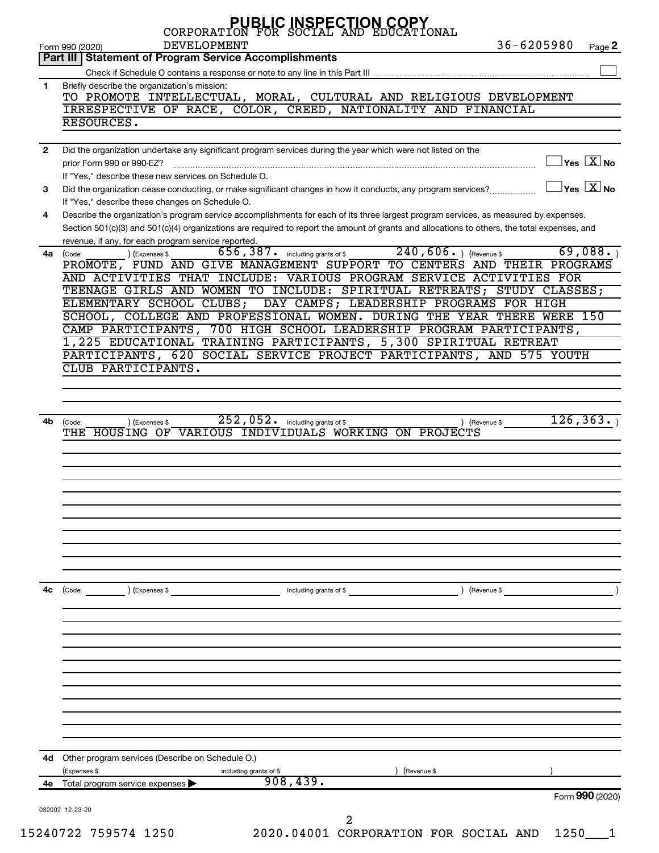|              | <b>PUBLIC INSPECTION COPY</b><br>CORPORATION FOR SOCIAL AND EDUCATION<br>$36 - 6205980$<br><b>DEVELOPMENT</b>                                                      |
|--------------|--------------------------------------------------------------------------------------------------------------------------------------------------------------------|
|              | Page 2<br>Form 990 (2020)<br>Part III   Statement of Program Service Accomplishments                                                                               |
|              |                                                                                                                                                                    |
| 1.           | Briefly describe the organization's mission:                                                                                                                       |
|              | TO PROMOTE INTELLECTUAL, MORAL, CULTURAL AND RELIGIOUS DEVELOPMENT                                                                                                 |
|              | IRRESPECTIVE OF RACE, COLOR, CREED, NATIONALITY AND FINANCIAL                                                                                                      |
|              | RESOURCES.                                                                                                                                                         |
|              |                                                                                                                                                                    |
| $\mathbf{2}$ | Did the organization undertake any significant program services during the year which were not listed on the                                                       |
|              | $\Box$ Yes $\boxed{\text{X}}$ No<br>prior Form 990 or 990-EZ?                                                                                                      |
|              | If "Yes," describe these new services on Schedule O.                                                                                                               |
| 3            | $\Box$ Yes $\boxed{\text{X}}$ No<br>Did the organization cease conducting, or make significant changes in how it conducts, any program services?                   |
|              | If "Yes," describe these changes on Schedule O.                                                                                                                    |
| 4            | Describe the organization's program service accomplishments for each of its three largest program services, as measured by expenses.                               |
|              | Section 501(c)(3) and 501(c)(4) organizations are required to report the amount of grants and allocations to others, the total expenses, and                       |
|              | revenue, if any, for each program service reported.                                                                                                                |
| 4a           | $240,606.$ (Revenue \$)<br>69,088.<br>$656$ , $387$ . including grants of \$<br>) (Expenses \$<br>(Code:                                                           |
|              | PROMOTE, FUND AND GIVE MANAGEMENT SUPPORT TO CENTERS AND THEIR PROGRAMS                                                                                            |
|              | AND ACTIVITIES THAT INCLUDE: VARIOUS PROGRAM SERVICE ACTIVITIES FOR                                                                                                |
|              | TEENAGE GIRLS AND WOMEN TO INCLUDE: SPIRITUAL RETREATS; STUDY CLASSES;                                                                                             |
|              | ELEMENTARY SCHOOL CLUBS; DAY CAMPS; LEADERSHIP PROGRAMS FOR HIGH                                                                                                   |
|              | SCHOOL, COLLEGE AND PROFESSIONAL WOMEN. DURING THE YEAR THERE WERE 150<br>CAMP PARTICIPANTS, 700 HIGH SCHOOL LEADERSHIP PROGRAM PARTICIPANTS,                      |
|              | 1,225 EDUCATIONAL TRAINING PARTICIPANTS, 5,300 SPIRITUAL RETREAT                                                                                                   |
|              | PARTICIPANTS, 620 SOCIAL SERVICE PROJECT PARTICIPANTS, AND 575 YOUTH                                                                                               |
|              | CLUB PARTICIPANTS.                                                                                                                                                 |
|              |                                                                                                                                                                    |
|              |                                                                                                                                                                    |
| 4b           | 126, 363.<br>$\overline{252}$ , 052. including grants of \$<br>) (Revenue \$<br>) (Expenses \$<br>(Code:<br>THE HOUSING OF VARIOUS INDIVIDUALS WORKING ON PROJECTS |
|              |                                                                                                                                                                    |
|              |                                                                                                                                                                    |
| 4c           | $\left(\text{Code:}\right)$<br>) (Expenses \$<br>Revenue \$<br>including grants of \$                                                                              |
|              |                                                                                                                                                                    |
|              |                                                                                                                                                                    |
|              |                                                                                                                                                                    |
|              |                                                                                                                                                                    |
| 4d           | Other program services (Describe on Schedule O.)                                                                                                                   |
|              | (Expenses \$<br>(Revenue \$<br>including grants of \$                                                                                                              |
| 4е —         | 908, 439.<br>Total program service expenses                                                                                                                        |
|              | Form 990 (2020)                                                                                                                                                    |
|              | 032002 12-23-20                                                                                                                                                    |
|              |                                                                                                                                                                    |
|              | 15240722 759574 1250<br>2020.04001 CORPORATION FOR SOCIAL AND<br>1250                                                                                              |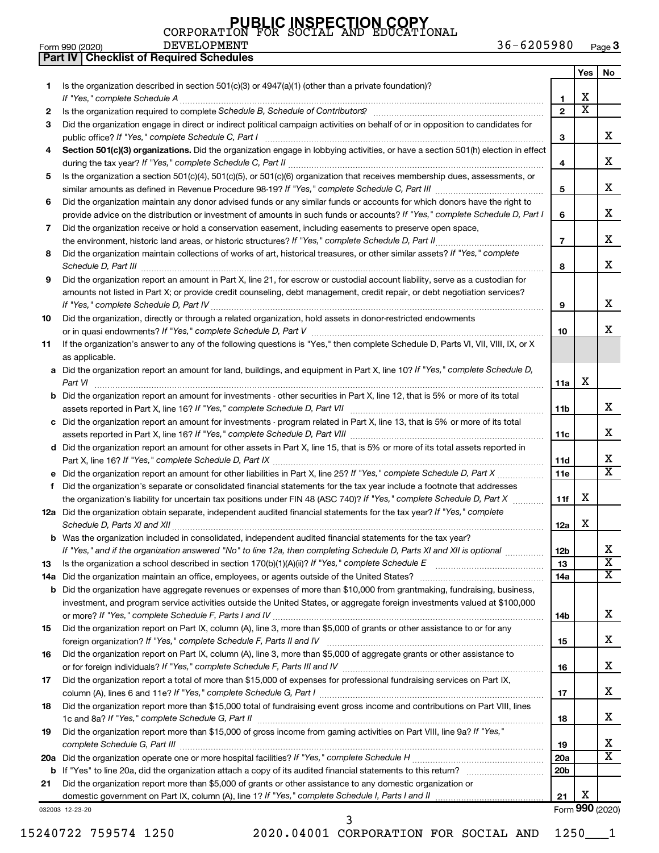**Part IV Checklist of Required Schedules**

| Form 990 (2020) |  | <b>DEVELOPMENT</b> | 36-6205980 | <b>C</b> Page |
|-----------------|--|--------------------|------------|---------------|
|-----------------|--|--------------------|------------|---------------|

|     |                                                                                                                                                                                                                                                            |                 | Yes                   | No                      |
|-----|------------------------------------------------------------------------------------------------------------------------------------------------------------------------------------------------------------------------------------------------------------|-----------------|-----------------------|-------------------------|
| 1.  | Is the organization described in section $501(c)(3)$ or $4947(a)(1)$ (other than a private foundation)?                                                                                                                                                    |                 |                       |                         |
|     | If "Yes," complete Schedule A                                                                                                                                                                                                                              | 1               | х                     |                         |
| 2   | Is the organization required to complete Schedule B, Schedule of Contributors? [11] the organization required to complete Schedule B, Schedule of Contributors?                                                                                            | $\overline{2}$  | $\overline{\text{x}}$ |                         |
| 3   | Did the organization engage in direct or indirect political campaign activities on behalf of or in opposition to candidates for                                                                                                                            |                 |                       |                         |
|     |                                                                                                                                                                                                                                                            | 3               |                       | х                       |
| 4   | Section 501(c)(3) organizations. Did the organization engage in lobbying activities, or have a section 501(h) election in effect                                                                                                                           | 4               |                       | х                       |
| 5.  | Is the organization a section 501(c)(4), 501(c)(5), or 501(c)(6) organization that receives membership dues, assessments, or                                                                                                                               |                 |                       |                         |
|     |                                                                                                                                                                                                                                                            | 5               |                       | х                       |
| 6   | Did the organization maintain any donor advised funds or any similar funds or accounts for which donors have the right to                                                                                                                                  |                 |                       |                         |
|     | provide advice on the distribution or investment of amounts in such funds or accounts? If "Yes," complete Schedule D, Part I                                                                                                                               | 6               |                       | х                       |
| 7   | Did the organization receive or hold a conservation easement, including easements to preserve open space,                                                                                                                                                  |                 |                       |                         |
|     |                                                                                                                                                                                                                                                            | $\overline{7}$  |                       | х                       |
| 8   | Did the organization maintain collections of works of art, historical treasures, or other similar assets? If "Yes," complete                                                                                                                               |                 |                       |                         |
|     |                                                                                                                                                                                                                                                            | 8               |                       | х                       |
| 9   | Did the organization report an amount in Part X, line 21, for escrow or custodial account liability, serve as a custodian for<br>amounts not listed in Part X; or provide credit counseling, debt management, credit repair, or debt negotiation services? | 9               |                       | х                       |
| 10  | Did the organization, directly or through a related organization, hold assets in donor-restricted endowments                                                                                                                                               |                 |                       |                         |
|     |                                                                                                                                                                                                                                                            | 10              |                       | x                       |
| 11  | If the organization's answer to any of the following questions is "Yes," then complete Schedule D, Parts VI, VII, VIII, IX, or X<br>as applicable.                                                                                                         |                 |                       |                         |
|     | a Did the organization report an amount for land, buildings, and equipment in Part X, line 10? If "Yes," complete Schedule D,                                                                                                                              |                 |                       |                         |
|     | Part VI                                                                                                                                                                                                                                                    | 11a             | х                     |                         |
|     | <b>b</b> Did the organization report an amount for investments - other securities in Part X, line 12, that is 5% or more of its total                                                                                                                      |                 |                       |                         |
|     |                                                                                                                                                                                                                                                            | 11 <sub>b</sub> |                       | х                       |
|     | c Did the organization report an amount for investments - program related in Part X, line 13, that is 5% or more of its total                                                                                                                              | 11c             |                       | x                       |
|     | d Did the organization report an amount for other assets in Part X, line 15, that is 5% or more of its total assets reported in                                                                                                                            |                 |                       |                         |
|     |                                                                                                                                                                                                                                                            | 11d             |                       | x                       |
|     |                                                                                                                                                                                                                                                            | <b>11e</b>      |                       | $\overline{\text{x}}$   |
| f   | Did the organization's separate or consolidated financial statements for the tax year include a footnote that addresses                                                                                                                                    |                 |                       |                         |
|     | the organization's liability for uncertain tax positions under FIN 48 (ASC 740)? If "Yes," complete Schedule D, Part X                                                                                                                                     | 11f             | x                     |                         |
|     | 12a Did the organization obtain separate, independent audited financial statements for the tax year? If "Yes," complete                                                                                                                                    |                 |                       |                         |
|     | Schedule D, Parts XI and XII                                                                                                                                                                                                                               | 12a             | х                     |                         |
|     | b Was the organization included in consolidated, independent audited financial statements for the tax year?                                                                                                                                                |                 |                       |                         |
|     | If "Yes," and if the organization answered "No" to line 12a, then completing Schedule D, Parts XI and XII is optional <i>www.</i>                                                                                                                          | 12 <sub>b</sub> |                       | ∡⊾                      |
| 13  | Is the organization a school described in section $170(b)(1)(A)(ii)$ ? If "Yes," complete Schedule E                                                                                                                                                       | 13              |                       | $\overline{\textbf{x}}$ |
| 14a | Did the organization maintain an office, employees, or agents outside of the United States?                                                                                                                                                                | 14a             |                       | $\overline{\texttt{X}}$ |
|     | <b>b</b> Did the organization have aggregate revenues or expenses of more than \$10,000 from grantmaking, fundraising, business,                                                                                                                           |                 |                       |                         |
|     | investment, and program service activities outside the United States, or aggregate foreign investments valued at \$100,000                                                                                                                                 |                 |                       |                         |
|     |                                                                                                                                                                                                                                                            | 14b             |                       | x                       |
| 15  | Did the organization report on Part IX, column (A), line 3, more than \$5,000 of grants or other assistance to or for any                                                                                                                                  |                 |                       |                         |
|     |                                                                                                                                                                                                                                                            | 15              |                       | x                       |
| 16  | Did the organization report on Part IX, column (A), line 3, more than \$5,000 of aggregate grants or other assistance to                                                                                                                                   | 16              |                       | x                       |
| 17  | Did the organization report a total of more than \$15,000 of expenses for professional fundraising services on Part IX,                                                                                                                                    |                 |                       |                         |
|     |                                                                                                                                                                                                                                                            | 17              |                       | х                       |
| 18  | Did the organization report more than \$15,000 total of fundraising event gross income and contributions on Part VIII, lines                                                                                                                               |                 |                       |                         |
|     |                                                                                                                                                                                                                                                            | 18              |                       | x                       |
| 19  | Did the organization report more than \$15,000 of gross income from gaming activities on Part VIII, line 9a? If "Yes,"                                                                                                                                     |                 |                       |                         |
|     |                                                                                                                                                                                                                                                            | 19              |                       | х                       |
|     |                                                                                                                                                                                                                                                            | 20a             |                       | $\overline{\text{X}}$   |
|     | <b>b</b> If "Yes" to line 20a, did the organization attach a copy of its audited financial statements to this return?                                                                                                                                      | 20 <sub>b</sub> |                       |                         |
| 21  | Did the organization report more than \$5,000 of grants or other assistance to any domestic organization or                                                                                                                                                |                 |                       |                         |
|     | domestic government on Part IX, column (A), line 1? If "Yes," complete Schedule I, Parts I and II                                                                                                                                                          | 21              | х                     |                         |
|     | 032003 12-23-20                                                                                                                                                                                                                                            |                 |                       | Form 990 (2020)         |
|     | 3                                                                                                                                                                                                                                                          |                 |                       |                         |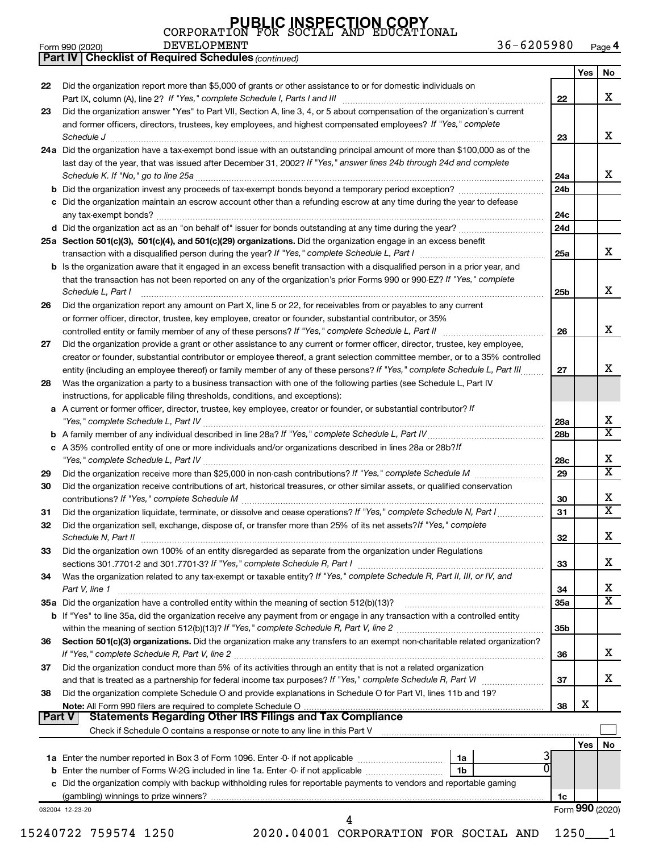**Part IV Checklist of Required Schedules**

| <b>PUBLIC INSPECTION COPY</b><br>CORPORATION FOR SOCIAL AND EDUCATIONAL |  |  |  |
|-------------------------------------------------------------------------|--|--|--|
|                                                                         |  |  |  |
| DEVELOPMENT                                                             |  |  |  |
|                                                                         |  |  |  |

*(continued)*

|               |                                                                                                                                                                                                                                              |                 | Yes             | No                         |
|---------------|----------------------------------------------------------------------------------------------------------------------------------------------------------------------------------------------------------------------------------------------|-----------------|-----------------|----------------------------|
| 22            | Did the organization report more than \$5,000 of grants or other assistance to or for domestic individuals on                                                                                                                                |                 |                 |                            |
|               | Part IX, column (A), line 2? If "Yes," complete Schedule I, Parts I and III [11]] [11]] [11] [11] [11] [11] [1                                                                                                                               | 22              |                 | x                          |
| 23            | Did the organization answer "Yes" to Part VII, Section A, line 3, 4, or 5 about compensation of the organization's current<br>and former officers, directors, trustees, key employees, and highest compensated employees? If "Yes," complete |                 |                 |                            |
|               | Schedule J                                                                                                                                                                                                                                   | 23              |                 | x                          |
|               | 24a Did the organization have a tax-exempt bond issue with an outstanding principal amount of more than \$100,000 as of the                                                                                                                  |                 |                 |                            |
|               | last day of the year, that was issued after December 31, 2002? If "Yes," answer lines 24b through 24d and complete                                                                                                                           |                 |                 |                            |
|               |                                                                                                                                                                                                                                              | 24a             |                 | x                          |
|               |                                                                                                                                                                                                                                              | 24b             |                 |                            |
|               | c Did the organization maintain an escrow account other than a refunding escrow at any time during the year to defease                                                                                                                       |                 |                 |                            |
|               |                                                                                                                                                                                                                                              | 24c             |                 |                            |
|               |                                                                                                                                                                                                                                              | 24d             |                 |                            |
|               | 25a Section 501(c)(3), 501(c)(4), and 501(c)(29) organizations. Did the organization engage in an excess benefit                                                                                                                             |                 |                 |                            |
|               |                                                                                                                                                                                                                                              | 25a             |                 | x                          |
|               | <b>b</b> Is the organization aware that it engaged in an excess benefit transaction with a disqualified person in a prior year, and                                                                                                          |                 |                 |                            |
|               | that the transaction has not been reported on any of the organization's prior Forms 990 or 990-EZ? If "Yes," complete<br>Schedule L, Part I                                                                                                  | 25b             |                 | x                          |
| 26            | Did the organization report any amount on Part X, line 5 or 22, for receivables from or payables to any current                                                                                                                              |                 |                 |                            |
|               | or former officer, director, trustee, key employee, creator or founder, substantial contributor, or 35%                                                                                                                                      |                 |                 |                            |
|               |                                                                                                                                                                                                                                              | 26              |                 | X                          |
| 27            | Did the organization provide a grant or other assistance to any current or former officer, director, trustee, key employee,                                                                                                                  |                 |                 |                            |
|               | creator or founder, substantial contributor or employee thereof, a grant selection committee member, or to a 35% controlled                                                                                                                  |                 |                 |                            |
|               | entity (including an employee thereof) or family member of any of these persons? If "Yes," complete Schedule L, Part III                                                                                                                     | 27              |                 | x                          |
| 28            | Was the organization a party to a business transaction with one of the following parties (see Schedule L, Part IV                                                                                                                            |                 |                 |                            |
|               | instructions, for applicable filing thresholds, conditions, and exceptions):                                                                                                                                                                 |                 |                 |                            |
|               | a A current or former officer, director, trustee, key employee, creator or founder, or substantial contributor? If                                                                                                                           |                 |                 |                            |
|               |                                                                                                                                                                                                                                              | 28a             |                 | Х<br>$\overline{\text{x}}$ |
|               |                                                                                                                                                                                                                                              | 28b             |                 |                            |
|               | c A 35% controlled entity of one or more individuals and/or organizations described in lines 28a or 28b?/f                                                                                                                                   |                 |                 | x                          |
| 29            |                                                                                                                                                                                                                                              | 28c<br>29       |                 | $\overline{\texttt{x}}$    |
| 30            | Did the organization receive contributions of art, historical treasures, or other similar assets, or qualified conservation                                                                                                                  |                 |                 |                            |
|               |                                                                                                                                                                                                                                              | 30              |                 | х                          |
| 31            | Did the organization liquidate, terminate, or dissolve and cease operations? If "Yes," complete Schedule N, Part I                                                                                                                           | 31              |                 | $\overline{\text{x}}$      |
| 32            | Did the organization sell, exchange, dispose of, or transfer more than 25% of its net assets? If "Yes," complete                                                                                                                             |                 |                 |                            |
|               |                                                                                                                                                                                                                                              | 32              |                 | Х                          |
| 33            | Did the organization own 100% of an entity disregarded as separate from the organization under Regulations                                                                                                                                   |                 |                 |                            |
|               |                                                                                                                                                                                                                                              | 33              |                 | х                          |
| 34            | Was the organization related to any tax-exempt or taxable entity? If "Yes," complete Schedule R, Part II, III, or IV, and                                                                                                                    |                 |                 |                            |
|               | Part V, line 1                                                                                                                                                                                                                               | 34              |                 | х                          |
|               |                                                                                                                                                                                                                                              | 35a             |                 | $\overline{\texttt{x}}$    |
|               | b If "Yes" to line 35a, did the organization receive any payment from or engage in any transaction with a controlled entity                                                                                                                  |                 |                 |                            |
|               |                                                                                                                                                                                                                                              | 35 <sub>b</sub> |                 |                            |
| 36            | Section 501(c)(3) organizations. Did the organization make any transfers to an exempt non-charitable related organization?                                                                                                                   | 36              |                 | x                          |
| 37            | Did the organization conduct more than 5% of its activities through an entity that is not a related organization                                                                                                                             |                 |                 |                            |
|               |                                                                                                                                                                                                                                              | 37              |                 | X.                         |
| 38            | Did the organization complete Schedule O and provide explanations in Schedule O for Part VI, lines 11b and 19?                                                                                                                               |                 |                 |                            |
|               |                                                                                                                                                                                                                                              | 38              | Х               |                            |
| <b>Part V</b> | <b>Statements Regarding Other IRS Filings and Tax Compliance</b>                                                                                                                                                                             |                 |                 |                            |
|               | Check if Schedule O contains a response or note to any line in this Part V [11] [11] [12] [12] [12] [12] [12] [                                                                                                                              |                 |                 |                            |
|               |                                                                                                                                                                                                                                              |                 | Yes             | No                         |
|               |                                                                                                                                                                                                                                              |                 |                 |                            |
|               | 1 <sub>b</sub>                                                                                                                                                                                                                               |                 |                 |                            |
|               | c Did the organization comply with backup withholding rules for reportable payments to vendors and reportable gaming                                                                                                                         |                 |                 |                            |
|               |                                                                                                                                                                                                                                              | 1c              | Form 990 (2020) |                            |
|               | 032004 12-23-20                                                                                                                                                                                                                              |                 |                 |                            |
|               | 2020.04001 CORPORATION FOR SOCIAL AND<br>15240722 759574 1250                                                                                                                                                                                | 1250            |                 |                            |
|               |                                                                                                                                                                                                                                              |                 |                 |                            |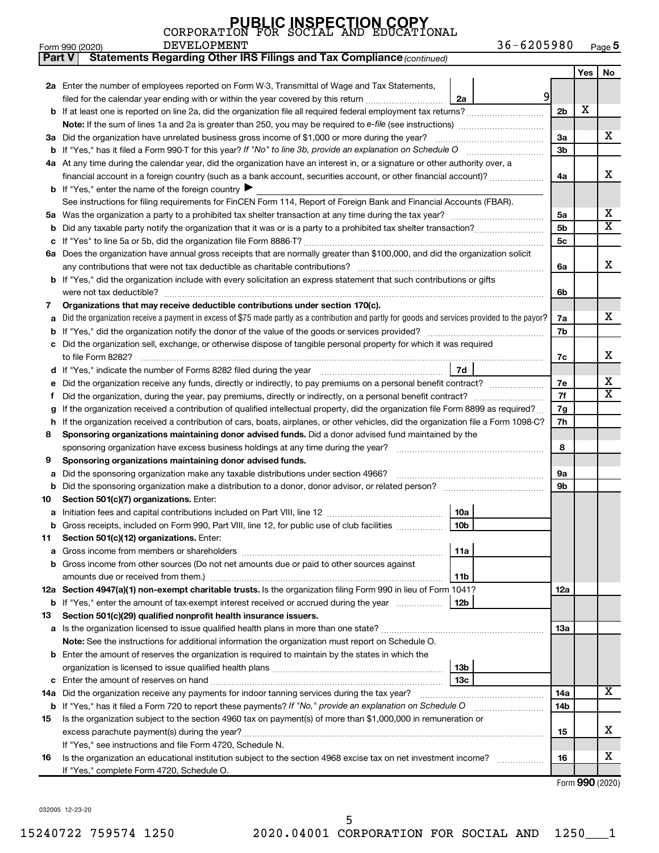| <b>PUBLIC INSPECTION COPY</b><br>CORPORATION FOR SOCIAL AND EDUCATIONAL |  |  |
|-------------------------------------------------------------------------|--|--|
|                                                                         |  |  |

Form 990 (2020) Page **5** DEVELOPMENT 36-6205980

| <b>Part V</b> | <b>Statements Regarding Other IRS Filings and Tax Compliance (continued)</b>                                                                                                  |     |     |    |  |  |  |  |  |
|---------------|-------------------------------------------------------------------------------------------------------------------------------------------------------------------------------|-----|-----|----|--|--|--|--|--|
|               |                                                                                                                                                                               |     | Yes | No |  |  |  |  |  |
|               | 2a Enter the number of employees reported on Form W-3, Transmittal of Wage and Tax Statements,                                                                                |     |     |    |  |  |  |  |  |
|               | 9<br>filed for the calendar year ending with or within the year covered by this return<br>2a                                                                                  |     |     |    |  |  |  |  |  |
|               |                                                                                                                                                                               | 2b  | X   |    |  |  |  |  |  |
|               |                                                                                                                                                                               |     |     |    |  |  |  |  |  |
|               | 3a Did the organization have unrelated business gross income of \$1,000 or more during the year?                                                                              | За  |     | x  |  |  |  |  |  |
|               |                                                                                                                                                                               |     |     |    |  |  |  |  |  |
|               | 4a At any time during the calendar year, did the organization have an interest in, or a signature or other authority over, a                                                  | Зb  |     |    |  |  |  |  |  |
|               | financial account in a foreign country (such as a bank account, securities account, or other financial account)?                                                              | 4a  |     | x  |  |  |  |  |  |
|               | <b>b</b> If "Yes," enter the name of the foreign country $\blacktriangleright$                                                                                                |     |     |    |  |  |  |  |  |
|               | See instructions for filing requirements for FinCEN Form 114, Report of Foreign Bank and Financial Accounts (FBAR).                                                           |     |     |    |  |  |  |  |  |
|               |                                                                                                                                                                               | 5a  |     | х  |  |  |  |  |  |
| b             |                                                                                                                                                                               | 5b  |     | X  |  |  |  |  |  |
|               |                                                                                                                                                                               | 5c  |     |    |  |  |  |  |  |
|               | 6a Does the organization have annual gross receipts that are normally greater than \$100,000, and did the organization solicit                                                |     |     |    |  |  |  |  |  |
|               |                                                                                                                                                                               | 6a  |     | x  |  |  |  |  |  |
|               | <b>b</b> If "Yes," did the organization include with every solicitation an express statement that such contributions or gifts                                                 |     |     |    |  |  |  |  |  |
|               |                                                                                                                                                                               | 6b  |     |    |  |  |  |  |  |
| 7             | Organizations that may receive deductible contributions under section 170(c).                                                                                                 |     |     |    |  |  |  |  |  |
| a             | Did the organization receive a payment in excess of \$75 made partly as a contribution and partly for goods and services provided to the payor?                               | 7a  |     | х  |  |  |  |  |  |
| b             |                                                                                                                                                                               | 7b  |     |    |  |  |  |  |  |
|               | c Did the organization sell, exchange, or otherwise dispose of tangible personal property for which it was required                                                           |     |     |    |  |  |  |  |  |
|               |                                                                                                                                                                               | 7c  |     | x  |  |  |  |  |  |
|               | 7d                                                                                                                                                                            |     |     |    |  |  |  |  |  |
| е             | Did the organization receive any funds, directly or indirectly, to pay premiums on a personal benefit contract?                                                               | 7е  |     | х  |  |  |  |  |  |
| Ť.            |                                                                                                                                                                               | 7f  |     | х  |  |  |  |  |  |
| g             | If the organization received a contribution of qualified intellectual property, did the organization file Form 8899 as required?                                              |     |     |    |  |  |  |  |  |
| h             | If the organization received a contribution of cars, boats, airplanes, or other vehicles, did the organization file a Form 1098-C?                                            | 7h  |     |    |  |  |  |  |  |
| 8             | Sponsoring organizations maintaining donor advised funds. Did a donor advised fund maintained by the                                                                          |     |     |    |  |  |  |  |  |
|               |                                                                                                                                                                               | 8   |     |    |  |  |  |  |  |
| 9             | Sponsoring organizations maintaining donor advised funds.                                                                                                                     |     |     |    |  |  |  |  |  |
| а             | Did the sponsoring organization make any taxable distributions under section 4966?                                                                                            | 9а  |     |    |  |  |  |  |  |
| b             | Did the sponsoring organization make a distribution to a donor, donor advisor, or related person? www.www.www.www.www.                                                        | 9b  |     |    |  |  |  |  |  |
| 10            | Section 501(c)(7) organizations. Enter:                                                                                                                                       |     |     |    |  |  |  |  |  |
| а             | 10a                                                                                                                                                                           |     |     |    |  |  |  |  |  |
|               | 10 <sub>b</sub><br><b>b</b> Gross receipts, included on Form 990, Part VIII, line 12, for public use of club facilities <i>manument</i> .                                     |     |     |    |  |  |  |  |  |
| 11            | Section 501(c)(12) organizations. Enter:                                                                                                                                      |     |     |    |  |  |  |  |  |
| a             | 11a                                                                                                                                                                           |     |     |    |  |  |  |  |  |
|               | b Gross income from other sources (Do not net amounts due or paid to other sources against                                                                                    |     |     |    |  |  |  |  |  |
|               | 11 <sub>b</sub>                                                                                                                                                               |     |     |    |  |  |  |  |  |
|               | 12a Section 4947(a)(1) non-exempt charitable trusts. Is the organization filing Form 990 in lieu of Form 1041?                                                                | 12a |     |    |  |  |  |  |  |
|               | 12b<br>b If "Yes," enter the amount of tax-exempt interest received or accrued during the year                                                                                |     |     |    |  |  |  |  |  |
| 13            | Section 501(c)(29) qualified nonprofit health insurance issuers.                                                                                                              |     |     |    |  |  |  |  |  |
|               |                                                                                                                                                                               | 13a |     |    |  |  |  |  |  |
|               | Note: See the instructions for additional information the organization must report on Schedule O.                                                                             |     |     |    |  |  |  |  |  |
|               | <b>b</b> Enter the amount of reserves the organization is required to maintain by the states in which the                                                                     |     |     |    |  |  |  |  |  |
|               | 13b                                                                                                                                                                           |     |     |    |  |  |  |  |  |
|               | 13с                                                                                                                                                                           |     |     | x  |  |  |  |  |  |
|               | 14a Did the organization receive any payments for indoor tanning services during the tax year?                                                                                | 14a |     |    |  |  |  |  |  |
|               | <b>b</b> If "Yes," has it filed a Form 720 to report these payments? If "No," provide an explanation on Schedule O                                                            | 14b |     |    |  |  |  |  |  |
| 15            | Is the organization subject to the section 4960 tax on payment(s) of more than \$1,000,000 in remuneration or                                                                 |     |     | x. |  |  |  |  |  |
|               | excess parachute payment(s) during the year?                                                                                                                                  | 15  |     |    |  |  |  |  |  |
| 16            | If "Yes," see instructions and file Form 4720, Schedule N.<br>Is the organization an educational institution subject to the section 4968 excise tax on net investment income? | 16  |     | x  |  |  |  |  |  |
|               | If "Yes," complete Form 4720, Schedule O.                                                                                                                                     |     |     |    |  |  |  |  |  |
|               |                                                                                                                                                                               |     |     |    |  |  |  |  |  |

Form (2020) **990**

032005 12-23-20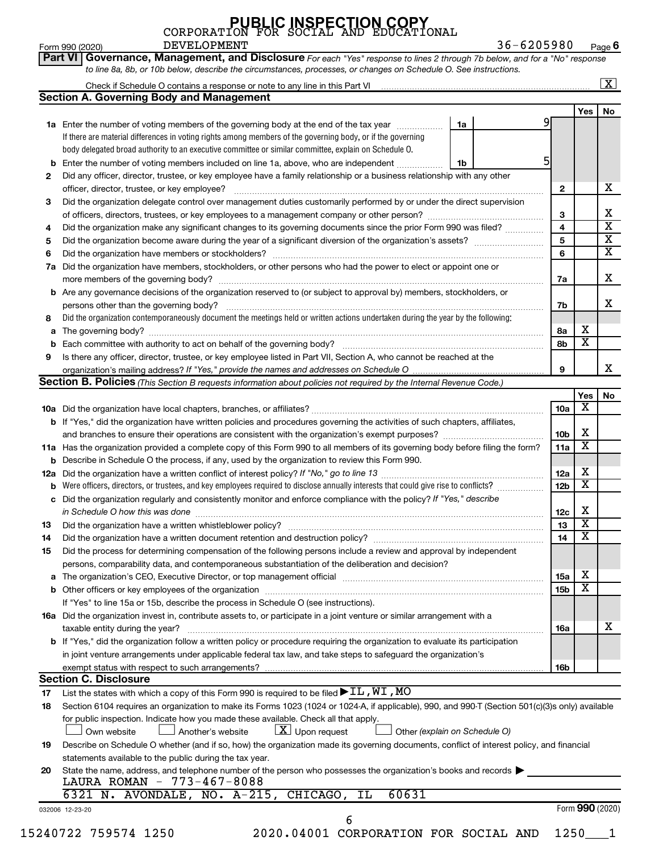|    |                                                                                                                                                  |    |                 |                         | $\boxed{\textbf{X}}$    |
|----|--------------------------------------------------------------------------------------------------------------------------------------------------|----|-----------------|-------------------------|-------------------------|
|    | <b>Section A. Governing Body and Management</b>                                                                                                  |    |                 |                         |                         |
|    |                                                                                                                                                  |    |                 | Yes                     | No                      |
|    | 1a Enter the number of voting members of the governing body at the end of the tax year <i>manumum</i>                                            | 1a |                 |                         |                         |
|    | If there are material differences in voting rights among members of the governing body, or if the governing                                      |    |                 |                         |                         |
|    | body delegated broad authority to an executive committee or similar committee, explain on Schedule O.                                            |    |                 |                         |                         |
| b  | Enter the number of voting members included on line 1a, above, who are independent                                                               | 1b |                 |                         |                         |
| 2  | Did any officer, director, trustee, or key employee have a family relationship or a business relationship with any other                         |    |                 |                         |                         |
|    | officer, director, trustee, or key employee?                                                                                                     |    | $\mathbf{2}$    |                         | х                       |
| 3  | Did the organization delegate control over management duties customarily performed by or under the direct supervision                            |    |                 |                         |                         |
|    |                                                                                                                                                  |    | 3               |                         | Χ                       |
| 4  | Did the organization make any significant changes to its governing documents since the prior Form 990 was filed?                                 |    | 4               |                         | $\overline{\textbf{x}}$ |
| 5  |                                                                                                                                                  |    | 5               |                         | $\overline{\mathbf{X}}$ |
| 6  |                                                                                                                                                  |    | 6               |                         | $\overline{\mathbf{x}}$ |
| 7a | Did the organization have members, stockholders, or other persons who had the power to elect or appoint one or                                   |    |                 |                         |                         |
|    |                                                                                                                                                  |    | 7a              |                         | X                       |
|    | <b>b</b> Are any governance decisions of the organization reserved to (or subject to approval by) members, stockholders, or                      |    |                 |                         |                         |
|    | persons other than the governing body?                                                                                                           |    | 7b              |                         | x                       |
| 8  | Did the organization contemporaneously document the meetings held or written actions undertaken during the year by the following:                |    |                 |                         |                         |
| а  |                                                                                                                                                  |    | 8а              | х                       |                         |
|    |                                                                                                                                                  |    | 8b              | $\overline{\mathbf{X}}$ |                         |
| 9  | Is there any officer, director, trustee, or key employee listed in Part VII, Section A, who cannot be reached at the                             |    |                 |                         |                         |
|    |                                                                                                                                                  |    | 9               |                         | х                       |
|    | Section B. Policies (This Section B requests information about policies not required by the Internal Revenue Code.)                              |    |                 |                         |                         |
|    |                                                                                                                                                  |    |                 | Yes                     | No                      |
|    |                                                                                                                                                  |    | 10a             | X                       |                         |
|    | <b>b</b> If "Yes," did the organization have written policies and procedures governing the activities of such chapters, affiliates,              |    |                 |                         |                         |
|    |                                                                                                                                                  |    | 10 <sub>b</sub> | х                       |                         |
|    | 11a Has the organization provided a complete copy of this Form 990 to all members of its governing body before filing the form?                  |    | 11a             | X                       |                         |
|    | <b>b</b> Describe in Schedule O the process, if any, used by the organization to review this Form 990.                                           |    |                 |                         |                         |
|    |                                                                                                                                                  |    | 12a             | х                       |                         |
|    | Were officers, directors, or trustees, and key employees required to disclose annually interests that could give rise to conflicts?              |    | 12 <sub>b</sub> | $\overline{\mathbf{X}}$ |                         |
|    | c Did the organization regularly and consistently monitor and enforce compliance with the policy? If "Yes," describe                             |    |                 |                         |                         |
|    |                                                                                                                                                  |    | 12c             | х                       |                         |
|    |                                                                                                                                                  |    | 13              | $\overline{\mathbf{X}}$ |                         |
| 14 | Did the organization have a written document retention and destruction policy? [111] [12] manument contains an                                   |    | 14              | $\overline{\texttt{x}}$ |                         |
| 15 | Did the process for determining compensation of the following persons include a review and approval by independent                               |    |                 |                         |                         |
|    | persons, comparability data, and contemporaneous substantiation of the deliberation and decision?                                                |    |                 |                         |                         |
|    |                                                                                                                                                  |    | 15a             | х                       |                         |
| a  |                                                                                                                                                  |    | 15 <sub>b</sub> | X                       |                         |
|    | If "Yes" to line 15a or 15b, describe the process in Schedule O (see instructions).                                                              |    |                 |                         |                         |
|    | 16a Did the organization invest in, contribute assets to, or participate in a joint venture or similar arrangement with a                        |    |                 |                         |                         |
|    | taxable entity during the year?                                                                                                                  |    | 16a             |                         | х                       |
|    | b If "Yes," did the organization follow a written policy or procedure requiring the organization to evaluate its participation                   |    |                 |                         |                         |
|    |                                                                                                                                                  |    |                 |                         |                         |
|    | in joint venture arrangements under applicable federal tax law, and take steps to safeguard the organization's                                   |    |                 |                         |                         |
|    | exempt status with respect to such arrangements?                                                                                                 |    | 16b             |                         |                         |
|    | <b>Section C. Disclosure</b>                                                                                                                     |    |                 |                         |                         |
| 17 | List the states with which a copy of this Form 990 is required to be filed $\blacktriangleright$ IL, WI, MO                                      |    |                 |                         |                         |
| 18 | Section 6104 requires an organization to make its Forms 1023 (1024 or 1024-A, if applicable), 990, and 990-T (Section 501(c)(3)s only) available |    |                 |                         |                         |
|    | for public inspection. Indicate how you made these available. Check all that apply.                                                              |    |                 |                         |                         |
|    | $\lfloor x \rfloor$ Upon request<br>Own website<br>Another's website<br>Other (explain on Schedule O)                                            |    |                 |                         |                         |
| 19 | Describe on Schedule O whether (and if so, how) the organization made its governing documents, conflict of interest policy, and financial        |    |                 |                         |                         |
|    | statements available to the public during the tax year.                                                                                          |    |                 |                         |                         |
| 20 | State the name, address, and telephone number of the person who possesses the organization's books and records                                   |    |                 |                         |                         |
|    | LAURA ROMAN - 773-467-8088                                                                                                                       |    |                 |                         |                         |
|    | 60631<br>6321 N. AVONDALE, NO. A-215, CHICAGO, IL                                                                                                |    |                 |                         |                         |
|    | 032006 12-23-20                                                                                                                                  |    |                 | Form 990 (2020)         |                         |
|    | 6                                                                                                                                                |    |                 |                         |                         |
|    | 15240722 759574 1250<br>2020.04001 CORPORATION FOR SOCIAL AND                                                                                    |    | 1250            |                         |                         |

DEVELOPMENT 36-6205980

Form 990 (2020) Page **6**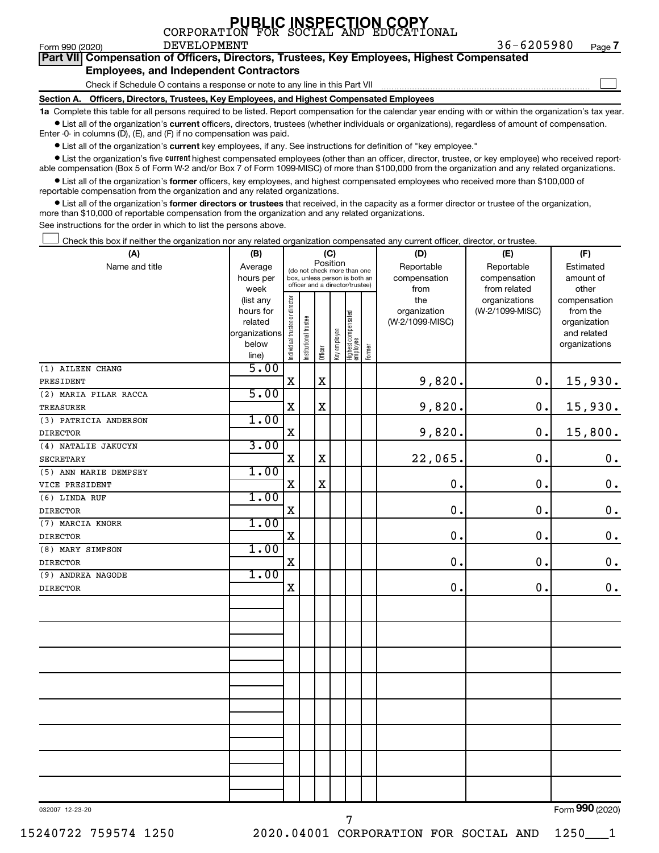|  |  | PUBLIC INSPECTION COPY<br>CORPORATION FOR SOCIAL AND EDUCATIONAL |
|--|--|------------------------------------------------------------------|
|  |  |                                                                  |

Form 990 (2020)  $\qquad \qquad$  DEVELOPMENT  $\qquad \qquad 36-6205980$   $\qquad \qquad$  Page

**Part VII Compensation of Officers, Directors, Trustees, Key Employees, Highest Compensated Employees, and Independent Contractors**

#### Check if Schedule O contains a response or note to any line in this Part VII

**Section A. Officers, Directors, Trustees, Key Employees, and Highest Compensated Employees**

**1a**  Complete this table for all persons required to be listed. Report compensation for the calendar year ending with or within the organization's tax year.  $\bullet$  List all of the organization's current officers, directors, trustees (whether individuals or organizations), regardless of amount of compensation.

Enter -0- in columns (D), (E), and (F) if no compensation was paid.

**•** List all of the organization's current key employees, if any. See instructions for definition of "key employee."

• List the organization's five *current* highest compensated employees (other than an officer, director, trustee, or key employee) who received reportable compensation (Box 5 of Form W-2 and/or Box 7 of Form 1099-MISC) of more than \$100,000 from the organization and any related organizations.

 $\bullet$  List all of the organization's former officers, key employees, and highest compensated employees who received more than \$100,000 of reportable compensation from the organization and any related organizations.

**•** List all of the organization's former directors or trustees that received, in the capacity as a former director or trustee of the organization, more than \$10,000 of reportable compensation from the organization and any related organizations.

See instructions for the order in which to list the persons above.

Check this box if neither the organization nor any related organization compensated any current officer, director, or trustee.  $\Box$ 

| (A)                   | (B)                    | (C)                            |                             |             |                                                                  |                                 |        | (D)                 | (E)                              | (F)                      |  |  |  |
|-----------------------|------------------------|--------------------------------|-----------------------------|-------------|------------------------------------------------------------------|---------------------------------|--------|---------------------|----------------------------------|--------------------------|--|--|--|
| Name and title        | Average                |                                | (do not check more than one | Position    |                                                                  |                                 |        | Reportable          | Reportable                       | Estimated                |  |  |  |
|                       | hours per              |                                |                             |             | box, unless person is both an<br>officer and a director/trustee) |                                 |        | compensation        | compensation                     | amount of                |  |  |  |
|                       | week                   |                                |                             |             |                                                                  |                                 |        | from                | from related                     | other                    |  |  |  |
|                       | (list any<br>hours for |                                |                             |             |                                                                  |                                 |        | the<br>organization | organizations<br>(W-2/1099-MISC) | compensation<br>from the |  |  |  |
|                       | related                |                                |                             |             |                                                                  |                                 |        | (W-2/1099-MISC)     |                                  | organization             |  |  |  |
|                       | organizations          |                                |                             |             |                                                                  |                                 |        |                     |                                  | and related              |  |  |  |
|                       | below                  | Individual trustee or director | Institutional trustee       |             | Key employee                                                     | Highest compensated<br>employee |        |                     |                                  | organizations            |  |  |  |
|                       | line)                  |                                |                             | Officer     |                                                                  |                                 | Former |                     |                                  |                          |  |  |  |
| (1) AILEEN CHANG      | 5.00                   |                                |                             |             |                                                                  |                                 |        |                     |                                  |                          |  |  |  |
| PRESIDENT             |                        | X                              |                             | $\mathbf X$ |                                                                  |                                 |        | 9,820.              | 0.                               | 15,930.                  |  |  |  |
| (2) MARIA PILAR RACCA | 5.00                   |                                |                             |             |                                                                  |                                 |        |                     |                                  |                          |  |  |  |
| <b>TREASURER</b>      |                        | X                              |                             | $\mathbf X$ |                                                                  |                                 |        | 9,820.              | 0.                               | 15,930.                  |  |  |  |
| (3) PATRICIA ANDERSON | 1.00                   |                                |                             |             |                                                                  |                                 |        |                     |                                  |                          |  |  |  |
| <b>DIRECTOR</b>       |                        | X                              |                             |             |                                                                  |                                 |        | 9,820.              | 0.                               | 15,800.                  |  |  |  |
| (4) NATALIE JAKUCYN   | 3.00                   |                                |                             |             |                                                                  |                                 |        |                     |                                  |                          |  |  |  |
| <b>SECRETARY</b>      |                        | $\mathbf X$                    |                             | $\mathbf X$ |                                                                  |                                 |        | 22,065.             | 0.                               | $\boldsymbol{0}$ .       |  |  |  |
| (5) ANN MARIE DEMPSEY | 1.00                   |                                |                             |             |                                                                  |                                 |        |                     |                                  |                          |  |  |  |
| VICE PRESIDENT        |                        | X                              |                             | $\mathbf X$ |                                                                  |                                 |        | $\mathbf 0$ .       | $\mathbf 0$ .                    | $\boldsymbol{0}$ .       |  |  |  |
| (6) LINDA RUF         | 1.00                   |                                |                             |             |                                                                  |                                 |        |                     |                                  |                          |  |  |  |
| <b>DIRECTOR</b>       |                        | $\mathbf X$                    |                             |             |                                                                  |                                 |        | $\mathbf 0$         | $\mathbf 0$ .                    | $\mathbf 0$ .            |  |  |  |
| (7) MARCIA KNORR      | 1.00                   |                                |                             |             |                                                                  |                                 |        |                     |                                  |                          |  |  |  |
| <b>DIRECTOR</b>       |                        | X                              |                             |             |                                                                  |                                 |        | 0.                  | $\mathbf 0$ .                    | $\boldsymbol{0}$ .       |  |  |  |
| (8) MARY SIMPSON      | 1.00                   |                                |                             |             |                                                                  |                                 |        |                     |                                  |                          |  |  |  |
| <b>DIRECTOR</b>       |                        | $\mathbf X$                    |                             |             |                                                                  |                                 |        | $\mathbf 0$ .       | 0.                               | $\mathbf 0$ .            |  |  |  |
| (9) ANDREA NAGODE     | 1.00                   |                                |                             |             |                                                                  |                                 |        |                     |                                  |                          |  |  |  |
| <b>DIRECTOR</b>       |                        | X                              |                             |             |                                                                  |                                 |        | $\mathbf 0$         | 0.                               | $\mathbf 0$ .            |  |  |  |
|                       |                        |                                |                             |             |                                                                  |                                 |        |                     |                                  |                          |  |  |  |
|                       |                        |                                |                             |             |                                                                  |                                 |        |                     |                                  |                          |  |  |  |
|                       |                        |                                |                             |             |                                                                  |                                 |        |                     |                                  |                          |  |  |  |
|                       |                        |                                |                             |             |                                                                  |                                 |        |                     |                                  |                          |  |  |  |
|                       |                        |                                |                             |             |                                                                  |                                 |        |                     |                                  |                          |  |  |  |
|                       |                        |                                |                             |             |                                                                  |                                 |        |                     |                                  |                          |  |  |  |
|                       |                        |                                |                             |             |                                                                  |                                 |        |                     |                                  |                          |  |  |  |
|                       |                        |                                |                             |             |                                                                  |                                 |        |                     |                                  |                          |  |  |  |
|                       |                        |                                |                             |             |                                                                  |                                 |        |                     |                                  |                          |  |  |  |
|                       |                        |                                |                             |             |                                                                  |                                 |        |                     |                                  |                          |  |  |  |
|                       |                        |                                |                             |             |                                                                  |                                 |        |                     |                                  |                          |  |  |  |
|                       |                        |                                |                             |             |                                                                  |                                 |        |                     |                                  |                          |  |  |  |
|                       |                        |                                |                             |             |                                                                  |                                 |        |                     |                                  |                          |  |  |  |
|                       |                        |                                |                             |             |                                                                  |                                 |        |                     |                                  |                          |  |  |  |
|                       |                        |                                |                             |             |                                                                  |                                 |        |                     |                                  |                          |  |  |  |
|                       |                        |                                |                             |             |                                                                  |                                 |        |                     |                                  |                          |  |  |  |

032007 12-23-20

Form (2020) **990**

**7**

 $\Box$ 

15240722 759574 1250 2020.04001 CORPORATION FOR SOCIAL AND 1250\_\_\_1

7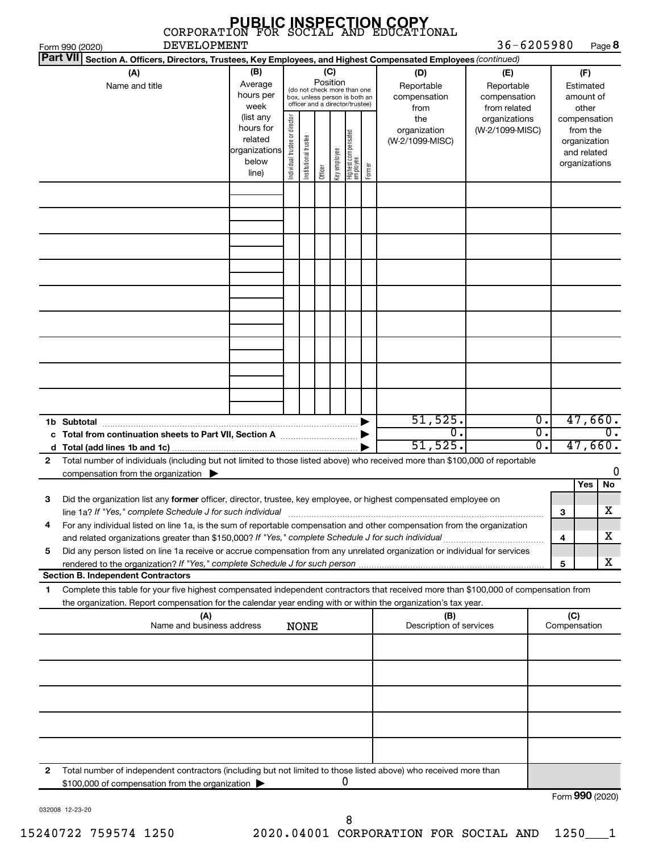|   |                                                                                                                                                                                                                                   |                                                                                                                                                           |                                |                       |         |              |                                   |        | <b>PUBLIC INSPECTION COPY</b><br>CORPORATION FOR SOCIAL AND EDUCATIONAL |                                                   |                  |                     |                                                                          |                  |
|---|-----------------------------------------------------------------------------------------------------------------------------------------------------------------------------------------------------------------------------------|-----------------------------------------------------------------------------------------------------------------------------------------------------------|--------------------------------|-----------------------|---------|--------------|-----------------------------------|--------|-------------------------------------------------------------------------|---------------------------------------------------|------------------|---------------------|--------------------------------------------------------------------------|------------------|
|   | <b>DEVELOPMENT</b><br>Form 990 (2020)                                                                                                                                                                                             |                                                                                                                                                           |                                |                       |         |              |                                   |        |                                                                         | $36 - 6205980$                                    |                  |                     | Page 8                                                                   |                  |
|   | <b>Part VII</b><br>Section A. Officers, Directors, Trustees, Key Employees, and Highest Compensated Employees (continued)                                                                                                         |                                                                                                                                                           |                                |                       |         |              |                                   |        |                                                                         |                                                   |                  |                     |                                                                          |                  |
|   | (A)<br>Name and title                                                                                                                                                                                                             | (B)<br>(C)<br>Position<br>Average<br>(do not check more than one<br>hours per<br>box, unless person is both an<br>officer and a director/trustee)<br>week |                                |                       |         |              |                                   |        | (D)<br>Reportable<br>compensation<br>from                               | (E)<br>Reportable<br>compensation<br>from related |                  |                     | (F)<br>Estimated<br>amount of<br>other                                   |                  |
|   |                                                                                                                                                                                                                                   | (list any<br>hours for<br>related<br>organizations<br>below<br>line)                                                                                      | Individual trustee or director | Institutional trustee | Officer | Key employee | Highest compensated<br>  employee | Former | the<br>organization<br>(W-2/1099-MISC)                                  | organizations<br>(W-2/1099-MISC)                  |                  |                     | compensation<br>from the<br>organization<br>and related<br>organizations |                  |
|   |                                                                                                                                                                                                                                   |                                                                                                                                                           |                                |                       |         |              |                                   |        |                                                                         |                                                   |                  |                     |                                                                          |                  |
|   |                                                                                                                                                                                                                                   |                                                                                                                                                           |                                |                       |         |              |                                   |        |                                                                         |                                                   |                  |                     |                                                                          |                  |
|   |                                                                                                                                                                                                                                   |                                                                                                                                                           |                                |                       |         |              |                                   |        |                                                                         |                                                   |                  |                     |                                                                          |                  |
|   |                                                                                                                                                                                                                                   |                                                                                                                                                           |                                |                       |         |              |                                   |        |                                                                         |                                                   |                  |                     |                                                                          |                  |
|   |                                                                                                                                                                                                                                   |                                                                                                                                                           |                                |                       |         |              |                                   |        |                                                                         |                                                   |                  |                     |                                                                          |                  |
|   |                                                                                                                                                                                                                                   |                                                                                                                                                           |                                |                       |         |              |                                   |        |                                                                         |                                                   |                  |                     |                                                                          |                  |
|   |                                                                                                                                                                                                                                   |                                                                                                                                                           |                                |                       |         |              |                                   |        | 51,525.                                                                 |                                                   | $\overline{0}$ . |                     | 47,660.                                                                  |                  |
|   |                                                                                                                                                                                                                                   |                                                                                                                                                           |                                |                       |         |              |                                   |        | 0.                                                                      |                                                   | σ.               |                     |                                                                          | $\overline{0}$ . |
|   | Total number of individuals (including but not limited to those listed above) who received more than \$100,000 of reportable                                                                                                      |                                                                                                                                                           |                                |                       |         |              |                                   |        | 51,525.                                                                 |                                                   | Ο.               |                     | 47,660.                                                                  |                  |
| 2 | compensation from the organization                                                                                                                                                                                                |                                                                                                                                                           |                                |                       |         |              |                                   |        |                                                                         |                                                   |                  |                     |                                                                          | 0                |
|   |                                                                                                                                                                                                                                   |                                                                                                                                                           |                                |                       |         |              |                                   |        |                                                                         |                                                   |                  |                     | Yes<br>No                                                                |                  |
|   | Did the organization list any former officer, director, trustee, key employee, or highest compensated employee on<br>line 1a? If "Yes," complete Schedule J for such individual                                                   |                                                                                                                                                           |                                |                       |         |              |                                   |        |                                                                         |                                                   |                  | 3                   | x                                                                        |                  |
| 4 | For any individual listed on line 1a, is the sum of reportable compensation and other compensation from the organization                                                                                                          |                                                                                                                                                           |                                |                       |         |              |                                   |        |                                                                         |                                                   |                  |                     | x                                                                        |                  |
| 5 | and related organizations greater than \$150,000? If "Yes," complete Schedule J for such individual<br>Did any person listed on line 1a receive or accrue compensation from any unrelated organization or individual for services |                                                                                                                                                           |                                |                       |         |              |                                   |        |                                                                         |                                                   |                  | 4                   |                                                                          |                  |
|   |                                                                                                                                                                                                                                   |                                                                                                                                                           |                                |                       |         |              |                                   |        |                                                                         |                                                   |                  | 5                   | x                                                                        |                  |
| 1 | <b>Section B. Independent Contractors</b><br>Complete this table for your five highest compensated independent contractors that received more than \$100,000 of compensation from                                                 |                                                                                                                                                           |                                |                       |         |              |                                   |        |                                                                         |                                                   |                  |                     |                                                                          |                  |
|   | the organization. Report compensation for the calendar year ending with or within the organization's tax year.                                                                                                                    |                                                                                                                                                           |                                |                       |         |              |                                   |        |                                                                         |                                                   |                  |                     |                                                                          |                  |
|   | (A)<br>Name and business address                                                                                                                                                                                                  |                                                                                                                                                           |                                | <b>NONE</b>           |         |              |                                   |        | (B)<br>Description of services                                          |                                                   |                  | (C)<br>Compensation |                                                                          |                  |
|   |                                                                                                                                                                                                                                   |                                                                                                                                                           |                                |                       |         |              |                                   |        |                                                                         |                                                   |                  |                     |                                                                          |                  |
|   |                                                                                                                                                                                                                                   |                                                                                                                                                           |                                |                       |         |              |                                   |        |                                                                         |                                                   |                  |                     |                                                                          |                  |
|   |                                                                                                                                                                                                                                   |                                                                                                                                                           |                                |                       |         |              |                                   |        |                                                                         |                                                   |                  |                     |                                                                          |                  |
|   |                                                                                                                                                                                                                                   |                                                                                                                                                           |                                |                       |         |              |                                   |        |                                                                         |                                                   |                  |                     |                                                                          |                  |
| 2 | Total number of independent contractors (including but not limited to those listed above) who received more than<br>\$100,000 of compensation from the organization                                                               |                                                                                                                                                           |                                |                       |         |              | U                                 |        |                                                                         |                                                   |                  |                     | <u>nnn :---</u>                                                          |                  |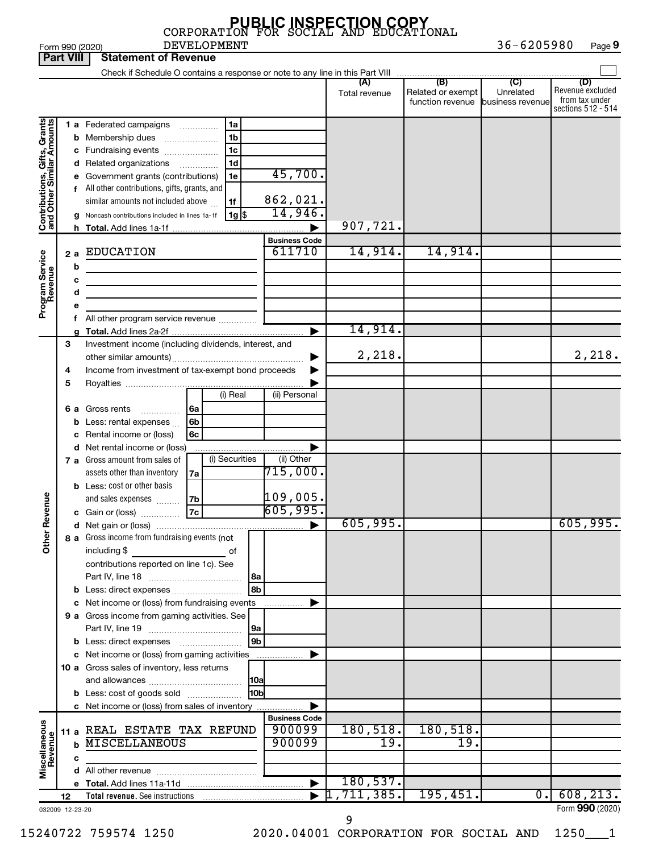|                                                           | 36-6205980<br><b>DEVELOPMENT</b><br>Page 9<br>Form 990 (2020) |     |                                                                                                                                     |                                |                                  |                                                        |                  |                                                                 |  |  |  |  |
|-----------------------------------------------------------|---------------------------------------------------------------|-----|-------------------------------------------------------------------------------------------------------------------------------------|--------------------------------|----------------------------------|--------------------------------------------------------|------------------|-----------------------------------------------------------------|--|--|--|--|
| <b>Part VIII</b>                                          |                                                               |     | <b>Statement of Revenue</b>                                                                                                         |                                |                                  |                                                        |                  |                                                                 |  |  |  |  |
|                                                           |                                                               |     |                                                                                                                                     |                                |                                  |                                                        |                  |                                                                 |  |  |  |  |
|                                                           |                                                               |     |                                                                                                                                     |                                | Total revenue                    | Related or exempt<br>function revenue business revenue | Unrelated        | (D)<br>Revenue excluded<br>from tax under<br>sections 512 - 514 |  |  |  |  |
|                                                           |                                                               |     | 1 a Federated campaigns<br>1a                                                                                                       |                                |                                  |                                                        |                  |                                                                 |  |  |  |  |
| Contributions, Gifts, Grants<br>and Other Similar Amounts |                                                               |     | 1b<br><b>b</b> Membership dues                                                                                                      |                                |                                  |                                                        |                  |                                                                 |  |  |  |  |
|                                                           |                                                               |     | 1c<br>c Fundraising events                                                                                                          |                                |                                  |                                                        |                  |                                                                 |  |  |  |  |
|                                                           |                                                               |     | 1d<br>d Related organizations                                                                                                       |                                |                                  |                                                        |                  |                                                                 |  |  |  |  |
|                                                           |                                                               |     | e Government grants (contributions)<br>1е                                                                                           | 45,700.                        |                                  |                                                        |                  |                                                                 |  |  |  |  |
|                                                           |                                                               |     | f All other contributions, gifts, grants, and                                                                                       |                                |                                  |                                                        |                  |                                                                 |  |  |  |  |
|                                                           |                                                               |     | similar amounts not included above<br>1f                                                                                            | 862,021.                       |                                  |                                                        |                  |                                                                 |  |  |  |  |
|                                                           |                                                               |     | 1g <br>g Noncash contributions included in lines 1a-1f                                                                              | 14,946.                        |                                  |                                                        |                  |                                                                 |  |  |  |  |
|                                                           |                                                               |     |                                                                                                                                     |                                | 907,721.                         |                                                        |                  |                                                                 |  |  |  |  |
|                                                           |                                                               |     |                                                                                                                                     | <b>Business Code</b>           |                                  |                                                        |                  |                                                                 |  |  |  |  |
|                                                           |                                                               | 2 a | <b>EDUCATION</b>                                                                                                                    | 611710                         | 14,914.                          | 14,914.                                                |                  |                                                                 |  |  |  |  |
| Program Service<br>Revenue                                |                                                               | b   | <u> 1989 - Johann Harry Barn, mars ar breist besteht fan de Fryske kommunenter oantal fan de Fryske kommunenter </u>                |                                |                                  |                                                        |                  |                                                                 |  |  |  |  |
|                                                           |                                                               | c   |                                                                                                                                     |                                |                                  |                                                        |                  |                                                                 |  |  |  |  |
|                                                           |                                                               | d   |                                                                                                                                     |                                |                                  |                                                        |                  |                                                                 |  |  |  |  |
|                                                           |                                                               | е   |                                                                                                                                     |                                |                                  |                                                        |                  |                                                                 |  |  |  |  |
|                                                           |                                                               |     | f All other program service revenue                                                                                                 |                                |                                  |                                                        |                  |                                                                 |  |  |  |  |
|                                                           |                                                               |     |                                                                                                                                     |                                | 14,914.                          |                                                        |                  |                                                                 |  |  |  |  |
|                                                           | 3                                                             |     | Investment income (including dividends, interest, and                                                                               |                                |                                  |                                                        |                  |                                                                 |  |  |  |  |
|                                                           |                                                               |     |                                                                                                                                     |                                | 2,218.                           |                                                        |                  | 2,218.                                                          |  |  |  |  |
|                                                           | 4                                                             |     | Income from investment of tax-exempt bond proceeds                                                                                  |                                |                                  |                                                        |                  |                                                                 |  |  |  |  |
|                                                           | 5                                                             |     | (i) Real                                                                                                                            |                                |                                  |                                                        |                  |                                                                 |  |  |  |  |
|                                                           |                                                               |     |                                                                                                                                     | (ii) Personal                  |                                  |                                                        |                  |                                                                 |  |  |  |  |
|                                                           | 6а                                                            |     | Gross rents<br>6a<br>.                                                                                                              |                                |                                  |                                                        |                  |                                                                 |  |  |  |  |
|                                                           |                                                               |     | <b>b</b> Less: rental expenses $\ldots$<br>6b                                                                                       |                                |                                  |                                                        |                  |                                                                 |  |  |  |  |
|                                                           |                                                               |     | c Rental income or (loss)<br>6с                                                                                                     |                                |                                  |                                                        |                  |                                                                 |  |  |  |  |
|                                                           |                                                               |     | d Net rental income or (loss)<br>(i) Securities<br><b>7 a</b> Gross amount from sales of                                            | (ii) Other                     |                                  |                                                        |                  |                                                                 |  |  |  |  |
|                                                           |                                                               |     | assets other than inventory                                                                                                         | $715,000$ .                    |                                  |                                                        |                  |                                                                 |  |  |  |  |
|                                                           |                                                               |     | 7a<br><b>b</b> Less: cost or other basis                                                                                            |                                |                                  |                                                        |                  |                                                                 |  |  |  |  |
|                                                           |                                                               |     | and sales expenses<br>7b                                                                                                            | $\vert 1$ 09,005.              |                                  |                                                        |                  |                                                                 |  |  |  |  |
| evenue                                                    |                                                               |     | 7c<br>c Gain or (loss)                                                                                                              | 605,995.                       |                                  |                                                        |                  |                                                                 |  |  |  |  |
| œ                                                         |                                                               |     |                                                                                                                                     |                                | 605,995.                         |                                                        |                  | 605,995.                                                        |  |  |  |  |
|                                                           |                                                               |     | 8 a Gross income from fundraising events (not                                                                                       |                                |                                  |                                                        |                  |                                                                 |  |  |  |  |
| Other                                                     |                                                               |     | including \$<br>and the contract of the contract of the contract of the contract of the contract of the contract of the contract of |                                |                                  |                                                        |                  |                                                                 |  |  |  |  |
|                                                           |                                                               |     | contributions reported on line 1c). See                                                                                             |                                |                                  |                                                        |                  |                                                                 |  |  |  |  |
|                                                           |                                                               |     | l 8a                                                                                                                                |                                |                                  |                                                        |                  |                                                                 |  |  |  |  |
|                                                           |                                                               |     | 8b                                                                                                                                  |                                |                                  |                                                        |                  |                                                                 |  |  |  |  |
|                                                           |                                                               |     | c Net income or (loss) from fundraising events                                                                                      |                                |                                  |                                                        |                  |                                                                 |  |  |  |  |
|                                                           |                                                               |     | 9 a Gross income from gaming activities. See                                                                                        |                                |                                  |                                                        |                  |                                                                 |  |  |  |  |
|                                                           |                                                               |     | 9a                                                                                                                                  |                                |                                  |                                                        |                  |                                                                 |  |  |  |  |
|                                                           |                                                               |     | 9 <sub>b</sub>                                                                                                                      |                                |                                  |                                                        |                  |                                                                 |  |  |  |  |
|                                                           |                                                               |     | c Net income or (loss) from gaming activities                                                                                       | ▶                              |                                  |                                                        |                  |                                                                 |  |  |  |  |
|                                                           |                                                               |     | 10 a Gross sales of inventory, less returns                                                                                         |                                |                                  |                                                        |                  |                                                                 |  |  |  |  |
|                                                           |                                                               |     | <b>10a</b>                                                                                                                          |                                |                                  |                                                        |                  |                                                                 |  |  |  |  |
|                                                           |                                                               |     | 10b<br><b>b</b> Less: cost of goods sold                                                                                            |                                |                                  |                                                        |                  |                                                                 |  |  |  |  |
|                                                           |                                                               |     | c Net income or (loss) from sales of inventory                                                                                      |                                |                                  |                                                        |                  |                                                                 |  |  |  |  |
|                                                           |                                                               |     |                                                                                                                                     | <b>Business Code</b><br>900099 |                                  |                                                        |                  |                                                                 |  |  |  |  |
|                                                           |                                                               |     | 11 a REAL ESTATE TAX REFUND<br><b>MISCELLANEOUS</b>                                                                                 | 900099                         | 180, 518.<br>19.                 | 180,518.<br>19.                                        |                  |                                                                 |  |  |  |  |
|                                                           |                                                               |     |                                                                                                                                     |                                |                                  |                                                        |                  |                                                                 |  |  |  |  |
| Miscellaneous<br>Revenue                                  |                                                               | с   |                                                                                                                                     |                                |                                  |                                                        |                  |                                                                 |  |  |  |  |
|                                                           |                                                               |     |                                                                                                                                     |                                | 180, 537.                        |                                                        |                  |                                                                 |  |  |  |  |
|                                                           | 12                                                            |     |                                                                                                                                     |                                | $\blacktriangleright$ 1,711,385. | 195,451.                                               | $\overline{0}$ . | 608, 213.                                                       |  |  |  |  |
| 032009 12-23-20                                           |                                                               |     |                                                                                                                                     |                                |                                  |                                                        |                  | Form 990 (2020)                                                 |  |  |  |  |
|                                                           |                                                               |     |                                                                                                                                     |                                | Q                                |                                                        |                  |                                                                 |  |  |  |  |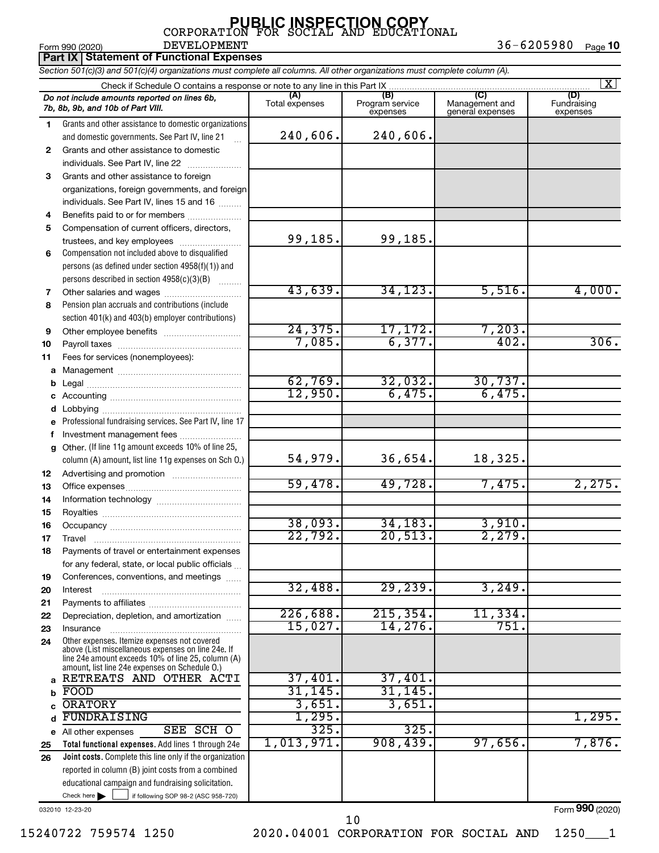Form 990 (2020) Page 36-6205980 Page 10 DEVELOPMENT 36-6205980

|              | <b>Part IX   Statement of Functional Expenses</b>                                                                                                                                                          |                       |                                    |                                    |                                |  |  |  |  |  |
|--------------|------------------------------------------------------------------------------------------------------------------------------------------------------------------------------------------------------------|-----------------------|------------------------------------|------------------------------------|--------------------------------|--|--|--|--|--|
|              | Section 501(c)(3) and 501(c)(4) organizations must complete all columns. All other organizations must complete column (A).                                                                                 |                       |                                    |                                    |                                |  |  |  |  |  |
|              | Check if Schedule O contains a response or note to any line in this Part IX                                                                                                                                |                       |                                    |                                    | $\mathbf{X}$                   |  |  |  |  |  |
|              | Do not include amounts reported on lines 6b,<br>7b, 8b, 9b, and 10b of Part VIII.                                                                                                                          | (A)<br>Total expenses | (B)<br>Program service<br>expenses | Management and<br>general expenses | (D)<br>Fundraising<br>expenses |  |  |  |  |  |
| 1            | Grants and other assistance to domestic organizations                                                                                                                                                      |                       |                                    |                                    |                                |  |  |  |  |  |
|              | and domestic governments. See Part IV, line 21                                                                                                                                                             | 240,606.              | 240,606.                           |                                    |                                |  |  |  |  |  |
| $\mathbf{2}$ | Grants and other assistance to domestic                                                                                                                                                                    |                       |                                    |                                    |                                |  |  |  |  |  |
|              | individuals. See Part IV, line 22                                                                                                                                                                          |                       |                                    |                                    |                                |  |  |  |  |  |
| 3            | Grants and other assistance to foreign                                                                                                                                                                     |                       |                                    |                                    |                                |  |  |  |  |  |
|              | organizations, foreign governments, and foreign                                                                                                                                                            |                       |                                    |                                    |                                |  |  |  |  |  |
|              | individuals. See Part IV, lines 15 and 16                                                                                                                                                                  |                       |                                    |                                    |                                |  |  |  |  |  |
| 4            | Benefits paid to or for members                                                                                                                                                                            |                       |                                    |                                    |                                |  |  |  |  |  |
| 5            | Compensation of current officers, directors,                                                                                                                                                               |                       |                                    |                                    |                                |  |  |  |  |  |
|              | trustees, and key employees                                                                                                                                                                                | 99,185.               | 99,185.                            |                                    |                                |  |  |  |  |  |
| 6            | Compensation not included above to disqualified                                                                                                                                                            |                       |                                    |                                    |                                |  |  |  |  |  |
|              | persons (as defined under section 4958(f)(1)) and                                                                                                                                                          |                       |                                    |                                    |                                |  |  |  |  |  |
|              | persons described in section 4958(c)(3)(B)                                                                                                                                                                 |                       |                                    |                                    |                                |  |  |  |  |  |
| 7            | Other salaries and wages                                                                                                                                                                                   | 43,639.               | 34, 123.                           | 5,516.                             | 4,000.                         |  |  |  |  |  |
| 8            | Pension plan accruals and contributions (include                                                                                                                                                           |                       |                                    |                                    |                                |  |  |  |  |  |
|              | section 401(k) and 403(b) employer contributions)                                                                                                                                                          |                       |                                    |                                    |                                |  |  |  |  |  |
| 9            |                                                                                                                                                                                                            | 24, 375.<br>7,085.    | 17, 172.<br>6, 377.                | 7,203.<br>402.                     | 306.                           |  |  |  |  |  |
| 10           |                                                                                                                                                                                                            |                       |                                    |                                    |                                |  |  |  |  |  |
| 11           | Fees for services (nonemployees):                                                                                                                                                                          |                       |                                    |                                    |                                |  |  |  |  |  |
| a            |                                                                                                                                                                                                            | 62,769.               | 32,032.                            | 30,737.                            |                                |  |  |  |  |  |
| b            |                                                                                                                                                                                                            | 12,950.               | 6,475.                             | 6,475.                             |                                |  |  |  |  |  |
|              |                                                                                                                                                                                                            |                       |                                    |                                    |                                |  |  |  |  |  |
| d            | Professional fundraising services. See Part IV, line 17                                                                                                                                                    |                       |                                    |                                    |                                |  |  |  |  |  |
| f            | Investment management fees                                                                                                                                                                                 |                       |                                    |                                    |                                |  |  |  |  |  |
| a            | Other. (If line 11g amount exceeds 10% of line 25,                                                                                                                                                         |                       |                                    |                                    |                                |  |  |  |  |  |
|              | column (A) amount, list line 11g expenses on Sch O.)                                                                                                                                                       | 54,979.               | 36,654.                            | 18,325.                            |                                |  |  |  |  |  |
| 12           | Advertising and promotion <i>manually contained</i>                                                                                                                                                        |                       |                                    |                                    |                                |  |  |  |  |  |
| 13           |                                                                                                                                                                                                            | 59,478.               | 49,728.                            | 7,475.                             | 2,275.                         |  |  |  |  |  |
| 14           |                                                                                                                                                                                                            |                       |                                    |                                    |                                |  |  |  |  |  |
| 15           |                                                                                                                                                                                                            |                       |                                    |                                    |                                |  |  |  |  |  |
| 16           |                                                                                                                                                                                                            | 38,093.               | 34, 183.                           | 3,910.                             |                                |  |  |  |  |  |
| 17           | Travel                                                                                                                                                                                                     | 22,792.               | 20,513.                            | 2,279.                             |                                |  |  |  |  |  |
| 18           | Payments of travel or entertainment expenses                                                                                                                                                               |                       |                                    |                                    |                                |  |  |  |  |  |
|              | for any federal, state, or local public officials                                                                                                                                                          |                       |                                    |                                    |                                |  |  |  |  |  |
| 19           | Conferences, conventions, and meetings                                                                                                                                                                     |                       |                                    |                                    |                                |  |  |  |  |  |
| 20           | Interest                                                                                                                                                                                                   | 32,488.               | 29, 239.                           | 3,249.                             |                                |  |  |  |  |  |
| 21           |                                                                                                                                                                                                            |                       |                                    |                                    |                                |  |  |  |  |  |
| 22           | Depreciation, depletion, and amortization                                                                                                                                                                  | 226,688.              | 215, 354.                          | 11,334.                            |                                |  |  |  |  |  |
| 23           | Insurance                                                                                                                                                                                                  | 15,027.               | 14,276.                            | 751.                               |                                |  |  |  |  |  |
| 24           | Other expenses. Itemize expenses not covered<br>above (List miscellaneous expenses on line 24e. If<br>line 24e amount exceeds 10% of line 25, column (A)<br>amount, list line 24e expenses on Schedule O.) |                       |                                    |                                    |                                |  |  |  |  |  |
|              | a RETREATS AND OTHER ACTI                                                                                                                                                                                  | 37,401.               | 37,401.                            |                                    |                                |  |  |  |  |  |
| b            | FOOD                                                                                                                                                                                                       | 31, 145.              | 31, 145.                           |                                    |                                |  |  |  |  |  |
| <sub>c</sub> | <b>ORATORY</b>                                                                                                                                                                                             | 3,651.                | 3,651.                             |                                    |                                |  |  |  |  |  |
| d            | FUNDRAISING                                                                                                                                                                                                | 1,295.                |                                    |                                    | 1,295.                         |  |  |  |  |  |
|              | SEE SCH O<br>e All other expenses                                                                                                                                                                          | 325.                  | 325.                               |                                    |                                |  |  |  |  |  |
| 25           | Total functional expenses. Add lines 1 through 24e                                                                                                                                                         | 1,013,971.            | 908,439.                           | 97,656.                            | 7,876.                         |  |  |  |  |  |
| 26           | Joint costs. Complete this line only if the organization                                                                                                                                                   |                       |                                    |                                    |                                |  |  |  |  |  |
|              | reported in column (B) joint costs from a combined                                                                                                                                                         |                       |                                    |                                    |                                |  |  |  |  |  |
|              | educational campaign and fundraising solicitation.                                                                                                                                                         |                       |                                    |                                    |                                |  |  |  |  |  |
|              | Check here $\blacktriangleright$<br>if following SOP 98-2 (ASC 958-720)                                                                                                                                    |                       |                                    |                                    |                                |  |  |  |  |  |

032010 12-23-20

Form (2020) **990**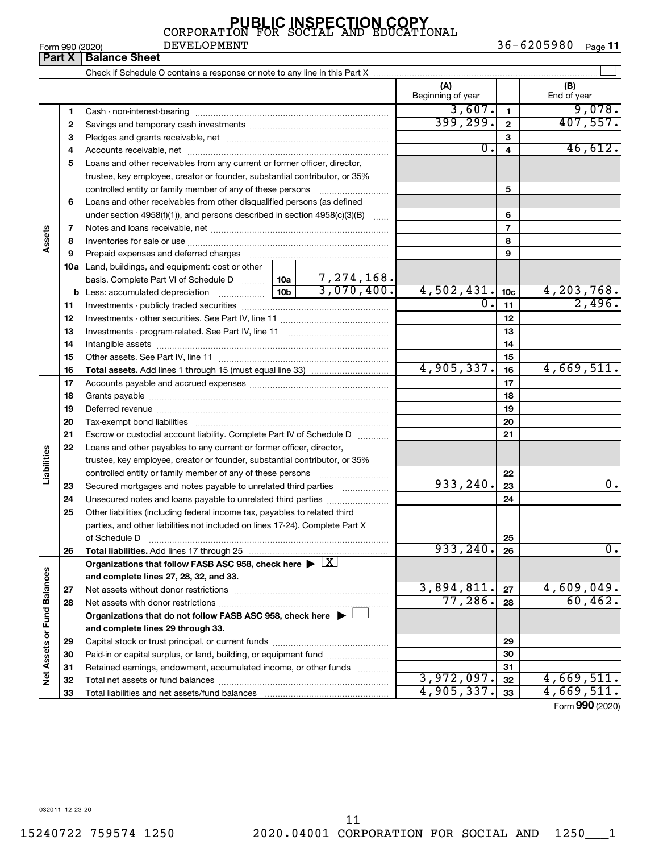|  | Form 990 (2020) |
|--|-----------------|
|  |                 |

**Part X Balance Sheet** DEVELOPMENT

|                             |          |                                                                                    |  |    | (A)<br>Beginning of year |                 | (B)<br>End of year           |
|-----------------------------|----------|------------------------------------------------------------------------------------|--|----|--------------------------|-----------------|------------------------------|
|                             | 1        |                                                                                    |  |    | 3,607.                   | $\mathbf{1}$    | 9,078.                       |
|                             | 2        |                                                                                    |  |    | 399, 299.                | $\mathbf{2}$    | 407,557.                     |
|                             | з        |                                                                                    |  |    |                          | 3               |                              |
|                             | 4        |                                                                                    |  |    | $\overline{0}$ .         | 4               | 46,612.                      |
|                             | 5        | Loans and other receivables from any current or former officer, director,          |  |    |                          |                 |                              |
|                             |          | trustee, key employee, creator or founder, substantial contributor, or 35%         |  |    |                          |                 |                              |
|                             |          | controlled entity or family member of any of these persons                         |  |    |                          | 5               |                              |
|                             | 6        | Loans and other receivables from other disqualified persons (as defined            |  |    |                          |                 |                              |
|                             |          | under section 4958(f)(1)), and persons described in section 4958(c)(3)(B)          |  |    |                          | 6               |                              |
|                             | 7        |                                                                                    |  |    |                          | $\overline{7}$  |                              |
| Assets                      | 8        |                                                                                    |  |    |                          | 8               |                              |
|                             | 9        |                                                                                    |  |    |                          | 9               |                              |
|                             |          | 10a Land, buildings, and equipment: cost or other                                  |  |    |                          |                 |                              |
|                             |          |                                                                                    |  |    |                          |                 |                              |
|                             |          |                                                                                    |  |    | 4,502,431.               | 10 <sub>c</sub> | $\frac{4,203,768}{2,496}$    |
|                             | 11       |                                                                                    |  |    | $\overline{0}$ .         | 11              |                              |
|                             | 12       |                                                                                    |  |    | 12                       |                 |                              |
|                             | 13       |                                                                                    |  | 13 |                          |                 |                              |
|                             | 14       |                                                                                    |  | 14 |                          |                 |                              |
|                             | 15       |                                                                                    |  |    | 15                       |                 |                              |
|                             | 16       |                                                                                    |  |    | 4,905,337.               | 16              | 4,669,511.                   |
|                             | 17       |                                                                                    |  |    |                          | 17              |                              |
|                             | 18       |                                                                                    |  | 18 |                          |                 |                              |
|                             | 19       |                                                                                    |  |    | 19                       |                 |                              |
|                             | 20       |                                                                                    |  |    |                          | 20              |                              |
|                             | 21       | Escrow or custodial account liability. Complete Part IV of Schedule D              |  |    |                          | 21              |                              |
|                             | 22       | Loans and other payables to any current or former officer, director,               |  |    |                          |                 |                              |
| Liabilities                 |          | trustee, key employee, creator or founder, substantial contributor, or 35%         |  |    |                          |                 |                              |
|                             |          | controlled entity or family member of any of these persons                         |  |    |                          | 22              |                              |
|                             | 23       | Secured mortgages and notes payable to unrelated third parties                     |  |    | 933, 240.                | 23              | $\overline{0}$ .             |
|                             | 24       | Unsecured notes and loans payable to unrelated third parties                       |  |    |                          | 24              |                              |
|                             | 25       | Other liabilities (including federal income tax, payables to related third         |  |    |                          |                 |                              |
|                             |          | parties, and other liabilities not included on lines 17-24). Complete Part X       |  |    |                          |                 |                              |
|                             |          | of Schedule D                                                                      |  |    | 933, 240.                | 25              | $\overline{0}$ .             |
|                             | 26       | Total liabilities. Add lines 17 through 25                                         |  |    |                          | 26              |                              |
|                             |          | Organizations that follow FASB ASC 958, check here $\blacktriangleright \boxed{X}$ |  |    |                          |                 |                              |
|                             |          | and complete lines 27, 28, 32, and 33.                                             |  |    | 3,894,811.               | 27              |                              |
|                             | 27<br>28 |                                                                                    |  |    | 77,286.                  | 28              | $\frac{4,609,049.}{60,462.}$ |
|                             |          | Organizations that do not follow FASB ASC 958, check here $\blacktriangleright$    |  |    |                          |                 |                              |
|                             |          | and complete lines 29 through 33.                                                  |  |    |                          |                 |                              |
|                             |          |                                                                                    |  |    |                          | 29              |                              |
|                             | 29<br>30 | Paid-in or capital surplus, or land, building, or equipment fund                   |  |    |                          | 30              |                              |
|                             | 31       | Retained earnings, endowment, accumulated income, or other funds                   |  |    |                          | 31              |                              |
| Net Assets or Fund Balances | 32       |                                                                                    |  |    | 3,972,097.               | 32              | 4,669,511.                   |
|                             | 33       |                                                                                    |  |    | 4,905,337.               | 33              | 4,669,511.                   |

Form (2020) **990**

032011 12-23-20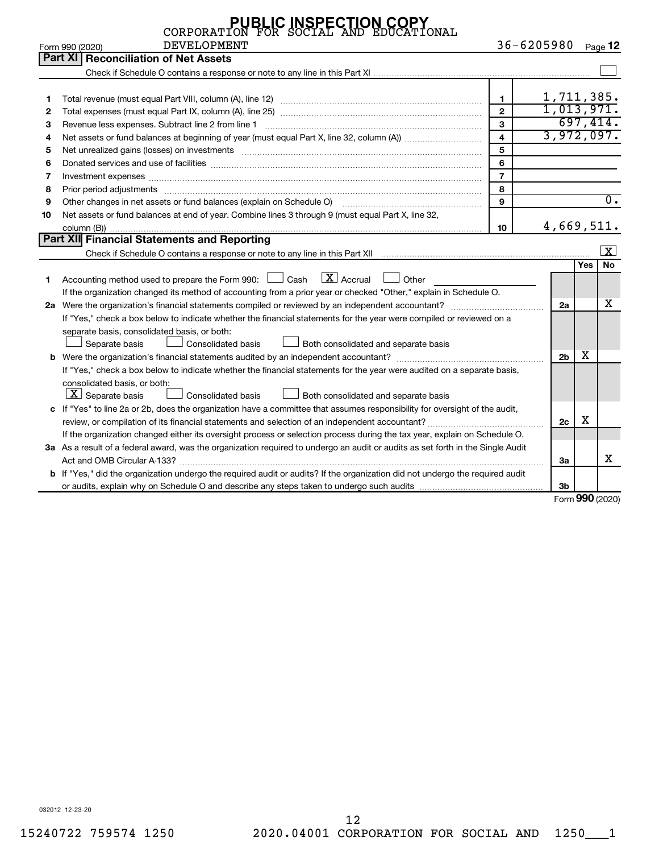|    | <b>PUBLIC INSPECTION COPY</b><br>CORPORATION FOR SOCIAL AND EDUCATION<br>ONAL                                                                                                                                                  |                |                  |     |                     |
|----|--------------------------------------------------------------------------------------------------------------------------------------------------------------------------------------------------------------------------------|----------------|------------------|-----|---------------------|
|    | <b>DEVELOPMENT</b><br>Form 990 (2020)                                                                                                                                                                                          |                | $36 - 6205980$   |     | Page $\sf{12}$      |
|    | Part XI<br><b>Reconciliation of Net Assets</b>                                                                                                                                                                                 |                |                  |     |                     |
|    |                                                                                                                                                                                                                                |                |                  |     |                     |
|    |                                                                                                                                                                                                                                |                |                  |     |                     |
| 1  |                                                                                                                                                                                                                                | $\mathbf{1}$   | 1,711,385.       |     |                     |
| 2  |                                                                                                                                                                                                                                | $\overline{2}$ | 1,013,971.       |     |                     |
| 3  | Revenue less expenses. Subtract line 2 from line 1                                                                                                                                                                             | $\overline{3}$ |                  |     | 697,414.            |
| 4  |                                                                                                                                                                                                                                | $\overline{4}$ | 3,972,097.       |     |                     |
| 5  | Net unrealized gains (losses) on investments [111] matter in the contract of the contract of the contract of the contract of the contract of the contract of the contract of the contract of the contract of the contract of t | 5              |                  |     |                     |
| 6  |                                                                                                                                                                                                                                | 6              |                  |     |                     |
| 7  | Investment expenses [[11] https://www.facebook.com/www.facebook.com/www.facebook.com/www.facebook.com/www.facebook.com/www.facebook.com/www.facebook.com/www.facebook.com/www.facebook.com/www.facebook.com/www.facebook.com/w | $\overline{7}$ |                  |     |                     |
| 8  | Prior period adjustments [111] matter contracts and adjustments and account and account of the contracts and account of the contracts and account of the contracts and account of the contracts and account of the contracts a | 8              |                  |     |                     |
| 9  | Other changes in net assets or fund balances (explain on Schedule O) manufactured controller changes in net assets or fund balances (explain on Schedule O)                                                                    | 9              |                  |     | $\overline{0}$ .    |
| 10 | Net assets or fund balances at end of year. Combine lines 3 through 9 (must equal Part X, line 32,                                                                                                                             |                |                  |     |                     |
|    |                                                                                                                                                                                                                                | 10             | 4,669,511.       |     |                     |
|    | Part XII Financial Statements and Reporting                                                                                                                                                                                    |                |                  |     |                     |
|    |                                                                                                                                                                                                                                |                |                  |     | $\vert x \vert$     |
|    |                                                                                                                                                                                                                                |                |                  | Yes | <b>No</b>           |
| 1  | Accounting method used to prepare the Form 990: $\Box$ Cash $\Box$ Accrual $\Box$<br>Other                                                                                                                                     |                |                  |     |                     |
|    | If the organization changed its method of accounting from a prior year or checked "Other," explain in Schedule O.                                                                                                              |                |                  |     |                     |
|    |                                                                                                                                                                                                                                |                | 2a               |     | х                   |
|    | If "Yes," check a box below to indicate whether the financial statements for the year were compiled or reviewed on a                                                                                                           |                |                  |     |                     |
|    | separate basis, consolidated basis, or both:                                                                                                                                                                                   |                |                  |     |                     |
|    | Consolidated basis<br>Separate basis<br><b>Both consolidated and separate basis</b>                                                                                                                                            |                |                  |     |                     |
|    |                                                                                                                                                                                                                                |                | 2 <sub>b</sub>   | X   |                     |
|    | If "Yes," check a box below to indicate whether the financial statements for the year were audited on a separate basis,                                                                                                        |                |                  |     |                     |
|    | consolidated basis, or both:                                                                                                                                                                                                   |                |                  |     |                     |
|    | $\boxed{\textbf{X}}$ Separate basis<br>Consolidated basis<br>Both consolidated and separate basis                                                                                                                              |                |                  |     |                     |
|    | c If "Yes" to line 2a or 2b, does the organization have a committee that assumes responsibility for oversight of the audit,                                                                                                    |                |                  |     |                     |
|    |                                                                                                                                                                                                                                |                | 2c               | х   |                     |
|    | If the organization changed either its oversight process or selection process during the tax year, explain on Schedule O.                                                                                                      |                |                  |     |                     |
|    | 3a As a result of a federal award, was the organization required to undergo an audit or audits as set forth in the Single Audit                                                                                                |                |                  |     |                     |
|    |                                                                                                                                                                                                                                |                | За               |     | x                   |
|    | b If "Yes," did the organization undergo the required audit or audits? If the organization did not undergo the required audit                                                                                                  |                |                  |     |                     |
|    |                                                                                                                                                                                                                                |                | 3 <sub>b</sub>   |     |                     |
|    |                                                                                                                                                                                                                                |                | $\Gamma$ is some |     | $000 \text{ hours}$ |

Form (2020) **990**

032012 12-23-20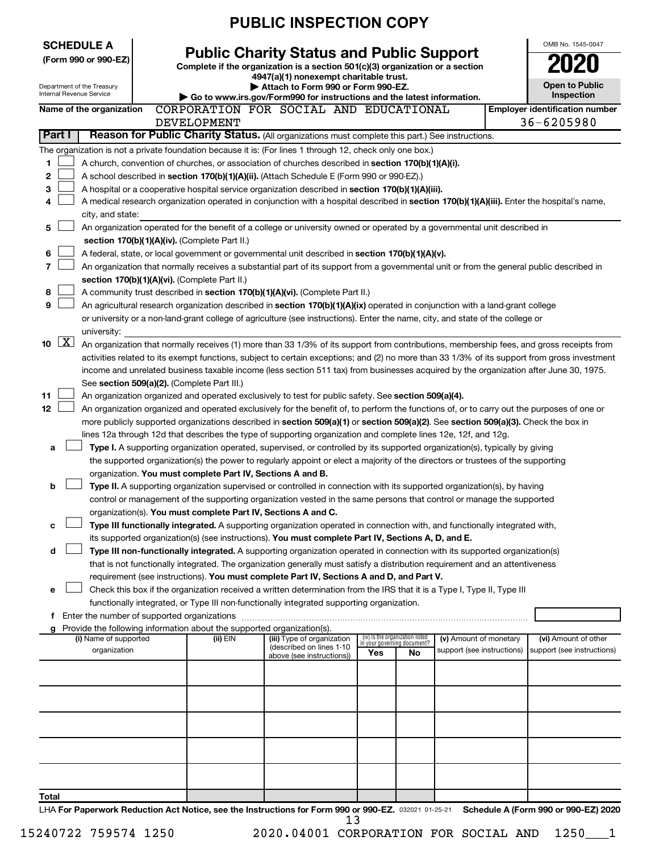|                          | <b>PUBLIC INSPECTION COPY</b>                        |  |                                                                        |                                                                                                                                                                                                                                                      |                                                                |    |                            |  |                                                     |  |
|--------------------------|------------------------------------------------------|--|------------------------------------------------------------------------|------------------------------------------------------------------------------------------------------------------------------------------------------------------------------------------------------------------------------------------------------|----------------------------------------------------------------|----|----------------------------|--|-----------------------------------------------------|--|
|                          | <b>SCHEDULE A</b>                                    |  |                                                                        |                                                                                                                                                                                                                                                      |                                                                |    |                            |  | OMB No. 1545-0047                                   |  |
|                          | (Form 990 or 990-EZ)                                 |  |                                                                        | <b>Public Charity Status and Public Support</b>                                                                                                                                                                                                      |                                                                |    |                            |  | 020                                                 |  |
|                          |                                                      |  |                                                                        | Complete if the organization is a section 501(c)(3) organization or a section<br>4947(a)(1) nonexempt charitable trust.                                                                                                                              |                                                                |    |                            |  |                                                     |  |
|                          | Department of the Treasury                           |  |                                                                        | Attach to Form 990 or Form 990-EZ.                                                                                                                                                                                                                   |                                                                |    |                            |  | <b>Open to Public</b>                               |  |
|                          | <b>Internal Revenue Service</b>                      |  |                                                                        | Go to www.irs.gov/Form990 for instructions and the latest information.                                                                                                                                                                               |                                                                |    |                            |  | Inspection                                          |  |
|                          | Name of the organization                             |  | <b>DEVELOPMENT</b>                                                     | CORPORATION FOR SOCIAL AND EDUCATIONAL                                                                                                                                                                                                               |                                                                |    |                            |  | <b>Employer identification number</b><br>36-6205980 |  |
| Part I                   |                                                      |  |                                                                        | Reason for Public Charity Status. (All organizations must complete this part.) See instructions.                                                                                                                                                     |                                                                |    |                            |  |                                                     |  |
|                          |                                                      |  |                                                                        | The organization is not a private foundation because it is: (For lines 1 through 12, check only one box.)                                                                                                                                            |                                                                |    |                            |  |                                                     |  |
| 1                        |                                                      |  |                                                                        | A church, convention of churches, or association of churches described in section 170(b)(1)(A)(i).                                                                                                                                                   |                                                                |    |                            |  |                                                     |  |
| 2                        |                                                      |  |                                                                        | A school described in section 170(b)(1)(A)(ii). (Attach Schedule E (Form 990 or 990-EZ).)                                                                                                                                                            |                                                                |    |                            |  |                                                     |  |
| 3                        |                                                      |  |                                                                        | A hospital or a cooperative hospital service organization described in section 170(b)(1)(A)(iii).                                                                                                                                                    |                                                                |    |                            |  |                                                     |  |
| 4                        |                                                      |  |                                                                        | A medical research organization operated in conjunction with a hospital described in section 170(b)(1)(A)(iii). Enter the hospital's name,                                                                                                           |                                                                |    |                            |  |                                                     |  |
|                          | city, and state:                                     |  |                                                                        |                                                                                                                                                                                                                                                      |                                                                |    |                            |  |                                                     |  |
| 5                        |                                                      |  |                                                                        | An organization operated for the benefit of a college or university owned or operated by a governmental unit described in                                                                                                                            |                                                                |    |                            |  |                                                     |  |
|                          |                                                      |  | section 170(b)(1)(A)(iv). (Complete Part II.)                          |                                                                                                                                                                                                                                                      |                                                                |    |                            |  |                                                     |  |
| 6<br>7                   |                                                      |  |                                                                        | A federal, state, or local government or governmental unit described in section 170(b)(1)(A)(v).                                                                                                                                                     |                                                                |    |                            |  |                                                     |  |
|                          |                                                      |  | section 170(b)(1)(A)(vi). (Complete Part II.)                          | An organization that normally receives a substantial part of its support from a governmental unit or from the general public described in                                                                                                            |                                                                |    |                            |  |                                                     |  |
| 8                        |                                                      |  |                                                                        | A community trust described in section 170(b)(1)(A)(vi). (Complete Part II.)                                                                                                                                                                         |                                                                |    |                            |  |                                                     |  |
| 9                        |                                                      |  |                                                                        | An agricultural research organization described in section 170(b)(1)(A)(ix) operated in conjunction with a land-grant college                                                                                                                        |                                                                |    |                            |  |                                                     |  |
|                          |                                                      |  |                                                                        | or university or a non-land-grant college of agriculture (see instructions). Enter the name, city, and state of the college or                                                                                                                       |                                                                |    |                            |  |                                                     |  |
|                          | university:                                          |  |                                                                        |                                                                                                                                                                                                                                                      |                                                                |    |                            |  |                                                     |  |
| $\boxed{\text{X}}$<br>10 |                                                      |  |                                                                        | An organization that normally receives (1) more than 33 1/3% of its support from contributions, membership fees, and gross receipts from                                                                                                             |                                                                |    |                            |  |                                                     |  |
|                          |                                                      |  |                                                                        | activities related to its exempt functions, subject to certain exceptions; and (2) no more than 33 1/3% of its support from gross investment                                                                                                         |                                                                |    |                            |  |                                                     |  |
|                          |                                                      |  |                                                                        | income and unrelated business taxable income (less section 511 tax) from businesses acquired by the organization after June 30, 1975.                                                                                                                |                                                                |    |                            |  |                                                     |  |
|                          |                                                      |  | See section 509(a)(2). (Complete Part III.)                            |                                                                                                                                                                                                                                                      |                                                                |    |                            |  |                                                     |  |
| 11                       |                                                      |  |                                                                        | An organization organized and operated exclusively to test for public safety. See section 509(a)(4).                                                                                                                                                 |                                                                |    |                            |  |                                                     |  |
| 12                       |                                                      |  |                                                                        | An organization organized and operated exclusively for the benefit of, to perform the functions of, or to carry out the purposes of one or                                                                                                           |                                                                |    |                            |  |                                                     |  |
|                          |                                                      |  |                                                                        | more publicly supported organizations described in section 509(a)(1) or section 509(a)(2). See section 509(a)(3). Check the box in<br>lines 12a through 12d that describes the type of supporting organization and complete lines 12e, 12f, and 12g. |                                                                |    |                            |  |                                                     |  |
| a                        |                                                      |  |                                                                        | Type I. A supporting organization operated, supervised, or controlled by its supported organization(s), typically by giving                                                                                                                          |                                                                |    |                            |  |                                                     |  |
|                          |                                                      |  |                                                                        | the supported organization(s) the power to regularly appoint or elect a majority of the directors or trustees of the supporting                                                                                                                      |                                                                |    |                            |  |                                                     |  |
|                          |                                                      |  | organization. You must complete Part IV, Sections A and B.             |                                                                                                                                                                                                                                                      |                                                                |    |                            |  |                                                     |  |
| b                        |                                                      |  |                                                                        | Type II. A supporting organization supervised or controlled in connection with its supported organization(s), by having                                                                                                                              |                                                                |    |                            |  |                                                     |  |
|                          |                                                      |  |                                                                        | control or management of the supporting organization vested in the same persons that control or manage the supported                                                                                                                                 |                                                                |    |                            |  |                                                     |  |
|                          |                                                      |  | organization(s). You must complete Part IV, Sections A and C.          |                                                                                                                                                                                                                                                      |                                                                |    |                            |  |                                                     |  |
|                          |                                                      |  |                                                                        | Type III functionally integrated. A supporting organization operated in connection with, and functionally integrated with,                                                                                                                           |                                                                |    |                            |  |                                                     |  |
|                          |                                                      |  |                                                                        | its supported organization(s) (see instructions). You must complete Part IV, Sections A, D, and E.                                                                                                                                                   |                                                                |    |                            |  |                                                     |  |
| d                        |                                                      |  |                                                                        | Type III non-functionally integrated. A supporting organization operated in connection with its supported organization(s)                                                                                                                            |                                                                |    |                            |  |                                                     |  |
|                          |                                                      |  |                                                                        | that is not functionally integrated. The organization generally must satisfy a distribution requirement and an attentiveness                                                                                                                         |                                                                |    |                            |  |                                                     |  |
|                          |                                                      |  |                                                                        | requirement (see instructions). You must complete Part IV, Sections A and D, and Part V.                                                                                                                                                             |                                                                |    |                            |  |                                                     |  |
| е                        |                                                      |  |                                                                        | Check this box if the organization received a written determination from the IRS that it is a Type I, Type II, Type III<br>functionally integrated, or Type III non-functionally integrated supporting organization.                                 |                                                                |    |                            |  |                                                     |  |
|                          | <b>f</b> Enter the number of supported organizations |  |                                                                        |                                                                                                                                                                                                                                                      |                                                                |    |                            |  |                                                     |  |
|                          |                                                      |  | Provide the following information about the supported organization(s). |                                                                                                                                                                                                                                                      |                                                                |    |                            |  |                                                     |  |
|                          | (i) Name of supported                                |  | (ii) EIN                                                               | (iii) Type of organization                                                                                                                                                                                                                           | (iv) Is the organization listed<br>in your governing document? |    | (v) Amount of monetary     |  | (vi) Amount of other                                |  |
|                          | organization                                         |  |                                                                        | (described on lines 1-10<br>above (see instructions))                                                                                                                                                                                                | Yes                                                            | No | support (see instructions) |  | support (see instructions)                          |  |
|                          |                                                      |  |                                                                        |                                                                                                                                                                                                                                                      |                                                                |    |                            |  |                                                     |  |
|                          |                                                      |  |                                                                        |                                                                                                                                                                                                                                                      |                                                                |    |                            |  |                                                     |  |
|                          |                                                      |  |                                                                        |                                                                                                                                                                                                                                                      |                                                                |    |                            |  |                                                     |  |
|                          |                                                      |  |                                                                        |                                                                                                                                                                                                                                                      |                                                                |    |                            |  |                                                     |  |
|                          |                                                      |  |                                                                        |                                                                                                                                                                                                                                                      |                                                                |    |                            |  |                                                     |  |
|                          |                                                      |  |                                                                        |                                                                                                                                                                                                                                                      |                                                                |    |                            |  |                                                     |  |
|                          |                                                      |  |                                                                        |                                                                                                                                                                                                                                                      |                                                                |    |                            |  |                                                     |  |
|                          |                                                      |  |                                                                        |                                                                                                                                                                                                                                                      |                                                                |    |                            |  |                                                     |  |
|                          |                                                      |  |                                                                        |                                                                                                                                                                                                                                                      |                                                                |    |                            |  |                                                     |  |
| Total                    |                                                      |  |                                                                        |                                                                                                                                                                                                                                                      |                                                                |    |                            |  |                                                     |  |
|                          |                                                      |  |                                                                        |                                                                                                                                                                                                                                                      |                                                                |    |                            |  |                                                     |  |

LHA For Paperwork Reduction Act Notice, see the Instructions for Form 990 or 990-EZ. 032021 01-25-21 Schedule A (Form 990 or 990-EZ) 2020 13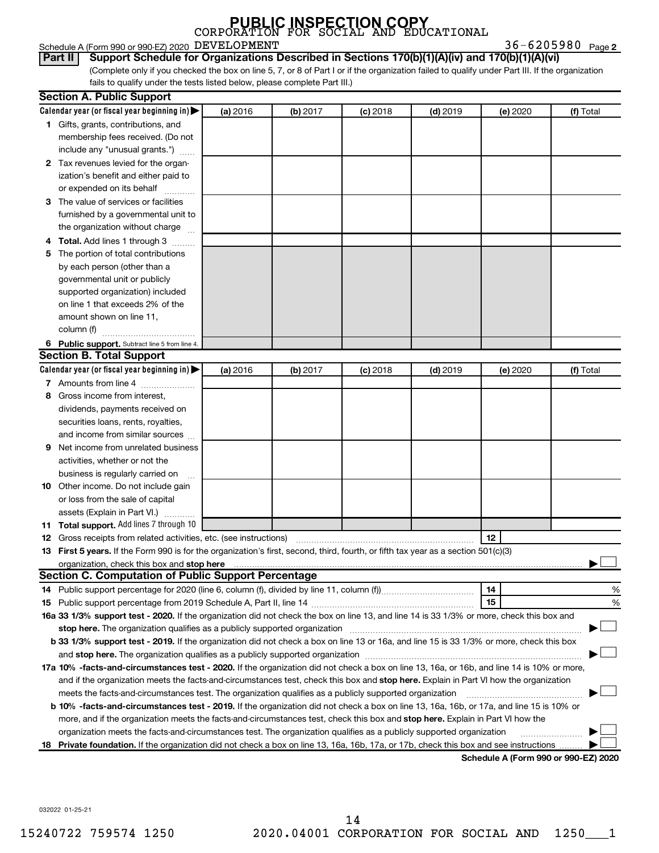| <b>PUBLIC INSPECTION COPY</b><br>CORPORATION FOR SOCIAL AND EDUCATIONAL |  |  |
|-------------------------------------------------------------------------|--|--|
|                                                                         |  |  |

|  |  | Schedule A (Form 990 or 990-EZ) 2020 $\,$ $\rm DEVELOPMENT$ | $36 - 6205980$ Page 2 |  |
|--|--|-------------------------------------------------------------|-----------------------|--|
|--|--|-------------------------------------------------------------|-----------------------|--|

**Part II Support Schedule for Organizations Described in Sections 170(b)(1)(A)(iv) and 170(b)(1)(A)(vi)**

(Complete only if you checked the box on line 5, 7, or 8 of Part I or if the organization failed to qualify under Part III. If the organization fails to qualify under the tests listed below, please complete Part III.)

| Calendar year (or fiscal year beginning in)<br>(a) 2016<br>(b) 2017<br>$(c)$ 2018<br>$(d)$ 2019<br>(e) 2020<br>(f) Total<br>1 Gifts, grants, contributions, and<br>membership fees received. (Do not<br>include any "unusual grants.")<br>2 Tax revenues levied for the organ-<br>ization's benefit and either paid to<br>or expended on its behalf<br>3 The value of services or facilities<br>furnished by a governmental unit to<br>the organization without charge<br>4 Total. Add lines 1 through 3<br>The portion of total contributions<br>5<br>by each person (other than a<br>governmental unit or publicly<br>supported organization) included<br>on line 1 that exceeds 2% of the<br>amount shown on line 11,<br>column (f)<br>6 Public support. Subtract line 5 from line 4.<br><b>Section B. Total Support</b><br>Calendar year (or fiscal year beginning in)<br>(a) 2016<br>(b) 2017<br>$(c)$ 2018<br>$(d)$ 2019<br>(f) Total<br>(e) 2020<br>7 Amounts from line 4<br>Gross income from interest,<br>8<br>dividends, payments received on<br>securities loans, rents, royalties,<br>and income from similar sources<br>Net income from unrelated business<br>9<br>activities, whether or not the<br>business is regularly carried on<br>10 Other income. Do not include gain<br>or loss from the sale of capital<br>assets (Explain in Part VI.)<br>11 Total support. Add lines 7 through 10<br>12<br>13 First 5 years. If the Form 990 is for the organization's first, second, third, fourth, or fifth tax year as a section 501(c)(3)<br><b>Section C. Computation of Public Support Percentage</b><br>14<br>15<br>16a 33 1/3% support test - 2020. If the organization did not check the box on line 13, and line 14 is 33 1/3% or more, check this box and<br>stop here. The organization qualifies as a publicly supported organization manufactured content and the organization<br>b 33 1/3% support test - 2019. If the organization did not check a box on line 13 or 16a, and line 15 is 33 1/3% or more, check this box<br>17a 10% -facts-and-circumstances test - 2020. If the organization did not check a box on line 13, 16a, or 16b, and line 14 is 10% or more,<br>and if the organization meets the facts-and-circumstances test, check this box and stop here. Explain in Part VI how the organization<br>meets the facts-and-circumstances test. The organization qualifies as a publicly supported organization<br><b>b 10%</b> -facts-and-circumstances test - 2019. If the organization did not check a box on line 13, 16a, 16b, or 17a, and line 15 is 10% or | <b>Section A. Public Support</b> |  |  |   |
|-------------------------------------------------------------------------------------------------------------------------------------------------------------------------------------------------------------------------------------------------------------------------------------------------------------------------------------------------------------------------------------------------------------------------------------------------------------------------------------------------------------------------------------------------------------------------------------------------------------------------------------------------------------------------------------------------------------------------------------------------------------------------------------------------------------------------------------------------------------------------------------------------------------------------------------------------------------------------------------------------------------------------------------------------------------------------------------------------------------------------------------------------------------------------------------------------------------------------------------------------------------------------------------------------------------------------------------------------------------------------------------------------------------------------------------------------------------------------------------------------------------------------------------------------------------------------------------------------------------------------------------------------------------------------------------------------------------------------------------------------------------------------------------------------------------------------------------------------------------------------------------------------------------------------------------------------------------------------------------------------------------------------------------------------------------------------------------------------------------------------------------------------------------------------------------------------------------------------------------------------------------------------------------------------------------------------------------------------------------------------------------------------------------------------------------------------------------------------------------------------------------------------------------------------------------------------------------------------------|----------------------------------|--|--|---|
|                                                                                                                                                                                                                                                                                                                                                                                                                                                                                                                                                                                                                                                                                                                                                                                                                                                                                                                                                                                                                                                                                                                                                                                                                                                                                                                                                                                                                                                                                                                                                                                                                                                                                                                                                                                                                                                                                                                                                                                                                                                                                                                                                                                                                                                                                                                                                                                                                                                                                                                                                                                                       |                                  |  |  |   |
|                                                                                                                                                                                                                                                                                                                                                                                                                                                                                                                                                                                                                                                                                                                                                                                                                                                                                                                                                                                                                                                                                                                                                                                                                                                                                                                                                                                                                                                                                                                                                                                                                                                                                                                                                                                                                                                                                                                                                                                                                                                                                                                                                                                                                                                                                                                                                                                                                                                                                                                                                                                                       |                                  |  |  |   |
|                                                                                                                                                                                                                                                                                                                                                                                                                                                                                                                                                                                                                                                                                                                                                                                                                                                                                                                                                                                                                                                                                                                                                                                                                                                                                                                                                                                                                                                                                                                                                                                                                                                                                                                                                                                                                                                                                                                                                                                                                                                                                                                                                                                                                                                                                                                                                                                                                                                                                                                                                                                                       |                                  |  |  |   |
|                                                                                                                                                                                                                                                                                                                                                                                                                                                                                                                                                                                                                                                                                                                                                                                                                                                                                                                                                                                                                                                                                                                                                                                                                                                                                                                                                                                                                                                                                                                                                                                                                                                                                                                                                                                                                                                                                                                                                                                                                                                                                                                                                                                                                                                                                                                                                                                                                                                                                                                                                                                                       |                                  |  |  |   |
|                                                                                                                                                                                                                                                                                                                                                                                                                                                                                                                                                                                                                                                                                                                                                                                                                                                                                                                                                                                                                                                                                                                                                                                                                                                                                                                                                                                                                                                                                                                                                                                                                                                                                                                                                                                                                                                                                                                                                                                                                                                                                                                                                                                                                                                                                                                                                                                                                                                                                                                                                                                                       |                                  |  |  |   |
|                                                                                                                                                                                                                                                                                                                                                                                                                                                                                                                                                                                                                                                                                                                                                                                                                                                                                                                                                                                                                                                                                                                                                                                                                                                                                                                                                                                                                                                                                                                                                                                                                                                                                                                                                                                                                                                                                                                                                                                                                                                                                                                                                                                                                                                                                                                                                                                                                                                                                                                                                                                                       |                                  |  |  |   |
|                                                                                                                                                                                                                                                                                                                                                                                                                                                                                                                                                                                                                                                                                                                                                                                                                                                                                                                                                                                                                                                                                                                                                                                                                                                                                                                                                                                                                                                                                                                                                                                                                                                                                                                                                                                                                                                                                                                                                                                                                                                                                                                                                                                                                                                                                                                                                                                                                                                                                                                                                                                                       |                                  |  |  |   |
|                                                                                                                                                                                                                                                                                                                                                                                                                                                                                                                                                                                                                                                                                                                                                                                                                                                                                                                                                                                                                                                                                                                                                                                                                                                                                                                                                                                                                                                                                                                                                                                                                                                                                                                                                                                                                                                                                                                                                                                                                                                                                                                                                                                                                                                                                                                                                                                                                                                                                                                                                                                                       |                                  |  |  |   |
|                                                                                                                                                                                                                                                                                                                                                                                                                                                                                                                                                                                                                                                                                                                                                                                                                                                                                                                                                                                                                                                                                                                                                                                                                                                                                                                                                                                                                                                                                                                                                                                                                                                                                                                                                                                                                                                                                                                                                                                                                                                                                                                                                                                                                                                                                                                                                                                                                                                                                                                                                                                                       |                                  |  |  |   |
|                                                                                                                                                                                                                                                                                                                                                                                                                                                                                                                                                                                                                                                                                                                                                                                                                                                                                                                                                                                                                                                                                                                                                                                                                                                                                                                                                                                                                                                                                                                                                                                                                                                                                                                                                                                                                                                                                                                                                                                                                                                                                                                                                                                                                                                                                                                                                                                                                                                                                                                                                                                                       |                                  |  |  |   |
|                                                                                                                                                                                                                                                                                                                                                                                                                                                                                                                                                                                                                                                                                                                                                                                                                                                                                                                                                                                                                                                                                                                                                                                                                                                                                                                                                                                                                                                                                                                                                                                                                                                                                                                                                                                                                                                                                                                                                                                                                                                                                                                                                                                                                                                                                                                                                                                                                                                                                                                                                                                                       |                                  |  |  |   |
|                                                                                                                                                                                                                                                                                                                                                                                                                                                                                                                                                                                                                                                                                                                                                                                                                                                                                                                                                                                                                                                                                                                                                                                                                                                                                                                                                                                                                                                                                                                                                                                                                                                                                                                                                                                                                                                                                                                                                                                                                                                                                                                                                                                                                                                                                                                                                                                                                                                                                                                                                                                                       |                                  |  |  |   |
|                                                                                                                                                                                                                                                                                                                                                                                                                                                                                                                                                                                                                                                                                                                                                                                                                                                                                                                                                                                                                                                                                                                                                                                                                                                                                                                                                                                                                                                                                                                                                                                                                                                                                                                                                                                                                                                                                                                                                                                                                                                                                                                                                                                                                                                                                                                                                                                                                                                                                                                                                                                                       |                                  |  |  |   |
|                                                                                                                                                                                                                                                                                                                                                                                                                                                                                                                                                                                                                                                                                                                                                                                                                                                                                                                                                                                                                                                                                                                                                                                                                                                                                                                                                                                                                                                                                                                                                                                                                                                                                                                                                                                                                                                                                                                                                                                                                                                                                                                                                                                                                                                                                                                                                                                                                                                                                                                                                                                                       |                                  |  |  |   |
|                                                                                                                                                                                                                                                                                                                                                                                                                                                                                                                                                                                                                                                                                                                                                                                                                                                                                                                                                                                                                                                                                                                                                                                                                                                                                                                                                                                                                                                                                                                                                                                                                                                                                                                                                                                                                                                                                                                                                                                                                                                                                                                                                                                                                                                                                                                                                                                                                                                                                                                                                                                                       |                                  |  |  |   |
|                                                                                                                                                                                                                                                                                                                                                                                                                                                                                                                                                                                                                                                                                                                                                                                                                                                                                                                                                                                                                                                                                                                                                                                                                                                                                                                                                                                                                                                                                                                                                                                                                                                                                                                                                                                                                                                                                                                                                                                                                                                                                                                                                                                                                                                                                                                                                                                                                                                                                                                                                                                                       |                                  |  |  |   |
|                                                                                                                                                                                                                                                                                                                                                                                                                                                                                                                                                                                                                                                                                                                                                                                                                                                                                                                                                                                                                                                                                                                                                                                                                                                                                                                                                                                                                                                                                                                                                                                                                                                                                                                                                                                                                                                                                                                                                                                                                                                                                                                                                                                                                                                                                                                                                                                                                                                                                                                                                                                                       |                                  |  |  |   |
|                                                                                                                                                                                                                                                                                                                                                                                                                                                                                                                                                                                                                                                                                                                                                                                                                                                                                                                                                                                                                                                                                                                                                                                                                                                                                                                                                                                                                                                                                                                                                                                                                                                                                                                                                                                                                                                                                                                                                                                                                                                                                                                                                                                                                                                                                                                                                                                                                                                                                                                                                                                                       |                                  |  |  |   |
|                                                                                                                                                                                                                                                                                                                                                                                                                                                                                                                                                                                                                                                                                                                                                                                                                                                                                                                                                                                                                                                                                                                                                                                                                                                                                                                                                                                                                                                                                                                                                                                                                                                                                                                                                                                                                                                                                                                                                                                                                                                                                                                                                                                                                                                                                                                                                                                                                                                                                                                                                                                                       |                                  |  |  |   |
|                                                                                                                                                                                                                                                                                                                                                                                                                                                                                                                                                                                                                                                                                                                                                                                                                                                                                                                                                                                                                                                                                                                                                                                                                                                                                                                                                                                                                                                                                                                                                                                                                                                                                                                                                                                                                                                                                                                                                                                                                                                                                                                                                                                                                                                                                                                                                                                                                                                                                                                                                                                                       |                                  |  |  |   |
|                                                                                                                                                                                                                                                                                                                                                                                                                                                                                                                                                                                                                                                                                                                                                                                                                                                                                                                                                                                                                                                                                                                                                                                                                                                                                                                                                                                                                                                                                                                                                                                                                                                                                                                                                                                                                                                                                                                                                                                                                                                                                                                                                                                                                                                                                                                                                                                                                                                                                                                                                                                                       |                                  |  |  |   |
|                                                                                                                                                                                                                                                                                                                                                                                                                                                                                                                                                                                                                                                                                                                                                                                                                                                                                                                                                                                                                                                                                                                                                                                                                                                                                                                                                                                                                                                                                                                                                                                                                                                                                                                                                                                                                                                                                                                                                                                                                                                                                                                                                                                                                                                                                                                                                                                                                                                                                                                                                                                                       |                                  |  |  |   |
|                                                                                                                                                                                                                                                                                                                                                                                                                                                                                                                                                                                                                                                                                                                                                                                                                                                                                                                                                                                                                                                                                                                                                                                                                                                                                                                                                                                                                                                                                                                                                                                                                                                                                                                                                                                                                                                                                                                                                                                                                                                                                                                                                                                                                                                                                                                                                                                                                                                                                                                                                                                                       |                                  |  |  |   |
|                                                                                                                                                                                                                                                                                                                                                                                                                                                                                                                                                                                                                                                                                                                                                                                                                                                                                                                                                                                                                                                                                                                                                                                                                                                                                                                                                                                                                                                                                                                                                                                                                                                                                                                                                                                                                                                                                                                                                                                                                                                                                                                                                                                                                                                                                                                                                                                                                                                                                                                                                                                                       |                                  |  |  |   |
|                                                                                                                                                                                                                                                                                                                                                                                                                                                                                                                                                                                                                                                                                                                                                                                                                                                                                                                                                                                                                                                                                                                                                                                                                                                                                                                                                                                                                                                                                                                                                                                                                                                                                                                                                                                                                                                                                                                                                                                                                                                                                                                                                                                                                                                                                                                                                                                                                                                                                                                                                                                                       |                                  |  |  |   |
|                                                                                                                                                                                                                                                                                                                                                                                                                                                                                                                                                                                                                                                                                                                                                                                                                                                                                                                                                                                                                                                                                                                                                                                                                                                                                                                                                                                                                                                                                                                                                                                                                                                                                                                                                                                                                                                                                                                                                                                                                                                                                                                                                                                                                                                                                                                                                                                                                                                                                                                                                                                                       |                                  |  |  |   |
|                                                                                                                                                                                                                                                                                                                                                                                                                                                                                                                                                                                                                                                                                                                                                                                                                                                                                                                                                                                                                                                                                                                                                                                                                                                                                                                                                                                                                                                                                                                                                                                                                                                                                                                                                                                                                                                                                                                                                                                                                                                                                                                                                                                                                                                                                                                                                                                                                                                                                                                                                                                                       |                                  |  |  |   |
|                                                                                                                                                                                                                                                                                                                                                                                                                                                                                                                                                                                                                                                                                                                                                                                                                                                                                                                                                                                                                                                                                                                                                                                                                                                                                                                                                                                                                                                                                                                                                                                                                                                                                                                                                                                                                                                                                                                                                                                                                                                                                                                                                                                                                                                                                                                                                                                                                                                                                                                                                                                                       |                                  |  |  |   |
|                                                                                                                                                                                                                                                                                                                                                                                                                                                                                                                                                                                                                                                                                                                                                                                                                                                                                                                                                                                                                                                                                                                                                                                                                                                                                                                                                                                                                                                                                                                                                                                                                                                                                                                                                                                                                                                                                                                                                                                                                                                                                                                                                                                                                                                                                                                                                                                                                                                                                                                                                                                                       |                                  |  |  |   |
|                                                                                                                                                                                                                                                                                                                                                                                                                                                                                                                                                                                                                                                                                                                                                                                                                                                                                                                                                                                                                                                                                                                                                                                                                                                                                                                                                                                                                                                                                                                                                                                                                                                                                                                                                                                                                                                                                                                                                                                                                                                                                                                                                                                                                                                                                                                                                                                                                                                                                                                                                                                                       |                                  |  |  |   |
|                                                                                                                                                                                                                                                                                                                                                                                                                                                                                                                                                                                                                                                                                                                                                                                                                                                                                                                                                                                                                                                                                                                                                                                                                                                                                                                                                                                                                                                                                                                                                                                                                                                                                                                                                                                                                                                                                                                                                                                                                                                                                                                                                                                                                                                                                                                                                                                                                                                                                                                                                                                                       |                                  |  |  |   |
|                                                                                                                                                                                                                                                                                                                                                                                                                                                                                                                                                                                                                                                                                                                                                                                                                                                                                                                                                                                                                                                                                                                                                                                                                                                                                                                                                                                                                                                                                                                                                                                                                                                                                                                                                                                                                                                                                                                                                                                                                                                                                                                                                                                                                                                                                                                                                                                                                                                                                                                                                                                                       |                                  |  |  |   |
|                                                                                                                                                                                                                                                                                                                                                                                                                                                                                                                                                                                                                                                                                                                                                                                                                                                                                                                                                                                                                                                                                                                                                                                                                                                                                                                                                                                                                                                                                                                                                                                                                                                                                                                                                                                                                                                                                                                                                                                                                                                                                                                                                                                                                                                                                                                                                                                                                                                                                                                                                                                                       |                                  |  |  |   |
|                                                                                                                                                                                                                                                                                                                                                                                                                                                                                                                                                                                                                                                                                                                                                                                                                                                                                                                                                                                                                                                                                                                                                                                                                                                                                                                                                                                                                                                                                                                                                                                                                                                                                                                                                                                                                                                                                                                                                                                                                                                                                                                                                                                                                                                                                                                                                                                                                                                                                                                                                                                                       |                                  |  |  |   |
|                                                                                                                                                                                                                                                                                                                                                                                                                                                                                                                                                                                                                                                                                                                                                                                                                                                                                                                                                                                                                                                                                                                                                                                                                                                                                                                                                                                                                                                                                                                                                                                                                                                                                                                                                                                                                                                                                                                                                                                                                                                                                                                                                                                                                                                                                                                                                                                                                                                                                                                                                                                                       |                                  |  |  |   |
|                                                                                                                                                                                                                                                                                                                                                                                                                                                                                                                                                                                                                                                                                                                                                                                                                                                                                                                                                                                                                                                                                                                                                                                                                                                                                                                                                                                                                                                                                                                                                                                                                                                                                                                                                                                                                                                                                                                                                                                                                                                                                                                                                                                                                                                                                                                                                                                                                                                                                                                                                                                                       |                                  |  |  |   |
|                                                                                                                                                                                                                                                                                                                                                                                                                                                                                                                                                                                                                                                                                                                                                                                                                                                                                                                                                                                                                                                                                                                                                                                                                                                                                                                                                                                                                                                                                                                                                                                                                                                                                                                                                                                                                                                                                                                                                                                                                                                                                                                                                                                                                                                                                                                                                                                                                                                                                                                                                                                                       |                                  |  |  |   |
|                                                                                                                                                                                                                                                                                                                                                                                                                                                                                                                                                                                                                                                                                                                                                                                                                                                                                                                                                                                                                                                                                                                                                                                                                                                                                                                                                                                                                                                                                                                                                                                                                                                                                                                                                                                                                                                                                                                                                                                                                                                                                                                                                                                                                                                                                                                                                                                                                                                                                                                                                                                                       |                                  |  |  | % |
|                                                                                                                                                                                                                                                                                                                                                                                                                                                                                                                                                                                                                                                                                                                                                                                                                                                                                                                                                                                                                                                                                                                                                                                                                                                                                                                                                                                                                                                                                                                                                                                                                                                                                                                                                                                                                                                                                                                                                                                                                                                                                                                                                                                                                                                                                                                                                                                                                                                                                                                                                                                                       |                                  |  |  | % |
|                                                                                                                                                                                                                                                                                                                                                                                                                                                                                                                                                                                                                                                                                                                                                                                                                                                                                                                                                                                                                                                                                                                                                                                                                                                                                                                                                                                                                                                                                                                                                                                                                                                                                                                                                                                                                                                                                                                                                                                                                                                                                                                                                                                                                                                                                                                                                                                                                                                                                                                                                                                                       |                                  |  |  |   |
|                                                                                                                                                                                                                                                                                                                                                                                                                                                                                                                                                                                                                                                                                                                                                                                                                                                                                                                                                                                                                                                                                                                                                                                                                                                                                                                                                                                                                                                                                                                                                                                                                                                                                                                                                                                                                                                                                                                                                                                                                                                                                                                                                                                                                                                                                                                                                                                                                                                                                                                                                                                                       |                                  |  |  |   |
|                                                                                                                                                                                                                                                                                                                                                                                                                                                                                                                                                                                                                                                                                                                                                                                                                                                                                                                                                                                                                                                                                                                                                                                                                                                                                                                                                                                                                                                                                                                                                                                                                                                                                                                                                                                                                                                                                                                                                                                                                                                                                                                                                                                                                                                                                                                                                                                                                                                                                                                                                                                                       |                                  |  |  |   |
|                                                                                                                                                                                                                                                                                                                                                                                                                                                                                                                                                                                                                                                                                                                                                                                                                                                                                                                                                                                                                                                                                                                                                                                                                                                                                                                                                                                                                                                                                                                                                                                                                                                                                                                                                                                                                                                                                                                                                                                                                                                                                                                                                                                                                                                                                                                                                                                                                                                                                                                                                                                                       |                                  |  |  |   |
|                                                                                                                                                                                                                                                                                                                                                                                                                                                                                                                                                                                                                                                                                                                                                                                                                                                                                                                                                                                                                                                                                                                                                                                                                                                                                                                                                                                                                                                                                                                                                                                                                                                                                                                                                                                                                                                                                                                                                                                                                                                                                                                                                                                                                                                                                                                                                                                                                                                                                                                                                                                                       |                                  |  |  |   |
|                                                                                                                                                                                                                                                                                                                                                                                                                                                                                                                                                                                                                                                                                                                                                                                                                                                                                                                                                                                                                                                                                                                                                                                                                                                                                                                                                                                                                                                                                                                                                                                                                                                                                                                                                                                                                                                                                                                                                                                                                                                                                                                                                                                                                                                                                                                                                                                                                                                                                                                                                                                                       |                                  |  |  |   |
|                                                                                                                                                                                                                                                                                                                                                                                                                                                                                                                                                                                                                                                                                                                                                                                                                                                                                                                                                                                                                                                                                                                                                                                                                                                                                                                                                                                                                                                                                                                                                                                                                                                                                                                                                                                                                                                                                                                                                                                                                                                                                                                                                                                                                                                                                                                                                                                                                                                                                                                                                                                                       |                                  |  |  |   |
|                                                                                                                                                                                                                                                                                                                                                                                                                                                                                                                                                                                                                                                                                                                                                                                                                                                                                                                                                                                                                                                                                                                                                                                                                                                                                                                                                                                                                                                                                                                                                                                                                                                                                                                                                                                                                                                                                                                                                                                                                                                                                                                                                                                                                                                                                                                                                                                                                                                                                                                                                                                                       |                                  |  |  |   |
| more, and if the organization meets the facts-and-circumstances test, check this box and stop here. Explain in Part VI how the                                                                                                                                                                                                                                                                                                                                                                                                                                                                                                                                                                                                                                                                                                                                                                                                                                                                                                                                                                                                                                                                                                                                                                                                                                                                                                                                                                                                                                                                                                                                                                                                                                                                                                                                                                                                                                                                                                                                                                                                                                                                                                                                                                                                                                                                                                                                                                                                                                                                        |                                  |  |  |   |
| organization meets the facts-and-circumstances test. The organization qualifies as a publicly supported organization                                                                                                                                                                                                                                                                                                                                                                                                                                                                                                                                                                                                                                                                                                                                                                                                                                                                                                                                                                                                                                                                                                                                                                                                                                                                                                                                                                                                                                                                                                                                                                                                                                                                                                                                                                                                                                                                                                                                                                                                                                                                                                                                                                                                                                                                                                                                                                                                                                                                                  |                                  |  |  |   |
| Private foundation. If the organization did not check a box on line 13, 16a, 16b, 17a, or 17b, check this box and see instructions<br>18.<br>Schedule A (Form 990 or 990-F7) 2020                                                                                                                                                                                                                                                                                                                                                                                                                                                                                                                                                                                                                                                                                                                                                                                                                                                                                                                                                                                                                                                                                                                                                                                                                                                                                                                                                                                                                                                                                                                                                                                                                                                                                                                                                                                                                                                                                                                                                                                                                                                                                                                                                                                                                                                                                                                                                                                                                     |                                  |  |  |   |

**Schedule A (Form aan or aan-E** 

032022 01-25-21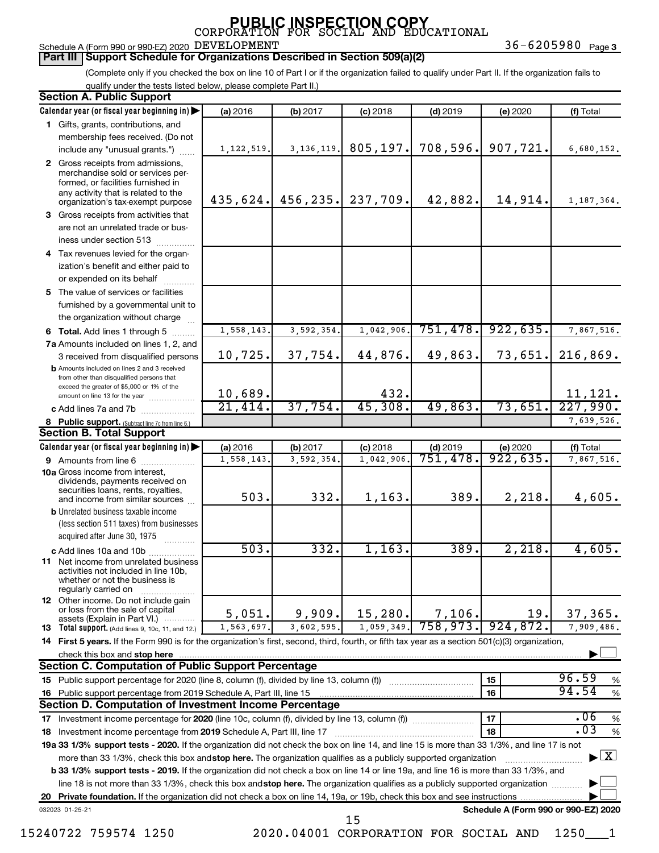Schedule A (Form 990 or 990-EZ) 2020 DEVELOPMENT  $36-6205980$  Page

**Part III Support Schedule for Organizations Described in Section 509(a)(2)** 

36-6205980 Page 3

(Complete only if you checked the box on line 10 of Part I or if the organization failed to qualify under Part II. If the organization fails to qualify under the tests listed below, please complete Part II.)

| <b>Section A. Public Support</b>                                                                                                                                                         |                        |             |            |            |                                      |                                          |
|------------------------------------------------------------------------------------------------------------------------------------------------------------------------------------------|------------------------|-------------|------------|------------|--------------------------------------|------------------------------------------|
| Calendar year (or fiscal year beginning in)                                                                                                                                              | (a) 2016               | (b) 2017    | $(c)$ 2018 | $(d)$ 2019 | (e) 2020                             | (f) Total                                |
| 1 Gifts, grants, contributions, and                                                                                                                                                      |                        |             |            |            |                                      |                                          |
| membership fees received. (Do not                                                                                                                                                        |                        |             |            |            |                                      |                                          |
| include any "unusual grants.")                                                                                                                                                           | 1, 122, 519.           | 3, 136, 119 | 805, 197.  | 708,596.   | 907,721.                             | 6,680,152.                               |
| 2 Gross receipts from admissions,<br>merchandise sold or services per-<br>formed, or facilities furnished in<br>any activity that is related to the<br>organization's tax-exempt purpose | 435,624.               | 456, 235.   | 237,709.   | 42,882.    | 14,914.                              | 1,187,364.                               |
| 3 Gross receipts from activities that                                                                                                                                                    |                        |             |            |            |                                      |                                          |
| are not an unrelated trade or bus-                                                                                                                                                       |                        |             |            |            |                                      |                                          |
| iness under section 513                                                                                                                                                                  |                        |             |            |            |                                      |                                          |
| 4 Tax revenues levied for the organ-                                                                                                                                                     |                        |             |            |            |                                      |                                          |
| ization's benefit and either paid to<br>or expended on its behalf                                                                                                                        |                        |             |            |            |                                      |                                          |
| 5 The value of services or facilities                                                                                                                                                    |                        |             |            |            |                                      |                                          |
| furnished by a governmental unit to                                                                                                                                                      |                        |             |            |            |                                      |                                          |
| the organization without charge                                                                                                                                                          |                        |             |            |            |                                      |                                          |
| 6 Total. Add lines 1 through 5                                                                                                                                                           | 1,558,143              | 3,592,354   | 1,042,906  | 751,478.   | 922, 635.                            | 7,867,516.                               |
| 7a Amounts included on lines 1, 2, and                                                                                                                                                   |                        |             |            |            |                                      |                                          |
| 3 received from disqualified persons                                                                                                                                                     | 10,725.                | 37,754.     | 44,876.    | 49,863.    | 73,651.                              | 216,869.                                 |
| <b>b</b> Amounts included on lines 2 and 3 received<br>from other than disqualified persons that<br>exceed the greater of \$5,000 or 1% of the                                           |                        |             |            |            |                                      |                                          |
| amount on line 13 for the year                                                                                                                                                           | 10,689.                |             | 432.       |            |                                      | 11,121.                                  |
| c Add lines 7a and 7b [ <i>[11, 11, 11, 11, 11, 11]</i>                                                                                                                                  | 21,414.                | 37,754.     | 45,308.    | 49,863.    | 73,651.                              | 227,990.                                 |
| 8 Public support. (Subtract line 7c from line 6.)                                                                                                                                        |                        |             |            |            |                                      | 7,639,526.                               |
| <b>Section B. Total Support</b>                                                                                                                                                          |                        |             |            |            |                                      |                                          |
| Calendar year (or fiscal year beginning in)                                                                                                                                              | (a) 2016               | (b) 2017    | $(c)$ 2018 | $(d)$ 2019 | (e) 2020                             | (f) Total                                |
| 9 Amounts from line 6                                                                                                                                                                    | $\overline{1,558,143}$ | 3,592,354   | 1,042,906  | 751,478.   | 922,635.                             | 7,867,516.                               |
| <b>10a</b> Gross income from interest,<br>dividends, payments received on<br>securities loans, rents, royalties,<br>and income from similar sources                                      | 503.                   | 332.        | 1, 163.    | 389.       | 2,218.                               | 4,605.                                   |
| <b>b</b> Unrelated business taxable income<br>(less section 511 taxes) from businesses                                                                                                   |                        |             |            |            |                                      |                                          |
| acquired after June 30, 1975                                                                                                                                                             |                        |             |            |            |                                      |                                          |
| c Add lines 10a and 10b                                                                                                                                                                  | 503.                   | 332.        | 1,163.     | 389.       | 2,218.                               | 4,605.                                   |
| <b>11</b> Net income from unrelated business<br>activities not included in line 10b,<br>whether or not the business is<br>regularly carried on                                           |                        |             |            |            |                                      |                                          |
| <b>12</b> Other income. Do not include gain<br>or loss from the sale of capital<br>assets (Explain in Part VI.)                                                                          | 5,051.                 | 9,909.      | 15, 280.   | 7,106.     | 19.                                  | 37,365.                                  |
| 13 Total support. (Add lines 9, 10c, 11, and 12.)                                                                                                                                        | 1,563,697.             | 3,602,595.  | 1,059,349. | 758,973.   | 924,872.                             | 7,909,486.                               |
| 14 First 5 years. If the Form 990 is for the organization's first, second, third, fourth, or fifth tax year as a section 501(c)(3) organization,                                         |                        |             |            |            |                                      |                                          |
| check this box and stop here                                                                                                                                                             |                        |             |            |            |                                      |                                          |
| <b>Section C. Computation of Public Support Percentage</b>                                                                                                                               |                        |             |            |            |                                      |                                          |
|                                                                                                                                                                                          |                        |             |            |            | 15                                   | 96.59<br>%                               |
| 16 Public support percentage from 2019 Schedule A, Part III, line 15                                                                                                                     |                        |             |            |            | 16                                   | 94.54<br>$\%$                            |
| Section D. Computation of Investment Income Percentage                                                                                                                                   |                        |             |            |            |                                      |                                          |
|                                                                                                                                                                                          |                        |             |            |            | 17                                   | .06<br>$\%$                              |
| 18 Investment income percentage from 2019 Schedule A, Part III, line 17                                                                                                                  |                        |             |            |            | 18                                   | .03<br>$\%$                              |
| 19a 33 1/3% support tests - 2020. If the organization did not check the box on line 14, and line 15 is more than 33 1/3%, and line 17 is not                                             |                        |             |            |            |                                      |                                          |
| more than 33 1/3%, check this box and stop here. The organization qualifies as a publicly supported organization                                                                         |                        |             |            |            |                                      | $\blacktriangleright$ $\boxed{\text{X}}$ |
| <b>b 33 1/3% support tests - 2019.</b> If the organization did not check a box on line 14 or line 19a, and line 16 is more than 33 1/3%, and                                             |                        |             |            |            |                                      |                                          |
| line 18 is not more than 33 1/3%, check this box and stop here. The organization qualifies as a publicly supported organization                                                          |                        |             |            |            |                                      |                                          |
|                                                                                                                                                                                          |                        |             |            |            |                                      |                                          |
| 032023 01-25-21                                                                                                                                                                          |                        |             | 15         |            | Schedule A (Form 990 or 990-EZ) 2020 |                                          |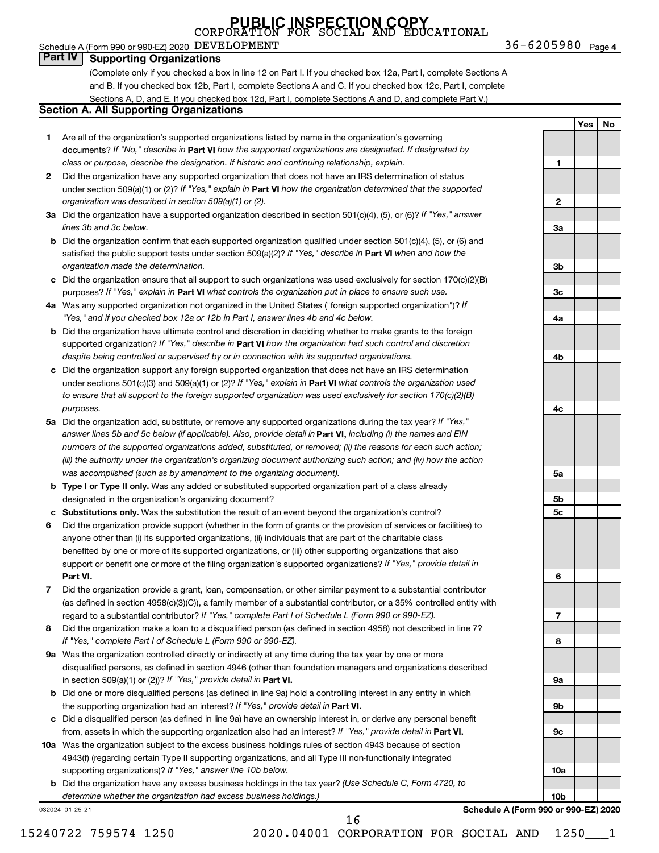### Schedule A (Form 990 or 990-EZ) 2020 DEVELOPMENT  $36-6205980$  Page

#### **Part IV Supporting Organizations**

(Complete only if you checked a box in line 12 on Part I. If you checked box 12a, Part I, complete Sections A and B. If you checked box 12b, Part I, complete Sections A and C. If you checked box 12c, Part I, complete Sections A, D, and E. If you checked box 12d, Part I, complete Sections A and D, and complete Part V.)

#### **Section A. All Supporting Organizations**

- **1** Are all of the organization's supported organizations listed by name in the organization's governing documents? If "No," describe in Part VI how the supported organizations are designated. If designated by *class or purpose, describe the designation. If historic and continuing relationship, explain.*
- **2** Did the organization have any supported organization that does not have an IRS determination of status under section 509(a)(1) or (2)? If "Yes," explain in Part **VI** how the organization determined that the supported *organization was described in section 509(a)(1) or (2).*
- **3a** Did the organization have a supported organization described in section 501(c)(4), (5), or (6)? If "Yes," answer *lines 3b and 3c below.*
- **b** Did the organization confirm that each supported organization qualified under section 501(c)(4), (5), or (6) and satisfied the public support tests under section 509(a)(2)? If "Yes," describe in Part VI when and how the *organization made the determination.*
- **c** Did the organization ensure that all support to such organizations was used exclusively for section 170(c)(2)(B) purposes? If "Yes," explain in Part VI what controls the organization put in place to ensure such use.
- **4 a** *If* Was any supported organization not organized in the United States ("foreign supported organization")? *"Yes," and if you checked box 12a or 12b in Part I, answer lines 4b and 4c below.*
- **b** Did the organization have ultimate control and discretion in deciding whether to make grants to the foreign supported organization? If "Yes," describe in Part VI how the organization had such control and discretion *despite being controlled or supervised by or in connection with its supported organizations.*
- **c** Did the organization support any foreign supported organization that does not have an IRS determination under sections 501(c)(3) and 509(a)(1) or (2)? If "Yes," explain in Part VI what controls the organization used *to ensure that all support to the foreign supported organization was used exclusively for section 170(c)(2)(B) purposes.*
- **5a** Did the organization add, substitute, or remove any supported organizations during the tax year? If "Yes," answer lines 5b and 5c below (if applicable). Also, provide detail in **Part VI,** including (i) the names and EIN *numbers of the supported organizations added, substituted, or removed; (ii) the reasons for each such action; (iii) the authority under the organization's organizing document authorizing such action; and (iv) how the action was accomplished (such as by amendment to the organizing document).*
- **b** Type I or Type II only. Was any added or substituted supported organization part of a class already designated in the organization's organizing document?
- **c Substitutions only.**  Was the substitution the result of an event beyond the organization's control?
- **6** Did the organization provide support (whether in the form of grants or the provision of services or facilities) to **Part VI.** support or benefit one or more of the filing organization's supported organizations? If "Yes," provide detail in anyone other than (i) its supported organizations, (ii) individuals that are part of the charitable class benefited by one or more of its supported organizations, or (iii) other supporting organizations that also
- **7** Did the organization provide a grant, loan, compensation, or other similar payment to a substantial contributor regard to a substantial contributor? If "Yes," complete Part I of Schedule L (Form 990 or 990-EZ). (as defined in section 4958(c)(3)(C)), a family member of a substantial contributor, or a 35% controlled entity with
- **8** Did the organization make a loan to a disqualified person (as defined in section 4958) not described in line 7? *If "Yes," complete Part I of Schedule L (Form 990 or 990-EZ).*
- **9 a** Was the organization controlled directly or indirectly at any time during the tax year by one or more in section 509(a)(1) or (2))? If "Yes," provide detail in **Part VI.** disqualified persons, as defined in section 4946 (other than foundation managers and organizations described
- **b** Did one or more disqualified persons (as defined in line 9a) hold a controlling interest in any entity in which the supporting organization had an interest? If "Yes," provide detail in Part VI.
- **c** Did a disqualified person (as defined in line 9a) have an ownership interest in, or derive any personal benefit from, assets in which the supporting organization also had an interest? If "Yes," provide detail in Part VI.
- **10 a** Was the organization subject to the excess business holdings rules of section 4943 because of section supporting organizations)? If "Yes," answer line 10b below. 4943(f) (regarding certain Type II supporting organizations, and all Type III non-functionally integrated
	- **b** Did the organization have any excess business holdings in the tax year? (Use Schedule C, Form 4720, to *determine whether the organization had excess business holdings.)*

032024 01-25-21



**Schedule A (Form 990 or 990-EZ) 2020**

16

**10a**

**10b**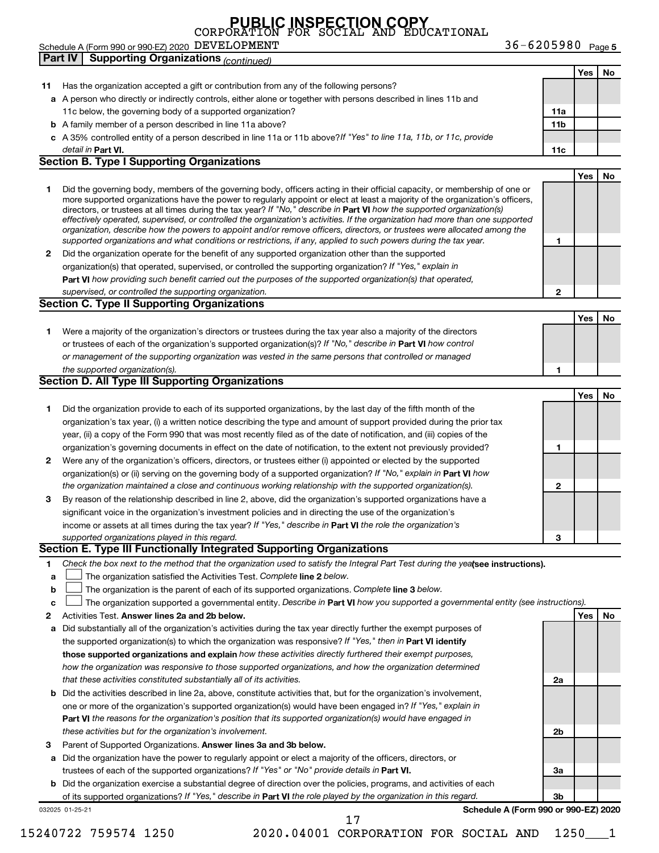36-6205980 Page 5 **Yes No 11** Has the organization accepted a gift or contribution from any of the following persons? **a** A person who directly or indirectly controls, either alone or together with persons described in lines 11b and **b** A family member of a person described in line 11a above? **c** *If "Yes" to line 11a, 11b, or 11c, provide* A 35% controlled entity of a person described in line 11a or 11b above? **11a 11b Part VI. 11c Yes No 1 2** Did the organization operate for the benefit of any supported organization other than the supported directors, or trustees at all times during the tax year? If "No," describe in Part VI how the supported organization(s) **1 2 Part VI**  *how providing such benefit carried out the purposes of the supported organization(s) that operated,* **Yes No 1** Were a majority of the organization's directors or trustees during the tax year also a majority of the directors or trustees of each of the organization's supported organization(s)? If "No," describe in Part VI how control **1 Yes No 1** Did the organization provide to each of its supported organizations, by the last day of the fifth month of the **2** Were any of the organization's officers, directors, or trustees either (i) appointed or elected by the supported **3** By reason of the relationship described in line 2, above, did the organization's supported organizations have a **1 2 3** organization(s) or (ii) serving on the governing body of a supported organization? If "No," explain in Part VI how income or assets at all times during the tax year? If "Yes," describe in Part VI the role the organization's **1 2 Answer lines 2a and 2b below. Yes No** Activities Test. 3 Parent of Supported Organizations. Answer lines 3a and 3b below. Check the box next to the method that the organization used to satisfy the Integral Part Test during the yealsee instructions). **a b c** The organization satisfied the Activities Test. Complete line 2 below. The organization is the parent of each of its supported organizations. Complete line 3 below. The organization supported a governmental entity. Describe in Part VI how you supported a governmental entity (see instructions). **a** Did substantially all of the organization's activities during the tax year directly further the exempt purposes of **b** Did the activities described in line 2a, above, constitute activities that, but for the organization's involvement, **a** Did the organization have the power to regularly appoint or elect a majority of the officers, directors, or **b** Did the organization exercise a substantial degree of direction over the policies, programs, and activities of each the supported organization(s) to which the organization was responsive? If "Yes," then in Part VI identify **those supported organizations and explain**  *how these activities directly furthered their exempt purposes,* **2a 2b 3a 3b Part VI**  *the reasons for the organization's position that its supported organization(s) would have engaged in* trustees of each of the supported organizations? If "Yes" or "No" provide details in Part VI. of its supported organizations? If "Yes," describe in Part VI the role played by the organization in this regard. detail in Part VI. *effectively operated, supervised, or controlled the organization's activities. If the organization had more than one supported organization, describe how the powers to appoint and/or remove officers, directors, or trustees were allocated among the supported organizations and what conditions or restrictions, if any, applied to such powers during the tax year.* organization(s) that operated, supervised, or controlled the supporting organization? If "Yes," explain in *supervised, or controlled the supporting organization. or management of the supporting organization was vested in the same persons that controlled or managed the supported organization(s). the organization maintained a close and continuous working relationship with the supported organization(s). supported organizations played in this regard. how the organization was responsive to those supported organizations, and how the organization determined that these activities constituted substantially all of its activities.* one or more of the organization's supported organization(s) would have been engaged in? If "Yes," explain in *these activities but for the organization's involvement.* Schedule A (Form 990 or 990-EZ) 2020 DEVELOPMENT  $36-6205980$  Page 11c below, the governing body of a supported organization? Did the governing body, members of the governing body, officers acting in their official capacity, or membership of one or more supported organizations have the power to regularly appoint or elect at least a majority of the organization's officers, organization's tax year, (i) a written notice describing the type and amount of support provided during the prior tax year, (ii) a copy of the Form 990 that was most recently filed as of the date of notification, and (iii) copies of the organization's governing documents in effect on the date of notification, to the extent not previously provided? significant voice in the organization's investment policies and in directing the use of the organization's **Part IV Supporting Organizations** *(continued)* **Section B. Type I Supporting Organizations Section C. Type II Supporting Organizations Section D. All Type III Supporting Organizations Section E. Type III Functionally Integrated Supporting Organizations**  $\Box$  $\Box$  $\Box$ 

032025 01-25-21

**Schedule A (Form 990 or 990-EZ) 2020**

17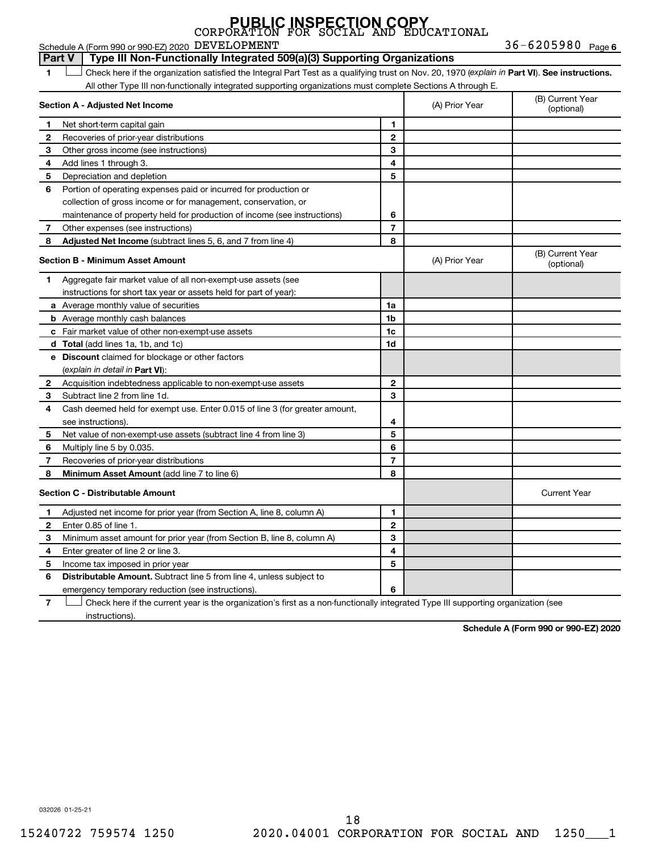36-6205980 Page 6 **1 Part VI** Check here if the organization satisfied the Integral Part Test as a qualifying trust on Nov. 20, 1970 (*explain in* Part **VI**). See instructions. **Section A - Adjusted Net Income 1 2 3 4 5 6 7 8 1 2 3 4 5 6 7 Adjusted Net Income** (subtract lines 5, 6, and 7 from line 4) **8 8 Section B - Minimum Asset Amount 1 2 3 4 5 6 7 8 a** Average monthly value of securities **b** Average monthly cash balances **c** Fair market value of other non-exempt-use assets **d Total**  (add lines 1a, 1b, and 1c) **e Discount** claimed for blockage or other factors **1a 1b 1c 1d 2 3 4 5 6 7 8** (explain in detail in Part VI): **Minimum Asset Amount**  (add line 7 to line 6) **Section C - Distributable Amount 1 2 3 1 2 3** Schedule A (Form 990 or 990-EZ) 2020 DEVELOPMENT  $36-6205980$  Page All other Type III non-functionally integrated supporting organizations must complete Sections A through E. (B) Current Year (A) Prior Year Net short-term capital gain Recoveries of prior-year distributions Other gross income (see instructions) Add lines 1 through 3. Depreciation and depletion Portion of operating expenses paid or incurred for production or collection of gross income or for management, conservation, or maintenance of property held for production of income (see instructions) Other expenses (see instructions) (B) Current Year  $(A)$  Prior Year  $\left\{\n\begin{array}{ccc}\n\end{array}\n\right\}$  (optional) Aggregate fair market value of all non-exempt-use assets (see instructions for short tax year or assets held for part of year): Acquisition indebtedness applicable to non-exempt-use assets Subtract line 2 from line 1d. Cash deemed held for exempt use. Enter 0.015 of line 3 (for greater amount, see instructions). Net value of non-exempt-use assets (subtract line 4 from line 3) Multiply line 5 by 0.035. Recoveries of prior-year distributions Current Year Adjusted net income for prior year (from Section A, line 8, column A) Enter 0.85 of line 1. Minimum asset amount for prior year (from Section B, line 8, column A) **Part V Type III Non-Functionally Integrated 509(a)(3) Supporting Organizations**   $\Box$ 

**4 5 6 4 5 6** Distributable Amount. Subtract line 5 from line 4, unless subject to Enter greater of line 2 or line 3. Income tax imposed in prior year emergency temporary reduction (see instructions).

**7** Check here if the current year is the organization's first as a non-functionally integrated Type III supporting organization (see † instructions).

**Schedule A (Form 990 or 990-EZ) 2020**

032026 01-25-21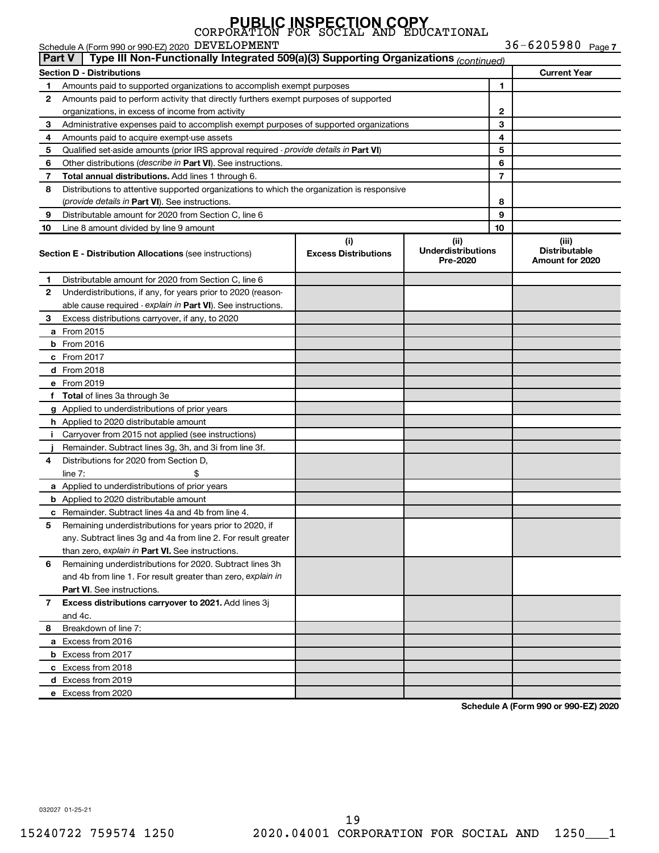Schedule A (Form 990 or 990-EZ) 2020 DEVELOPMENT  $36-6205980$  Page

36-6205980 Page 7

|    | Type III Non-Functionally Integrated 509(a)(3) Supporting Organizations (continued)<br>∣ Part V⊥ |                                    |                                               |                |                                                  |  |  |  |  |  |  |
|----|--------------------------------------------------------------------------------------------------|------------------------------------|-----------------------------------------------|----------------|--------------------------------------------------|--|--|--|--|--|--|
|    | <b>Section D - Distributions</b>                                                                 |                                    |                                               |                | <b>Current Year</b>                              |  |  |  |  |  |  |
| 1. | Amounts paid to supported organizations to accomplish exempt purposes                            |                                    |                                               | 1              |                                                  |  |  |  |  |  |  |
| 2  | Amounts paid to perform activity that directly furthers exempt purposes of supported             |                                    |                                               |                |                                                  |  |  |  |  |  |  |
|    | organizations, in excess of income from activity                                                 |                                    |                                               | 2              |                                                  |  |  |  |  |  |  |
| 3  | Administrative expenses paid to accomplish exempt purposes of supported organizations            |                                    |                                               | 3              |                                                  |  |  |  |  |  |  |
| 4  | Amounts paid to acquire exempt-use assets                                                        |                                    |                                               | 4              |                                                  |  |  |  |  |  |  |
| 5  | Qualified set-aside amounts (prior IRS approval required - provide details in Part VI)           |                                    |                                               | 5              |                                                  |  |  |  |  |  |  |
| 6  | Other distributions (describe in Part VI). See instructions.                                     |                                    |                                               | 6              |                                                  |  |  |  |  |  |  |
| 7  | <b>Total annual distributions.</b> Add lines 1 through 6.                                        |                                    |                                               | $\overline{7}$ |                                                  |  |  |  |  |  |  |
| 8  | Distributions to attentive supported organizations to which the organization is responsive       |                                    |                                               |                |                                                  |  |  |  |  |  |  |
|    | (provide details in Part VI). See instructions.                                                  |                                    | 8                                             |                |                                                  |  |  |  |  |  |  |
| 9  | Distributable amount for 2020 from Section C, line 6                                             |                                    |                                               | 9              |                                                  |  |  |  |  |  |  |
| 10 | Line 8 amount divided by line 9 amount                                                           |                                    |                                               | 10             |                                                  |  |  |  |  |  |  |
|    | <b>Section E - Distribution Allocations (see instructions)</b>                                   | (i)<br><b>Excess Distributions</b> | (ii)<br><b>Underdistributions</b><br>Pre-2020 |                | (iii)<br><b>Distributable</b><br>Amount for 2020 |  |  |  |  |  |  |
| 1. | Distributable amount for 2020 from Section C, line 6                                             |                                    |                                               |                |                                                  |  |  |  |  |  |  |
| 2  | Underdistributions, if any, for years prior to 2020 (reason-                                     |                                    |                                               |                |                                                  |  |  |  |  |  |  |
|    | able cause required - explain in Part VI). See instructions.                                     |                                    |                                               |                |                                                  |  |  |  |  |  |  |
| 3  | Excess distributions carryover, if any, to 2020                                                  |                                    |                                               |                |                                                  |  |  |  |  |  |  |
|    | <b>a</b> From 2015                                                                               |                                    |                                               |                |                                                  |  |  |  |  |  |  |
|    | $b$ From 2016                                                                                    |                                    |                                               |                |                                                  |  |  |  |  |  |  |
|    | $c$ From 2017                                                                                    |                                    |                                               |                |                                                  |  |  |  |  |  |  |
|    | <b>d</b> From 2018                                                                               |                                    |                                               |                |                                                  |  |  |  |  |  |  |
|    | e From 2019                                                                                      |                                    |                                               |                |                                                  |  |  |  |  |  |  |
|    | f Total of lines 3a through 3e                                                                   |                                    |                                               |                |                                                  |  |  |  |  |  |  |
|    | <b>g</b> Applied to underdistributions of prior years                                            |                                    |                                               |                |                                                  |  |  |  |  |  |  |
|    | <b>h</b> Applied to 2020 distributable amount                                                    |                                    |                                               |                |                                                  |  |  |  |  |  |  |
| L. | Carryover from 2015 not applied (see instructions)                                               |                                    |                                               |                |                                                  |  |  |  |  |  |  |
|    | Remainder. Subtract lines 3g, 3h, and 3i from line 3f.                                           |                                    |                                               |                |                                                  |  |  |  |  |  |  |
| 4  | Distributions for 2020 from Section D,                                                           |                                    |                                               |                |                                                  |  |  |  |  |  |  |
|    | line $7:$                                                                                        |                                    |                                               |                |                                                  |  |  |  |  |  |  |
|    | a Applied to underdistributions of prior years                                                   |                                    |                                               |                |                                                  |  |  |  |  |  |  |
|    | <b>b</b> Applied to 2020 distributable amount                                                    |                                    |                                               |                |                                                  |  |  |  |  |  |  |
|    | <b>c</b> Remainder. Subtract lines 4a and 4b from line 4.                                        |                                    |                                               |                |                                                  |  |  |  |  |  |  |
| 5  | Remaining underdistributions for years prior to 2020, if                                         |                                    |                                               |                |                                                  |  |  |  |  |  |  |
|    | any. Subtract lines 3g and 4a from line 2. For result greater                                    |                                    |                                               |                |                                                  |  |  |  |  |  |  |
|    | than zero, explain in Part VI. See instructions.                                                 |                                    |                                               |                |                                                  |  |  |  |  |  |  |
| 6  | Remaining underdistributions for 2020. Subtract lines 3h                                         |                                    |                                               |                |                                                  |  |  |  |  |  |  |
|    | and 4b from line 1. For result greater than zero, explain in                                     |                                    |                                               |                |                                                  |  |  |  |  |  |  |
|    | <b>Part VI.</b> See instructions.                                                                |                                    |                                               |                |                                                  |  |  |  |  |  |  |
| 7  | Excess distributions carryover to 2021. Add lines 3j                                             |                                    |                                               |                |                                                  |  |  |  |  |  |  |
|    | and 4c.                                                                                          |                                    |                                               |                |                                                  |  |  |  |  |  |  |
| 8  | Breakdown of line 7:                                                                             |                                    |                                               |                |                                                  |  |  |  |  |  |  |
|    | a Excess from 2016                                                                               |                                    |                                               |                |                                                  |  |  |  |  |  |  |
|    | <b>b</b> Excess from 2017                                                                        |                                    |                                               |                |                                                  |  |  |  |  |  |  |
|    | c Excess from 2018                                                                               |                                    |                                               |                |                                                  |  |  |  |  |  |  |
|    | d Excess from 2019                                                                               |                                    |                                               |                |                                                  |  |  |  |  |  |  |
|    | e Excess from 2020                                                                               |                                    |                                               |                |                                                  |  |  |  |  |  |  |
|    |                                                                                                  |                                    |                                               |                |                                                  |  |  |  |  |  |  |

**Schedule A (Form 990 or 990-EZ) 2020**

032027 01-25-21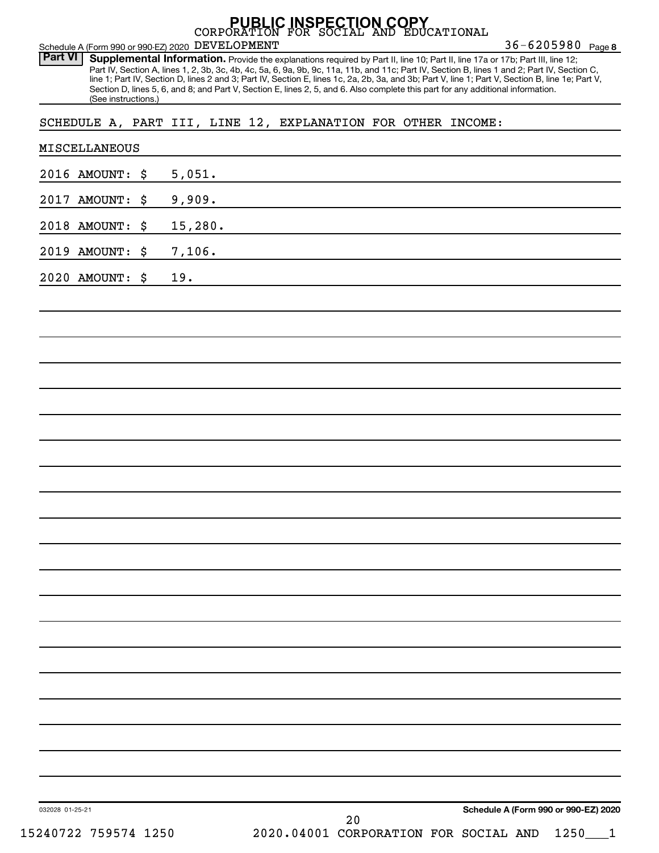|                                                                                           |                                                                                                                                 | <b>PUBLIC INSPECTION COPY</b> | EDUCATIONAL |                                                                                                                                                                                                                                                                                                                                                                                                                                                        |
|-------------------------------------------------------------------------------------------|---------------------------------------------------------------------------------------------------------------------------------|-------------------------------|-------------|--------------------------------------------------------------------------------------------------------------------------------------------------------------------------------------------------------------------------------------------------------------------------------------------------------------------------------------------------------------------------------------------------------------------------------------------------------|
| Schedule A (Form 990 or 990-EZ) 2020 DEVELOPMENT<br><b>Part VI</b><br>(See instructions.) | Section D, lines 5, 6, and 8; and Part V, Section E, lines 2, 5, and 6. Also complete this part for any additional information. |                               |             | 36-6205980 Page 8<br>Supplemental Information. Provide the explanations required by Part II, line 10; Part II, line 17a or 17b; Part III, line 12;<br>Part IV, Section A, lines 1, 2, 3b, 3c, 4b, 4c, 5a, 6, 9a, 9b, 9c, 11a, 11b, and 11c; Part IV, Section B, lines 1 and 2; Part IV, Section C,<br>line 1; Part IV, Section D, lines 2 and 3; Part IV, Section E, lines 1c, 2a, 2b, 3a, and 3b; Part V, line 1; Part V, Section B, line 1e; Part V, |
| SCHEDULE A, PART III, LINE 12, EXPLANATION FOR OTHER INCOME:                              |                                                                                                                                 |                               |             |                                                                                                                                                                                                                                                                                                                                                                                                                                                        |
| <b>MISCELLANEOUS</b>                                                                      |                                                                                                                                 |                               |             |                                                                                                                                                                                                                                                                                                                                                                                                                                                        |
| 2016 AMOUNT:<br>\$                                                                        | 5,051.                                                                                                                          |                               |             |                                                                                                                                                                                                                                                                                                                                                                                                                                                        |
| 2017 AMOUNT:<br>\$                                                                        | 9,909.                                                                                                                          |                               |             |                                                                                                                                                                                                                                                                                                                                                                                                                                                        |
| 2018 AMOUNT:<br>\$                                                                        | 15,280.                                                                                                                         |                               |             |                                                                                                                                                                                                                                                                                                                                                                                                                                                        |
| 2019 AMOUNT:<br>\$                                                                        | 7,106.                                                                                                                          |                               |             |                                                                                                                                                                                                                                                                                                                                                                                                                                                        |
| 2020 AMOUNT:<br>\$                                                                        | 19.                                                                                                                             |                               |             |                                                                                                                                                                                                                                                                                                                                                                                                                                                        |
|                                                                                           |                                                                                                                                 |                               |             |                                                                                                                                                                                                                                                                                                                                                                                                                                                        |
|                                                                                           |                                                                                                                                 |                               |             |                                                                                                                                                                                                                                                                                                                                                                                                                                                        |
|                                                                                           |                                                                                                                                 |                               |             |                                                                                                                                                                                                                                                                                                                                                                                                                                                        |
|                                                                                           |                                                                                                                                 |                               |             |                                                                                                                                                                                                                                                                                                                                                                                                                                                        |
|                                                                                           |                                                                                                                                 |                               |             |                                                                                                                                                                                                                                                                                                                                                                                                                                                        |
|                                                                                           |                                                                                                                                 |                               |             |                                                                                                                                                                                                                                                                                                                                                                                                                                                        |
|                                                                                           |                                                                                                                                 |                               |             |                                                                                                                                                                                                                                                                                                                                                                                                                                                        |
|                                                                                           |                                                                                                                                 |                               |             |                                                                                                                                                                                                                                                                                                                                                                                                                                                        |
|                                                                                           |                                                                                                                                 |                               |             |                                                                                                                                                                                                                                                                                                                                                                                                                                                        |
|                                                                                           |                                                                                                                                 |                               |             |                                                                                                                                                                                                                                                                                                                                                                                                                                                        |
|                                                                                           |                                                                                                                                 |                               |             |                                                                                                                                                                                                                                                                                                                                                                                                                                                        |
|                                                                                           |                                                                                                                                 |                               |             |                                                                                                                                                                                                                                                                                                                                                                                                                                                        |
|                                                                                           |                                                                                                                                 |                               |             |                                                                                                                                                                                                                                                                                                                                                                                                                                                        |
|                                                                                           |                                                                                                                                 |                               |             |                                                                                                                                                                                                                                                                                                                                                                                                                                                        |
|                                                                                           |                                                                                                                                 |                               |             |                                                                                                                                                                                                                                                                                                                                                                                                                                                        |
|                                                                                           |                                                                                                                                 |                               |             |                                                                                                                                                                                                                                                                                                                                                                                                                                                        |
|                                                                                           |                                                                                                                                 |                               |             |                                                                                                                                                                                                                                                                                                                                                                                                                                                        |
|                                                                                           |                                                                                                                                 |                               |             |                                                                                                                                                                                                                                                                                                                                                                                                                                                        |
|                                                                                           |                                                                                                                                 |                               |             |                                                                                                                                                                                                                                                                                                                                                                                                                                                        |
|                                                                                           |                                                                                                                                 |                               |             |                                                                                                                                                                                                                                                                                                                                                                                                                                                        |
| 032028 01-25-21                                                                           |                                                                                                                                 | 20                            |             | Schedule A (Form 990 or 990-EZ) 2020                                                                                                                                                                                                                                                                                                                                                                                                                   |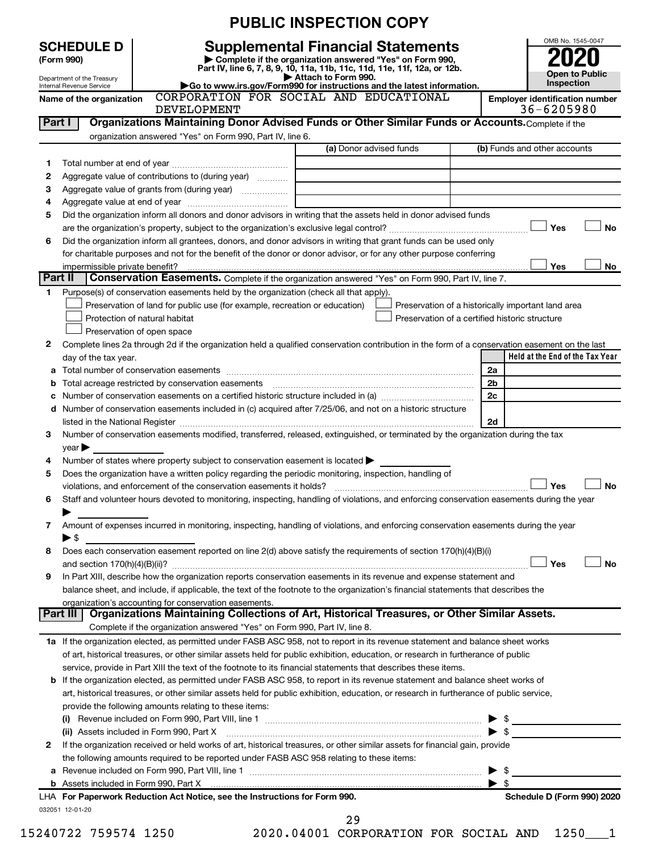|                                                                                                             |                                                                                                                                          |                                                                                                        | <b>PUBLIC INSPECTION COPY</b>                                                                                                                                                                                                                                                     |                         |                                                          |  |  |  |  |  |  |
|-------------------------------------------------------------------------------------------------------------|------------------------------------------------------------------------------------------------------------------------------------------|--------------------------------------------------------------------------------------------------------|-----------------------------------------------------------------------------------------------------------------------------------------------------------------------------------------------------------------------------------------------------------------------------------|-------------------------|----------------------------------------------------------|--|--|--|--|--|--|
|                                                                                                             | <b>SCHEDULE D</b><br>(Form 990)<br>Department of the Treasury<br>Internal Revenue Service                                                |                                                                                                        | <b>Supplemental Financial Statements</b><br>Complete if the organization answered "Yes" on Form 990,<br>Part IV, line 6, 7, 8, 9, 10, 11a, 11b, 11c, 11d, 11e, 11f, 12a, or 12b.<br>Attach to Form 990.<br>Go to www.irs.gov/Form990 for instructions and the latest information. |                         | OMB No. 1545-0047<br><b>Open to Public</b><br>Inspection |  |  |  |  |  |  |
|                                                                                                             | CORPORATION FOR SOCIAL AND EDUCATIONAL<br>Name of the organization<br><b>Employer identification number</b><br>36-6205980<br>DEVELOPMENT |                                                                                                        |                                                                                                                                                                                                                                                                                   |                         |                                                          |  |  |  |  |  |  |
| Organizations Maintaining Donor Advised Funds or Other Similar Funds or Accounts. Complete if the<br>Part I |                                                                                                                                          |                                                                                                        |                                                                                                                                                                                                                                                                                   |                         |                                                          |  |  |  |  |  |  |
|                                                                                                             |                                                                                                                                          | organization answered "Yes" on Form 990, Part IV, line 6.                                              |                                                                                                                                                                                                                                                                                   |                         |                                                          |  |  |  |  |  |  |
|                                                                                                             |                                                                                                                                          |                                                                                                        | (a) Donor advised funds                                                                                                                                                                                                                                                           |                         | (b) Funds and other accounts                             |  |  |  |  |  |  |
| 1                                                                                                           |                                                                                                                                          |                                                                                                        |                                                                                                                                                                                                                                                                                   |                         |                                                          |  |  |  |  |  |  |
| 2                                                                                                           |                                                                                                                                          | Aggregate value of contributions to (during year)                                                      |                                                                                                                                                                                                                                                                                   |                         |                                                          |  |  |  |  |  |  |
| з                                                                                                           |                                                                                                                                          | Aggregate value of grants from (during year)                                                           |                                                                                                                                                                                                                                                                                   |                         |                                                          |  |  |  |  |  |  |
| 4                                                                                                           |                                                                                                                                          |                                                                                                        |                                                                                                                                                                                                                                                                                   |                         |                                                          |  |  |  |  |  |  |
| 5                                                                                                           |                                                                                                                                          |                                                                                                        | Did the organization inform all donors and donor advisors in writing that the assets held in donor advised funds                                                                                                                                                                  |                         |                                                          |  |  |  |  |  |  |
| 6                                                                                                           |                                                                                                                                          |                                                                                                        | Did the organization inform all grantees, donors, and donor advisors in writing that grant funds can be used only                                                                                                                                                                 |                         | Yes<br>No                                                |  |  |  |  |  |  |
|                                                                                                             |                                                                                                                                          |                                                                                                        | for charitable purposes and not for the benefit of the donor or donor advisor, or for any other purpose conferring                                                                                                                                                                |                         |                                                          |  |  |  |  |  |  |
|                                                                                                             | impermissible private benefit?                                                                                                           |                                                                                                        |                                                                                                                                                                                                                                                                                   |                         | Yes<br><b>No</b>                                         |  |  |  |  |  |  |
|                                                                                                             | Part II                                                                                                                                  |                                                                                                        | Conservation Easements. Complete if the organization answered "Yes" on Form 990, Part IV, line 7.                                                                                                                                                                                 |                         |                                                          |  |  |  |  |  |  |
| 1.                                                                                                          |                                                                                                                                          | Purpose(s) of conservation easements held by the organization (check all that apply).                  |                                                                                                                                                                                                                                                                                   |                         |                                                          |  |  |  |  |  |  |
|                                                                                                             |                                                                                                                                          | Preservation of land for public use (for example, recreation or education)                             | Preservation of a historically important land area                                                                                                                                                                                                                                |                         |                                                          |  |  |  |  |  |  |
|                                                                                                             |                                                                                                                                          | Protection of natural habitat                                                                          | Preservation of a certified historic structure                                                                                                                                                                                                                                    |                         |                                                          |  |  |  |  |  |  |
|                                                                                                             |                                                                                                                                          | Preservation of open space                                                                             |                                                                                                                                                                                                                                                                                   |                         |                                                          |  |  |  |  |  |  |
| 2                                                                                                           |                                                                                                                                          |                                                                                                        | Complete lines 2a through 2d if the organization held a qualified conservation contribution in the form of a conservation easement on the last                                                                                                                                    |                         |                                                          |  |  |  |  |  |  |
|                                                                                                             | day of the tax year.                                                                                                                     |                                                                                                        |                                                                                                                                                                                                                                                                                   | 2a                      | Held at the End of the Tax Year                          |  |  |  |  |  |  |
| а                                                                                                           |                                                                                                                                          | Total acreage restricted by conservation easements                                                     |                                                                                                                                                                                                                                                                                   | 2 <sub>b</sub>          |                                                          |  |  |  |  |  |  |
|                                                                                                             |                                                                                                                                          |                                                                                                        |                                                                                                                                                                                                                                                                                   | 2c                      |                                                          |  |  |  |  |  |  |
|                                                                                                             |                                                                                                                                          |                                                                                                        | d Number of conservation easements included in (c) acquired after 7/25/06, and not on a historic structure                                                                                                                                                                        |                         |                                                          |  |  |  |  |  |  |
|                                                                                                             |                                                                                                                                          |                                                                                                        |                                                                                                                                                                                                                                                                                   | 2d                      |                                                          |  |  |  |  |  |  |
| 3                                                                                                           |                                                                                                                                          |                                                                                                        | Number of conservation easements modified, transferred, released, extinguished, or terminated by the organization during the tax                                                                                                                                                  |                         |                                                          |  |  |  |  |  |  |
|                                                                                                             | $\vee$ ear $\blacktriangleright$                                                                                                         |                                                                                                        |                                                                                                                                                                                                                                                                                   |                         |                                                          |  |  |  |  |  |  |
| 4                                                                                                           |                                                                                                                                          | Number of states where property subject to conservation easement is located >                          |                                                                                                                                                                                                                                                                                   |                         |                                                          |  |  |  |  |  |  |
| 5                                                                                                           |                                                                                                                                          | Does the organization have a written policy regarding the periodic monitoring, inspection, handling of |                                                                                                                                                                                                                                                                                   |                         |                                                          |  |  |  |  |  |  |
|                                                                                                             |                                                                                                                                          | violations, and enforcement of the conservation easements it holds?                                    |                                                                                                                                                                                                                                                                                   |                         | Yes<br>No                                                |  |  |  |  |  |  |
| 6                                                                                                           |                                                                                                                                          |                                                                                                        | Staff and volunteer hours devoted to monitoring, inspecting, handling of violations, and enforcing conservation easements during the year                                                                                                                                         |                         |                                                          |  |  |  |  |  |  |
| 7                                                                                                           |                                                                                                                                          |                                                                                                        | Amount of expenses incurred in monitoring, inspecting, handling of violations, and enforcing conservation easements during the year                                                                                                                                               |                         |                                                          |  |  |  |  |  |  |
|                                                                                                             | ▶ \$                                                                                                                                     |                                                                                                        |                                                                                                                                                                                                                                                                                   |                         |                                                          |  |  |  |  |  |  |
| 8                                                                                                           |                                                                                                                                          |                                                                                                        | Does each conservation easement reported on line 2(d) above satisfy the requirements of section 170(h)(4)(B)(i)                                                                                                                                                                   |                         |                                                          |  |  |  |  |  |  |
|                                                                                                             |                                                                                                                                          |                                                                                                        |                                                                                                                                                                                                                                                                                   |                         | Yes<br>No                                                |  |  |  |  |  |  |
| 9                                                                                                           |                                                                                                                                          |                                                                                                        | In Part XIII, describe how the organization reports conservation easements in its revenue and expense statement and                                                                                                                                                               |                         |                                                          |  |  |  |  |  |  |
|                                                                                                             |                                                                                                                                          |                                                                                                        | balance sheet, and include, if applicable, the text of the footnote to the organization's financial statements that describes the                                                                                                                                                 |                         |                                                          |  |  |  |  |  |  |
|                                                                                                             |                                                                                                                                          | organization's accounting for conservation easements.                                                  |                                                                                                                                                                                                                                                                                   |                         |                                                          |  |  |  |  |  |  |
|                                                                                                             | Part III                                                                                                                                 | Complete if the organization answered "Yes" on Form 990, Part IV, line 8.                              | Organizations Maintaining Collections of Art, Historical Treasures, or Other Similar Assets.                                                                                                                                                                                      |                         |                                                          |  |  |  |  |  |  |
|                                                                                                             |                                                                                                                                          |                                                                                                        |                                                                                                                                                                                                                                                                                   |                         |                                                          |  |  |  |  |  |  |
|                                                                                                             |                                                                                                                                          |                                                                                                        | 1a If the organization elected, as permitted under FASB ASC 958, not to report in its revenue statement and balance sheet works<br>of art, historical treasures, or other similar assets held for public exhibition, education, or research in furtherance of public              |                         |                                                          |  |  |  |  |  |  |
|                                                                                                             |                                                                                                                                          |                                                                                                        | service, provide in Part XIII the text of the footnote to its financial statements that describes these items.                                                                                                                                                                    |                         |                                                          |  |  |  |  |  |  |
|                                                                                                             |                                                                                                                                          |                                                                                                        | <b>b</b> If the organization elected, as permitted under FASB ASC 958, to report in its revenue statement and balance sheet works of                                                                                                                                              |                         |                                                          |  |  |  |  |  |  |
|                                                                                                             |                                                                                                                                          |                                                                                                        | art, historical treasures, or other similar assets held for public exhibition, education, or research in furtherance of public service,                                                                                                                                           |                         |                                                          |  |  |  |  |  |  |
|                                                                                                             |                                                                                                                                          | provide the following amounts relating to these items:                                                 |                                                                                                                                                                                                                                                                                   |                         |                                                          |  |  |  |  |  |  |
|                                                                                                             |                                                                                                                                          |                                                                                                        |                                                                                                                                                                                                                                                                                   |                         |                                                          |  |  |  |  |  |  |
|                                                                                                             |                                                                                                                                          | (ii) Assets included in Form 990, Part X                                                               |                                                                                                                                                                                                                                                                                   | $\blacktriangleright$ s |                                                          |  |  |  |  |  |  |
| 2                                                                                                           |                                                                                                                                          |                                                                                                        | If the organization received or held works of art, historical treasures, or other similar assets for financial gain, provide                                                                                                                                                      |                         |                                                          |  |  |  |  |  |  |
|                                                                                                             |                                                                                                                                          | the following amounts required to be reported under FASB ASC 958 relating to these items:              |                                                                                                                                                                                                                                                                                   |                         |                                                          |  |  |  |  |  |  |
|                                                                                                             |                                                                                                                                          |                                                                                                        |                                                                                                                                                                                                                                                                                   |                         |                                                          |  |  |  |  |  |  |
|                                                                                                             |                                                                                                                                          |                                                                                                        |                                                                                                                                                                                                                                                                                   | $\blacktriangleright$ s |                                                          |  |  |  |  |  |  |
|                                                                                                             | 032051 12-01-20                                                                                                                          | LHA For Paperwork Reduction Act Notice, see the Instructions for Form 990.                             |                                                                                                                                                                                                                                                                                   |                         | Schedule D (Form 990) 2020                               |  |  |  |  |  |  |
|                                                                                                             |                                                                                                                                          |                                                                                                        | 29                                                                                                                                                                                                                                                                                |                         |                                                          |  |  |  |  |  |  |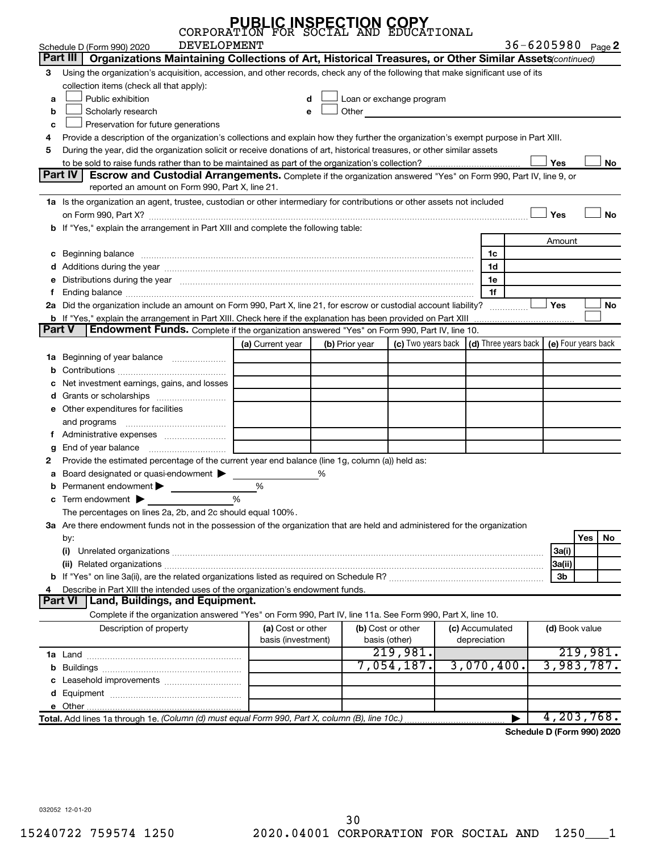|        | CORPORATION                                                                                                                                                                                                                         | <b>PUBLIC INSPECTION COPY</b>           |                |                                    | ATIONAL |                                 |                                                                             |            |
|--------|-------------------------------------------------------------------------------------------------------------------------------------------------------------------------------------------------------------------------------------|-----------------------------------------|----------------|------------------------------------|---------|---------------------------------|-----------------------------------------------------------------------------|------------|
|        | <b>DEVELOPMENT</b><br>Schedule D (Form 990) 2020                                                                                                                                                                                    |                                         |                |                                    |         |                                 | 36-6205980 Page 2                                                           |            |
|        | Part III<br>Organizations Maintaining Collections of Art, Historical Treasures, or Other Similar Assets(continued)                                                                                                                  |                                         |                |                                    |         |                                 |                                                                             |            |
| з      | Using the organization's acquisition, accession, and other records, check any of the following that make significant use of its<br>collection items (check all that apply):                                                         |                                         |                |                                    |         |                                 |                                                                             |            |
| a      | Public exhibition                                                                                                                                                                                                                   |                                         |                | Loan or exchange program           |         |                                 |                                                                             |            |
| b      | Scholarly research                                                                                                                                                                                                                  |                                         | Other          |                                    |         |                                 |                                                                             |            |
| c      | Preservation for future generations                                                                                                                                                                                                 |                                         |                |                                    |         |                                 |                                                                             |            |
|        | Provide a description of the organization's collections and explain how they further the organization's exempt purpose in Part XIII.                                                                                                |                                         |                |                                    |         |                                 |                                                                             |            |
| 5      | During the year, did the organization solicit or receive donations of art, historical treasures, or other similar assets                                                                                                            |                                         |                |                                    |         |                                 | Yes                                                                         | No         |
|        | <b>Part IV</b><br>Escrow and Custodial Arrangements. Complete if the organization answered "Yes" on Form 990, Part IV, line 9, or<br>reported an amount on Form 990, Part X, line 21.                                               |                                         |                |                                    |         |                                 |                                                                             |            |
|        | 1a Is the organization an agent, trustee, custodian or other intermediary for contributions or other assets not included                                                                                                            |                                         |                |                                    |         |                                 | Yes                                                                         | <b>No</b>  |
|        | b If "Yes," explain the arrangement in Part XIII and complete the following table:                                                                                                                                                  |                                         |                |                                    |         |                                 |                                                                             |            |
|        |                                                                                                                                                                                                                                     |                                         |                |                                    |         |                                 | Amount                                                                      |            |
|        | c Beginning balance <b>communications</b> and a construction of the construction of the construction of the construction of the construction of the construction of the construction of the construction of the construction of the |                                         |                |                                    |         | 1c                              |                                                                             |            |
|        |                                                                                                                                                                                                                                     |                                         |                |                                    |         | 1d                              |                                                                             |            |
|        | e Distributions during the year manufactured and contained and contained and contained and contained and contained and contained and contained and contained and contained and contained and contained and contained and conta      |                                         |                |                                    |         | 1e                              |                                                                             |            |
|        |                                                                                                                                                                                                                                     |                                         |                |                                    |         | 1f                              |                                                                             |            |
|        | 2a Did the organization include an amount on Form 990, Part X, line 21, for escrow or custodial account liability?                                                                                                                  |                                         |                |                                    |         |                                 | <b>Yes</b>                                                                  | No         |
|        | <b>b</b> If "Yes," explain the arrangement in Part XIII. Check here if the explanation has been provided on Part XIII                                                                                                               |                                         |                |                                    |         |                                 |                                                                             |            |
| Part V | <b>Endowment Funds.</b> Complete if the organization answered "Yes" on Form 990, Part IV, line 10.                                                                                                                                  |                                         |                |                                    |         |                                 |                                                                             |            |
|        |                                                                                                                                                                                                                                     | (a) Current year                        | (b) Prior year |                                    |         |                                 | (c) Two years back $\vert$ (d) Three years back $\vert$ (e) Four years back |            |
| 1a     | Beginning of year balance                                                                                                                                                                                                           |                                         |                |                                    |         |                                 |                                                                             |            |
|        | Net investment earnings, gains, and losses                                                                                                                                                                                          |                                         |                |                                    |         |                                 |                                                                             |            |
|        |                                                                                                                                                                                                                                     |                                         |                |                                    |         |                                 |                                                                             |            |
|        | e Other expenditures for facilities                                                                                                                                                                                                 |                                         |                |                                    |         |                                 |                                                                             |            |
|        | and programs                                                                                                                                                                                                                        |                                         |                |                                    |         |                                 |                                                                             |            |
|        | f Administrative expenses                                                                                                                                                                                                           |                                         |                |                                    |         |                                 |                                                                             |            |
|        |                                                                                                                                                                                                                                     |                                         |                |                                    |         |                                 |                                                                             |            |
|        | Provide the estimated percentage of the current year end balance (line 1g, column (a)) held as:                                                                                                                                     |                                         |                |                                    |         |                                 |                                                                             |            |
|        | Board designated or quasi-endowment                                                                                                                                                                                                 |                                         | %              |                                    |         |                                 |                                                                             |            |
|        | <b>b</b> Permanent endowment $\blacktriangleright$                                                                                                                                                                                  | %                                       |                |                                    |         |                                 |                                                                             |            |
| с      | Term endowment $\blacktriangleright$                                                                                                                                                                                                |                                         |                |                                    |         |                                 |                                                                             |            |
|        | The percentages on lines 2a, 2b, and 2c should equal 100%.                                                                                                                                                                          |                                         |                |                                    |         |                                 |                                                                             |            |
|        | 3a Are there endowment funds not in the possession of the organization that are held and administered for the organization                                                                                                          |                                         |                |                                    |         |                                 |                                                                             |            |
|        | by:                                                                                                                                                                                                                                 |                                         |                |                                    |         |                                 |                                                                             | Yes<br>No  |
|        |                                                                                                                                                                                                                                     |                                         |                |                                    |         |                                 | 3a(i)                                                                       |            |
|        |                                                                                                                                                                                                                                     |                                         |                |                                    |         |                                 | 3a(ii)                                                                      |            |
|        |                                                                                                                                                                                                                                     |                                         |                |                                    |         |                                 | 3b                                                                          |            |
|        | Describe in Part XIII the intended uses of the organization's endowment funds.                                                                                                                                                      |                                         |                |                                    |         |                                 |                                                                             |            |
|        | <b>Part VI</b><br><b>Land, Buildings, and Equipment.</b>                                                                                                                                                                            |                                         |                |                                    |         |                                 |                                                                             |            |
|        | Complete if the organization answered "Yes" on Form 990, Part IV, line 11a. See Form 990, Part X, line 10.                                                                                                                          |                                         |                |                                    |         |                                 |                                                                             |            |
|        | Description of property                                                                                                                                                                                                             | (a) Cost or other<br>basis (investment) |                | (b) Cost or other<br>basis (other) |         | (c) Accumulated<br>depreciation | (d) Book value                                                              |            |
|        |                                                                                                                                                                                                                                     |                                         |                | 219,981.                           |         |                                 |                                                                             | 219,981.   |
|        |                                                                                                                                                                                                                                     |                                         |                | 7,054,187.                         |         | 3,070,400.                      |                                                                             | 3,983,787. |
|        |                                                                                                                                                                                                                                     |                                         |                |                                    |         |                                 |                                                                             |            |
|        |                                                                                                                                                                                                                                     |                                         |                |                                    |         |                                 |                                                                             |            |
|        |                                                                                                                                                                                                                                     |                                         |                |                                    |         |                                 |                                                                             |            |
|        | Total. Add lines 1a through 1e. (Column (d) must equal Form 990, Part X, column (B), line 10c.)                                                                                                                                     |                                         |                |                                    |         |                                 |                                                                             | 4,203,768. |
|        |                                                                                                                                                                                                                                     |                                         |                |                                    |         |                                 |                                                                             |            |

**Schedule D (Form 990) 2020**

032052 12-01-20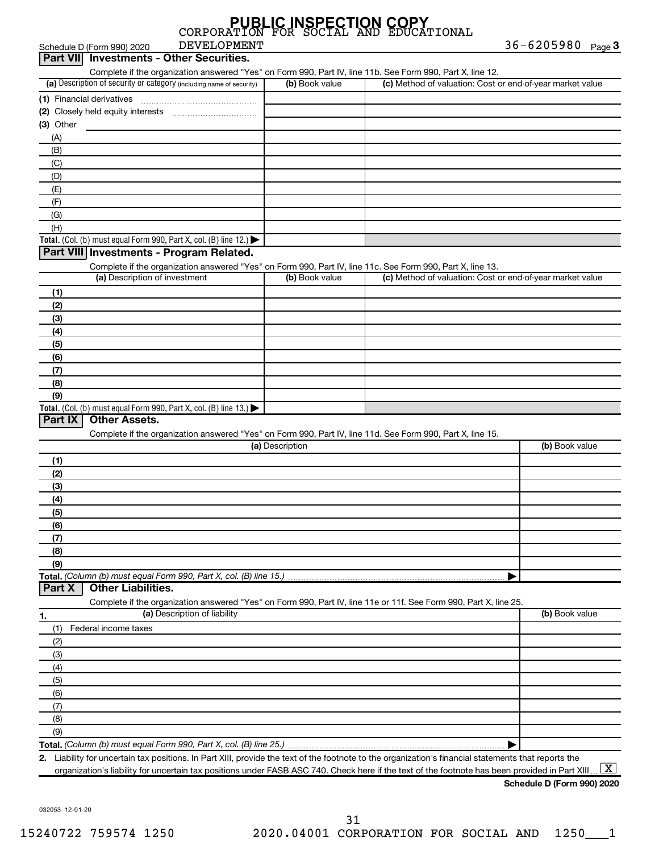| Part VII Investments - Other Securities.                                                                          |                 |                                                           |                |
|-------------------------------------------------------------------------------------------------------------------|-----------------|-----------------------------------------------------------|----------------|
| Complete if the organization answered "Yes" on Form 990, Part IV, line 11b. See Form 990, Part X, line 12.        |                 |                                                           |                |
| (a) Description of security or category (including name of security)                                              | (b) Book value  | (c) Method of valuation: Cost or end-of-year market value |                |
|                                                                                                                   |                 |                                                           |                |
|                                                                                                                   |                 |                                                           |                |
| (3) Other                                                                                                         |                 |                                                           |                |
| (A)                                                                                                               |                 |                                                           |                |
| (B)                                                                                                               |                 |                                                           |                |
| (C)                                                                                                               |                 |                                                           |                |
| (D)                                                                                                               |                 |                                                           |                |
| (E)                                                                                                               |                 |                                                           |                |
| (F)                                                                                                               |                 |                                                           |                |
| (G)                                                                                                               |                 |                                                           |                |
| (H)                                                                                                               |                 |                                                           |                |
| Total. (Col. (b) must equal Form 990, Part X, col. (B) line 12.) $\blacktriangleright$                            |                 |                                                           |                |
| Part VIII Investments - Program Related.                                                                          |                 |                                                           |                |
| Complete if the organization answered "Yes" on Form 990, Part IV, line 11c. See Form 990, Part X, line 13.        |                 |                                                           |                |
| (a) Description of investment                                                                                     | (b) Book value  | (c) Method of valuation: Cost or end-of-year market value |                |
| (1)                                                                                                               |                 |                                                           |                |
| (2)                                                                                                               |                 |                                                           |                |
| (3)                                                                                                               |                 |                                                           |                |
| (4)                                                                                                               |                 |                                                           |                |
| (5)                                                                                                               |                 |                                                           |                |
| (6)                                                                                                               |                 |                                                           |                |
| (7)                                                                                                               |                 |                                                           |                |
| (8)                                                                                                               |                 |                                                           |                |
| (9)                                                                                                               |                 |                                                           |                |
| Total. (Col. (b) must equal Form 990, Part X, col. (B) line 13.)                                                  |                 |                                                           |                |
| Part IX<br><b>Other Assets.</b>                                                                                   |                 |                                                           |                |
| Complete if the organization answered "Yes" on Form 990, Part IV, line 11d. See Form 990, Part X, line 15.        |                 |                                                           |                |
|                                                                                                                   | (a) Description |                                                           | (b) Book value |
| (1)                                                                                                               |                 |                                                           |                |
| (2)                                                                                                               |                 |                                                           |                |
| (3)                                                                                                               |                 |                                                           |                |
| (4)                                                                                                               |                 |                                                           |                |
| (5)                                                                                                               |                 |                                                           |                |
| (6)                                                                                                               |                 |                                                           |                |
| (7)                                                                                                               |                 |                                                           |                |
| (8)                                                                                                               |                 |                                                           |                |
| (9)                                                                                                               |                 |                                                           |                |
| Total. (Column (b) must equal Form 990, Part X, col. (B) line 15.)                                                |                 |                                                           |                |
| Part X<br><b>Other Liabilities.</b>                                                                               |                 |                                                           |                |
| Complete if the organization answered "Yes" on Form 990, Part IV, line 11e or 11f. See Form 990, Part X, line 25. |                 |                                                           |                |
| (a) Description of liability<br>1.                                                                                |                 |                                                           | (b) Book value |
| (1)<br>Federal income taxes                                                                                       |                 |                                                           |                |
| (2)                                                                                                               |                 |                                                           |                |
| (3)                                                                                                               |                 |                                                           |                |
| (4)                                                                                                               |                 |                                                           |                |
| (5)                                                                                                               |                 |                                                           |                |
| (6)                                                                                                               |                 |                                                           |                |
| (7)                                                                                                               |                 |                                                           |                |
| (8)                                                                                                               |                 |                                                           |                |
|                                                                                                                   |                 |                                                           |                |

DEVELOPMENT

**Total.**  *(Column (b) must equal Form 990, Part X, col. (B) line 25.)* (9)

**2.** | Liability for uncertain tax positions. In Part XIII, provide the text of the footnote to the organization's financial statements that reports the

organization's liability for uncertain tax positions under FASB ASC 740. Check here if the text of the footnote has been provided in Part XIII ...  $\fbox{\bf X}$ 

36-6205980 Page 3

Schedule D (Form 990) 2020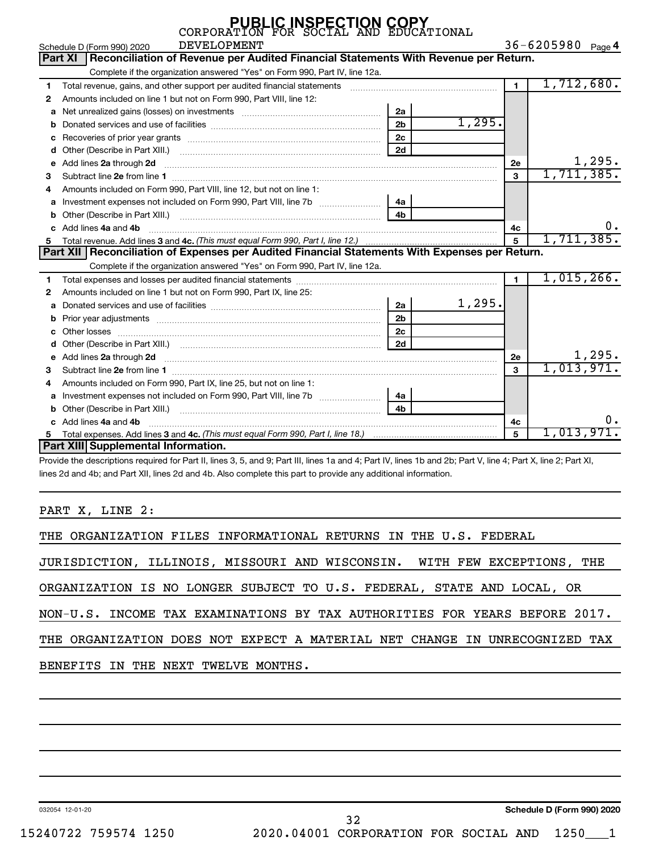|              | CORPORATION FOR SOCIAL AND EDUCATIONAL                                                                                                                                                                                              |                |        |                |                   |        |
|--------------|-------------------------------------------------------------------------------------------------------------------------------------------------------------------------------------------------------------------------------------|----------------|--------|----------------|-------------------|--------|
|              | <b>DEVELOPMENT</b><br>Schedule D (Form 990) 2020                                                                                                                                                                                    |                |        |                | 36-6205980 Page 4 |        |
|              | Reconciliation of Revenue per Audited Financial Statements With Revenue per Return.<br><b>Part XI</b>                                                                                                                               |                |        |                |                   |        |
|              | Complete if the organization answered "Yes" on Form 990, Part IV, line 12a.                                                                                                                                                         |                |        |                |                   |        |
| 1            | Total revenue, gains, and other support per audited financial statements                                                                                                                                                            |                |        | $\blacksquare$ | 1,712,680.        |        |
| $\mathbf{2}$ | Amounts included on line 1 but not on Form 990, Part VIII, line 12:                                                                                                                                                                 |                |        |                |                   |        |
| a            |                                                                                                                                                                                                                                     | 2a             |        |                |                   |        |
|              |                                                                                                                                                                                                                                     | 2 <sub>b</sub> | 1,295. |                |                   |        |
| с            |                                                                                                                                                                                                                                     | 2c             |        |                |                   |        |
| d            |                                                                                                                                                                                                                                     | 2d             |        |                |                   |        |
| e            | Add lines 2a through 2d                                                                                                                                                                                                             |                |        | 2е             |                   | 1,295. |
| з            |                                                                                                                                                                                                                                     |                |        | 3              | 1,711,385.        |        |
| 4            | Amounts included on Form 990, Part VIII, line 12, but not on line 1:                                                                                                                                                                |                |        |                |                   |        |
| a            |                                                                                                                                                                                                                                     | 4а             |        |                |                   |        |
| b            |                                                                                                                                                                                                                                     | 4h             |        |                |                   |        |
|              | Add lines 4a and 4b                                                                                                                                                                                                                 |                |        | 4с             |                   | 0.     |
| 5.           |                                                                                                                                                                                                                                     |                |        | 5              | 1,711,385.        |        |
|              | Part XII   Reconciliation of Expenses per Audited Financial Statements With Expenses per Return.                                                                                                                                    |                |        |                |                   |        |
|              | Complete if the organization answered "Yes" on Form 990, Part IV, line 12a.                                                                                                                                                         |                |        |                |                   |        |
| 1            |                                                                                                                                                                                                                                     |                |        | $\mathbf{1}$   | 1,015,266.        |        |
| 2            | Amounts included on line 1 but not on Form 990, Part IX, line 25:                                                                                                                                                                   |                |        |                |                   |        |
| a            |                                                                                                                                                                                                                                     | 2a             | 1,295. |                |                   |        |
| b            |                                                                                                                                                                                                                                     | 2 <sub>b</sub> |        |                |                   |        |
|              |                                                                                                                                                                                                                                     | 2c             |        |                |                   |        |
|              | Other (Describe in Part XIII.) <b>Example 20</b> Note that the contract of the contract of the contract of the contract of the contract of the contract of the contract of the contract of the contract of the contract of the cont | 2d             |        |                |                   |        |
| e            | Add lines 2a through 2d <b>contained a contained a contained a contained a</b> contained a contained a contained a contained a contained a contained a contained a contained a contained a contained a contained a contained a cont |                |        | 2e             | 1,013,971.        | 1,295. |
| з            |                                                                                                                                                                                                                                     |                |        | 3              |                   |        |
| 4            | Amounts included on Form 990, Part IX, line 25, but not on line 1:                                                                                                                                                                  |                |        |                |                   |        |
| a            |                                                                                                                                                                                                                                     | 4a             |        |                |                   |        |
| b            |                                                                                                                                                                                                                                     | 4h             |        |                |                   |        |
| C.           | Add lines 4a and 4b                                                                                                                                                                                                                 |                |        | 4с             |                   |        |
|              |                                                                                                                                                                                                                                     |                |        | 5              | 1,013,971.        |        |
|              | Part XIII Supplemental Information.                                                                                                                                                                                                 |                |        |                |                   |        |

**PUBLIC INSPECTION COPY**

Provide the descriptions required for Part II, lines 3, 5, and 9; Part III, lines 1a and 4; Part IV, lines 1b and 2b; Part V, line 4; Part X, line 2; Part XI, lines 2d and 4b; and Part XII, lines 2d and 4b. Also complete this part to provide any additional information.

PART X, LINE 2:

| THE ORGANIZATION FILES INFORMATIONAL RETURNS IN THE U.S. FEDERAL           |
|----------------------------------------------------------------------------|
| JURISDICTION, ILLINOIS, MISSOURI AND WISCONSIN. WITH FEW EXCEPTIONS, THE   |
| ORGANIZATION IS NO LONGER SUBJECT TO U.S. FEDERAL, STATE AND LOCAL, OR     |
| NON-U.S. INCOME TAX EXAMINATIONS BY TAX AUTHORITIES FOR YEARS BEFORE 2017. |
| THE ORGANIZATION DOES NOT EXPECT A MATERIAL NET CHANGE IN UNRECOGNIZED TAX |
| BENEFITS IN THE NEXT TWELVE MONTHS.                                        |
|                                                                            |

032054 12-01-20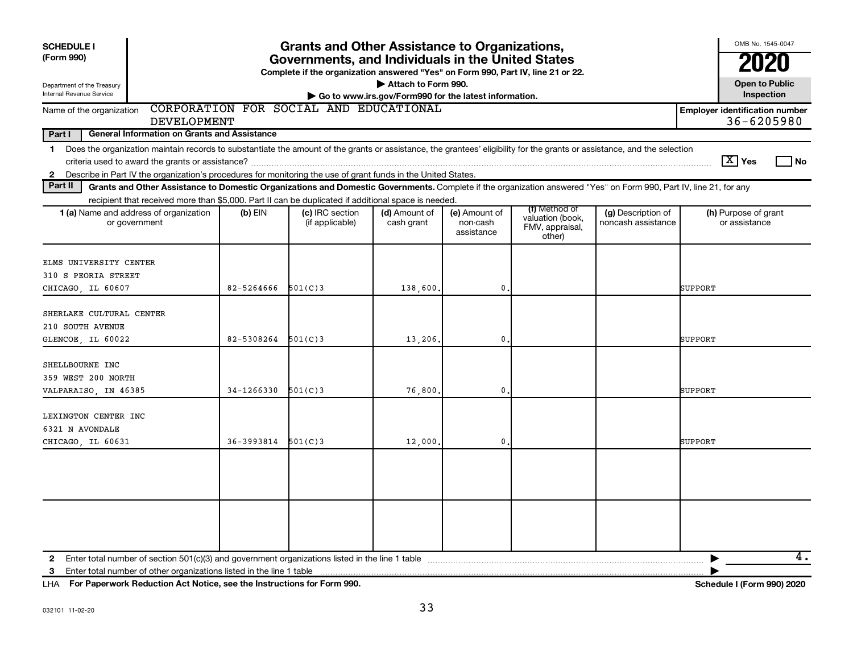| <b>SCHEDULE I</b><br>(Form 990)<br>Department of the Treasury<br>Internal Revenue Service                                                                                                                                                                                                                      |            | <b>Grants and Other Assistance to Organizations,</b><br>Governments, and Individuals in the United States<br>Complete if the organization answered "Yes" on Form 990, Part IV, line 21 or 22. | Attach to Form 990.<br>Go to www.irs.gov/Form990 for the latest information. |                                         |                                                                |                                          | OMB No. 1545-0047<br>2020<br><b>Open to Public</b><br>Inspection |      |
|----------------------------------------------------------------------------------------------------------------------------------------------------------------------------------------------------------------------------------------------------------------------------------------------------------------|------------|-----------------------------------------------------------------------------------------------------------------------------------------------------------------------------------------------|------------------------------------------------------------------------------|-----------------------------------------|----------------------------------------------------------------|------------------------------------------|------------------------------------------------------------------|------|
| Name of the organization                                                                                                                                                                                                                                                                                       |            | CORPORATION FOR SOCIAL AND EDUCATIONAL                                                                                                                                                        |                                                                              |                                         |                                                                |                                          | <b>Employer identification number</b>                            |      |
| <b>DEVELOPMENT</b><br>Part I<br><b>General Information on Grants and Assistance</b>                                                                                                                                                                                                                            |            |                                                                                                                                                                                               |                                                                              |                                         |                                                                |                                          | 36-6205980                                                       |      |
| Does the organization maintain records to substantiate the amount of the grants or assistance, the grantees' eligibility for the grants or assistance, and the selection<br>1<br>Describe in Part IV the organization's procedures for monitoring the use of grant funds in the United States.<br>$\mathbf{2}$ |            |                                                                                                                                                                                               |                                                                              |                                         |                                                                |                                          | $\boxed{\text{X}}$ Yes                                           | l No |
| Part II<br>Grants and Other Assistance to Domestic Organizations and Domestic Governments. Complete if the organization answered "Yes" on Form 990, Part IV, line 21, for any                                                                                                                                  |            |                                                                                                                                                                                               |                                                                              |                                         |                                                                |                                          |                                                                  |      |
| recipient that received more than \$5,000. Part II can be duplicated if additional space is needed.<br>1 (a) Name and address of organization<br>or government                                                                                                                                                 | (b) EIN    | (c) IRC section<br>(if applicable)                                                                                                                                                            | (d) Amount of<br>cash grant                                                  | (e) Amount of<br>non-cash<br>assistance | (f) Method of<br>valuation (book,<br>FMV, appraisal,<br>other) | (g) Description of<br>noncash assistance | (h) Purpose of grant<br>or assistance                            |      |
| ELMS UNIVERSITY CENTER<br>310 S PEORIA STREET<br>CHICAGO, IL 60607                                                                                                                                                                                                                                             | 82-5264666 | 501(C)3                                                                                                                                                                                       | 138,600                                                                      | $\mathbf{0}$                            |                                                                |                                          | SUPPORT                                                          |      |
| SHERLAKE CULTURAL CENTER<br>210 SOUTH AVENUE<br>GLENCOE, IL 60022                                                                                                                                                                                                                                              | 82-5308264 | 501(C)3                                                                                                                                                                                       | 13,206.                                                                      | 0                                       |                                                                |                                          | SUPPORT                                                          |      |
| SHELLBOURNE INC<br>359 WEST 200 NORTH<br>VALPARAISO, IN 46385                                                                                                                                                                                                                                                  | 34-1266330 | 501(C)3                                                                                                                                                                                       | 76,800                                                                       | 0                                       |                                                                |                                          | <b>SUPPORT</b>                                                   |      |
| LEXINGTON CENTER INC<br>6321 N AVONDALE<br>CHICAGO, IL 60631                                                                                                                                                                                                                                                   | 36-3993814 | 501(C)3                                                                                                                                                                                       | 12,000                                                                       | 0                                       |                                                                |                                          | <b>SUPPORT</b>                                                   |      |
|                                                                                                                                                                                                                                                                                                                |            |                                                                                                                                                                                               |                                                                              |                                         |                                                                |                                          |                                                                  |      |
| Enter total number of other organizations listed in the line 1 table<br>3                                                                                                                                                                                                                                      |            |                                                                                                                                                                                               |                                                                              |                                         |                                                                |                                          |                                                                  | 4.   |

**For Paperwork Reduction Act Notice, see the Instructions for Form 990. Schedule I (Form 990) 2020** LHA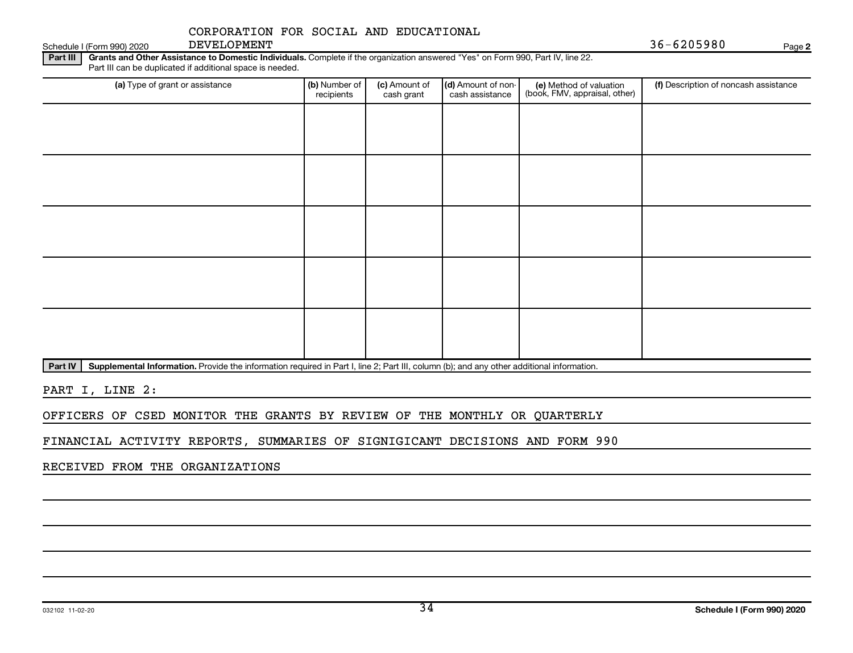### CORPORATION FOR SOCIAL AND EDUCATIONAL

DEVELOPMENT

**2**

Part III | Grants and Other Assistance to Domestic Individuals. Complete if the organization answered "Yes" on Form 990, Part IV, line 22. Part III can be duplicated if additional space is needed.

| (a) Type of grant or assistance | (b) Number of<br>recipients | (c) Amount of<br>cash grant | (d) Amount of non-<br>cash assistance | (e) Method of valuation<br>(book, FMV, appraisal, other) | (f) Description of noncash assistance |
|---------------------------------|-----------------------------|-----------------------------|---------------------------------------|----------------------------------------------------------|---------------------------------------|
|                                 |                             |                             |                                       |                                                          |                                       |
|                                 |                             |                             |                                       |                                                          |                                       |
|                                 |                             |                             |                                       |                                                          |                                       |
|                                 |                             |                             |                                       |                                                          |                                       |
|                                 |                             |                             |                                       |                                                          |                                       |
|                                 |                             |                             |                                       |                                                          |                                       |
|                                 |                             |                             |                                       |                                                          |                                       |
|                                 |                             |                             |                                       |                                                          |                                       |
|                                 |                             |                             |                                       |                                                          |                                       |
|                                 |                             |                             |                                       |                                                          |                                       |
| the company of the company of   |                             |                             |                                       |                                                          |                                       |

Part IV | Supplemental Information. Provide the information required in Part I, line 2; Part III, column (b); and any other additional information.

PART I, LINE 2:

OFFICERS OF CSED MONITOR THE GRANTS BY REVIEW OF THE MONTHLY OR QUARTERLY

FINANCIAL ACTIVITY REPORTS, SUMMARIES OF SIGNIGICANT DECISIONS AND FORM 990

RECEIVED FROM THE ORGANIZATIONS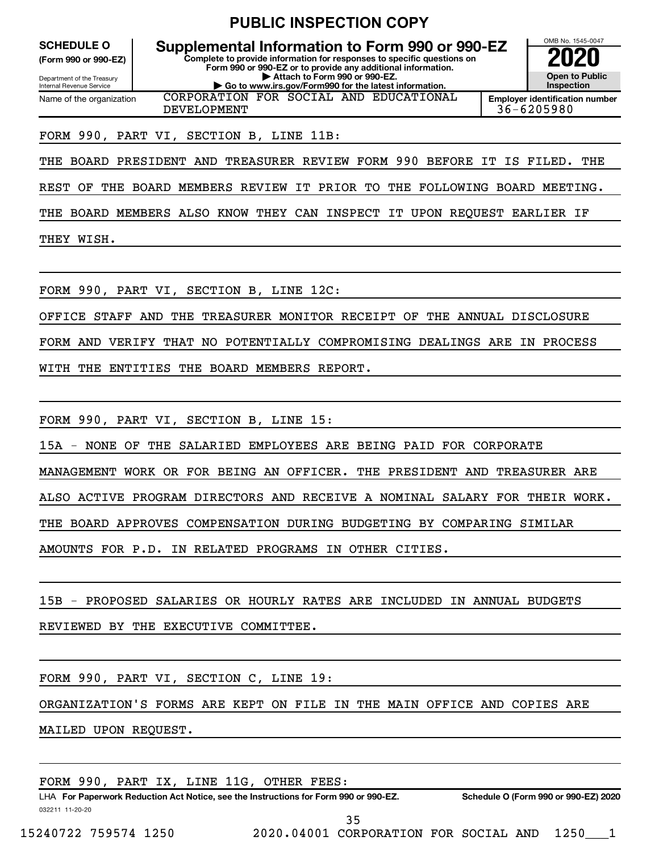|  | <b>PUBLIC INSPECTION COPY</b> |  |
|--|-------------------------------|--|
|--|-------------------------------|--|

**(Form 990 or 990-EZ)**

Department of the Treasury Internal Revenue Service Name of the organization

**Complete to provide information for responses to specific questions on Form 990 or 990-EZ or to provide any additional information. | Attach to Form 990 or 990-EZ. | Go to www.irs.gov/Form990 for the latest information. SCHEDULE O Supplemental Information to Form 990 or 990-EZ 2020**<br>(Form 990 or 990-EZ) Complete to provide information for responses to specific questions on CORPORATION FOR SOCIAL AND EDUCATIONAL



DEVELOPMENT 36-6205980

#### FORM 990, PART VI, SECTION B, LINE 11B:

THE BOARD PRESIDENT AND TREASURER REVIEW FORM 990 BEFORE IT IS FILED. THE

REST OF THE BOARD MEMBERS REVIEW IT PRIOR TO THE FOLLOWING BOARD MEETING.

THE BOARD MEMBERS ALSO KNOW THEY CAN INSPECT IT UPON REQUEST EARLIER IF

THEY WISH.

FORM 990, PART VI, SECTION B, LINE 12C:

OFFICE STAFF AND THE TREASURER MONITOR RECEIPT OF THE ANNUAL DISCLOSURE

FORM AND VERIFY THAT NO POTENTIALLY COMPROMISING DEALINGS ARE IN PROCESS

WITH THE ENTITIES THE BOARD MEMBERS REPORT.

FORM 990, PART VI, SECTION B, LINE 15:

15A - NONE OF THE SALARIED EMPLOYEES ARE BEING PAID FOR CORPORATE

MANAGEMENT WORK OR FOR BEING AN OFFICER. THE PRESIDENT AND TREASURER ARE

ALSO ACTIVE PROGRAM DIRECTORS AND RECEIVE A NOMINAL SALARY FOR THEIR WORK.

THE BOARD APPROVES COMPENSATION DURING BUDGETING BY COMPARING SIMILAR

AMOUNTS FOR P.D. IN RELATED PROGRAMS IN OTHER CITIES.

15B - PROPOSED SALARIES OR HOURLY RATES ARE INCLUDED IN ANNUAL BUDGETS

REVIEWED BY THE EXECUTIVE COMMITTEE.

FORM 990, PART VI, SECTION C, LINE 19:

ORGANIZATION'S FORMS ARE KEPT ON FILE IN THE MAIN OFFICE AND COPIES ARE

MAILED UPON REQUEST.

|  |  |  |  |  |  | FORM 990, PART IX, LINE 11G, OTHER FEES: |  |  |
|--|--|--|--|--|--|------------------------------------------|--|--|
|--|--|--|--|--|--|------------------------------------------|--|--|

032211 11-20-20 **For Paperwork Reduction Act Notice, see the Instructions for Form 990 or 990-EZ. Schedule O (Form 990 or 990-EZ) 2020** LHA

35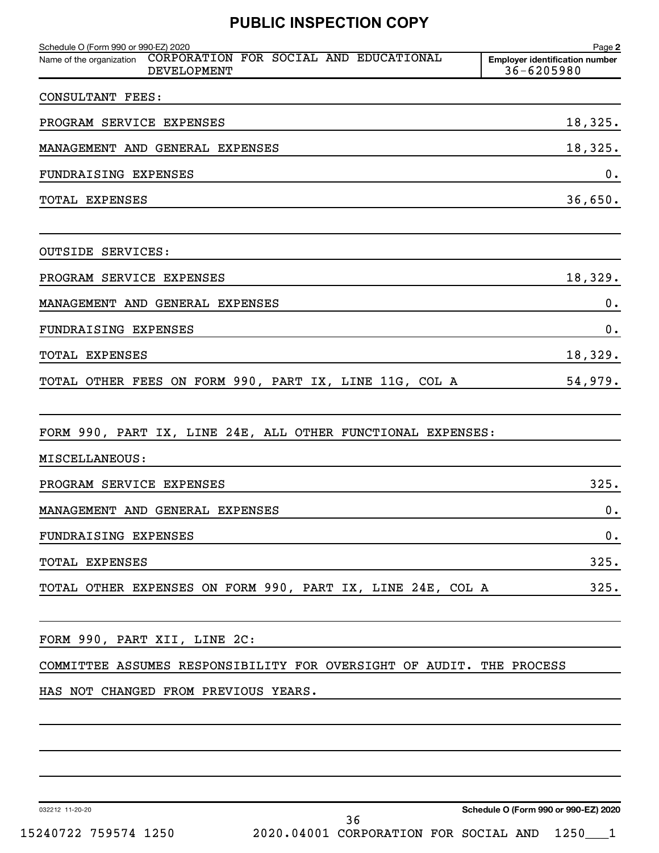### **PUBLIC INSPECTION COPY**

| Schedule O (Form 990 or 990-EZ) 2020<br>Name of the organization CORPORATION FOR SOCIAL AND EDUCATIONAL<br><b>DEVELOPMENT</b> | Page 2<br><b>Employer identification number</b><br>36-6205980 |
|-------------------------------------------------------------------------------------------------------------------------------|---------------------------------------------------------------|
| <b>CONSULTANT FEES:</b>                                                                                                       |                                                               |
| PROGRAM SERVICE EXPENSES                                                                                                      | 18,325.                                                       |
| MANAGEMENT AND GENERAL EXPENSES                                                                                               | 18,325.                                                       |
| FUNDRAISING EXPENSES                                                                                                          | 0.                                                            |
| TOTAL EXPENSES                                                                                                                | 36,650.                                                       |
| <b>OUTSIDE SERVICES:</b>                                                                                                      |                                                               |
| PROGRAM SERVICE EXPENSES                                                                                                      | 18,329.                                                       |
| MANAGEMENT AND GENERAL EXPENSES                                                                                               | 0.                                                            |
| FUNDRAISING EXPENSES                                                                                                          | $\mathbf 0$ .                                                 |
| TOTAL EXPENSES                                                                                                                | 18,329.                                                       |
| TOTAL OTHER FEES ON FORM 990, PART IX, LINE 11G, COL A                                                                        | 54,979.                                                       |
| FORM 990, PART IX, LINE 24E, ALL OTHER FUNCTIONAL EXPENSES:                                                                   |                                                               |
| MISCELLANEOUS:                                                                                                                |                                                               |
| PROGRAM SERVICE EXPENSES                                                                                                      | 325.                                                          |
| MANAGEMENT AND GENERAL EXPENSES                                                                                               | 0.                                                            |
| FUNDRAISING EXPENSES                                                                                                          | 0.                                                            |
| TOTAL EXPENSES                                                                                                                | 325.                                                          |
| TOTAL OTHER EXPENSES ON FORM 990, PART IX, LINE 24E, COL A                                                                    | 325.                                                          |
| FORM 990, PART XII, LINE 2C:                                                                                                  |                                                               |
| COMMITTEE ASSUMES RESPONSIBILITY FOR OVERSIGHT OF AUDIT. THE PROCESS                                                          |                                                               |
| HAS NOT CHANGED FROM PREVIOUS YEARS.                                                                                          |                                                               |
|                                                                                                                               |                                                               |
|                                                                                                                               |                                                               |
|                                                                                                                               |                                                               |

032212 11-20-20